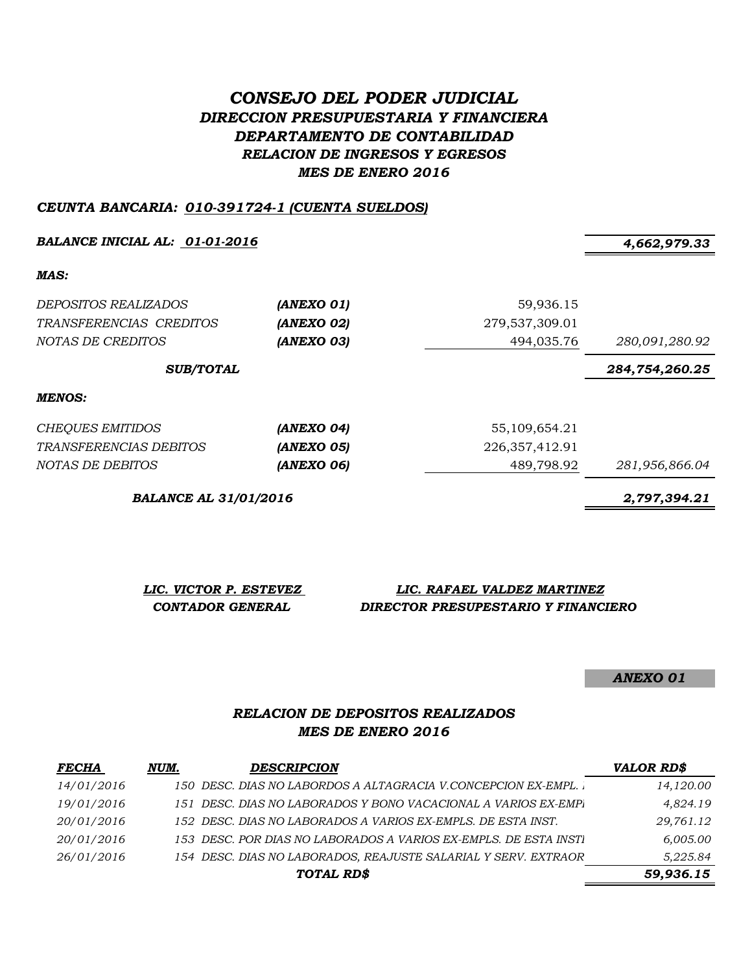# *CONSEJO DEL PODER JUDICIAL DIRECCION PRESUPUESTARIA Y FINANCIERA DEPARTAMENTO DE CONTABILIDAD RELACION DE INGRESOS Y EGRESOS MES DE ENERO 2016*

#### *CEUNTA BANCARIA: 010-391724-1 (CUENTA SUELDOS)*

*BALANCE INICIAL AL: 01-01-2016 4,662,979.33*

*MAS:*

| DEPOSITOS REALIZADOS<br>TRANSFERENCIAS CREDITOS<br>NOTAS DE CREDITOS | (ANEXO 01)<br>(ANEXO 02)<br>(ANEXO 03) | 59,936.15<br>279,537,309.01<br>494,035.76 | 280,091,280.92 |
|----------------------------------------------------------------------|----------------------------------------|-------------------------------------------|----------------|
| <b>SUB/TOTAL</b>                                                     |                                        |                                           | 284,754,260.25 |
| MENOS:                                                               |                                        |                                           |                |
| <b>CHEQUES EMITIDOS</b>                                              | (ANEXO 04)                             | 55,109,654.21                             |                |
| <i>TRANSFERENCIAS DEBITOS</i>                                        | (ANEXO 05)                             | 226, 357, 412. 91                         |                |
| NOTAS DE DEBITOS                                                     | (ANEXO 06)                             | 489,798.92                                | 281,956,866.04 |

*BALANCE AL 31/01/2016 2,797,394.21*

*LIC. VICTOR P. ESTEVEZ LIC. RAFAEL VALDEZ MARTINEZ CONTADOR GENERAL DIRECTOR PRESUPESTARIO Y FINANCIERO*

*ANEXO 01*

### *RELACION DE DEPOSITOS REALIZADOS MES DE ENERO 2016*

| <i>FECHA</i> | NUM. | <b>DESCRIPCION</b>                                               | <b>VALOR RD\$</b> |
|--------------|------|------------------------------------------------------------------|-------------------|
| 14/01/2016   |      | 150 DESC. DIAS NO LABORDOS A ALTAGRACIA V.CONCEPCION EX-EMPL.    | 14,120.00         |
| 19/01/2016   |      | 151 DESC. DIAS NO LABORADOS Y BONO VACACIONAL A VARIOS EX-EMPI   | 4.824.19          |
| 20/01/2016   |      | 152 DESC. DIAS NO LABORADOS A VARIOS EX-EMPLS. DE ESTA INST.     | 29,761.12         |
| 20/01/2016   |      | 153 DESC. POR DIAS NO LABORADOS A VARIOS EX-EMPLS. DE ESTA INSTI | 6,005.00          |
| 26/01/2016   |      | 154 DESC. DIAS NO LABORADOS, REAJUSTE SALARIAL Y SERV. EXTRAOR   | 5,225.84          |
|              |      | TOTAL RD\$                                                       | 59,936.15         |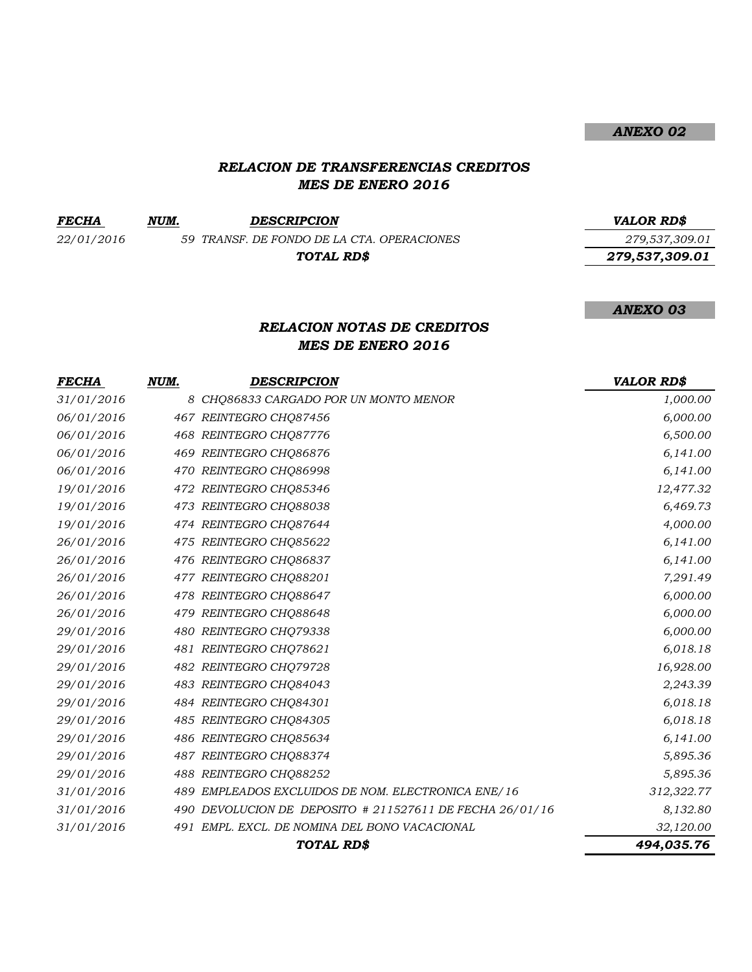## *ANEXO 02*

## *RELACION DE TRANSFERENCIAS CREDITOS MES DE ENERO 2016*

| <i>FECHA</i> | NUM. | <b>DESCRIPCION</b>                         | VALOR RD\$     |
|--------------|------|--------------------------------------------|----------------|
| 22/01/2016   |      | 59 TRANSF. DE FONDO DE LA CTA. OPERACIONES | 279,537,309.01 |
|              |      | TOTAL RD\$                                 | 279,537,309.01 |

#### *ANEXO 03*

### *RELACION NOTAS DE CREDITOS MES DE ENERO 2016*

| <b>FECHA</b> | NUM. | DESCRIPCION                                              | <b>VALOR RD\$</b> |
|--------------|------|----------------------------------------------------------|-------------------|
| 31/01/2016   |      | 8 CHQ86833 CARGADO POR UN MONTO MENOR                    | 1,000.00          |
| 06/01/2016   |      | 467 REINTEGRO CHQ87456                                   | 6,000.00          |
| 06/01/2016   |      | 468 REINTEGRO CHQ87776                                   | 6,500.00          |
| 06/01/2016   |      | 469 REINTEGRO CHQ86876                                   | 6,141.00          |
| 06/01/2016   |      | 470 REINTEGRO CHQ86998                                   | 6,141.00          |
| 19/01/2016   |      | 472 REINTEGRO CHQ85346                                   | 12,477.32         |
| 19/01/2016   |      | 473 REINTEGRO CHQ88038                                   | 6,469.73          |
| 19/01/2016   |      | 474 REINTEGRO CHQ87644                                   | 4,000.00          |
| 26/01/2016   |      | 475 REINTEGRO CHQ85622                                   | 6,141.00          |
| 26/01/2016   |      | 476 REINTEGRO CHQ86837                                   | 6,141.00          |
| 26/01/2016   |      | 477 REINTEGRO CHO88201                                   | 7,291.49          |
| 26/01/2016   |      | 478 REINTEGRO CHQ88647                                   | 6,000.00          |
| 26/01/2016   |      | 479 REINTEGRO CHQ88648                                   | 6,000.00          |
| 29/01/2016   |      | 480 REINTEGRO CHQ79338                                   | 6,000.00          |
| 29/01/2016   |      | 481 REINTEGRO CHO78621                                   | 6,018.18          |
| 29/01/2016   |      | 482 REINTEGRO CHQ79728                                   | 16,928.00         |
| 29/01/2016   |      | 483 REINTEGRO CHQ84043                                   | 2,243.39          |
| 29/01/2016   |      | 484 REINTEGRO CHQ84301                                   | 6,018.18          |
| 29/01/2016   |      | 485 REINTEGRO CHQ84305                                   | 6,018.18          |
| 29/01/2016   |      | 486 REINTEGRO CHQ85634                                   | 6,141.00          |
| 29/01/2016   |      | 487 REINTEGRO CHQ88374                                   | 5,895.36          |
| 29/01/2016   |      | 488 REINTEGRO CHQ88252                                   | 5,895.36          |
| 31/01/2016   |      | 489 EMPLEADOS EXCLUIDOS DE NOM. ELECTRONICA ENE/16       | 312,322.77        |
| 31/01/2016   |      | 490 DEVOLUCION DE DEPOSITO # 211527611 DE FECHA 26/01/16 | 8,132.80          |
| 31/01/2016   |      | 491 EMPL. EXCL. DE NOMINA DEL BONO VACACIONAL            | 32,120.00         |
|              |      | TOTAL RD\$                                               | 494,035.76        |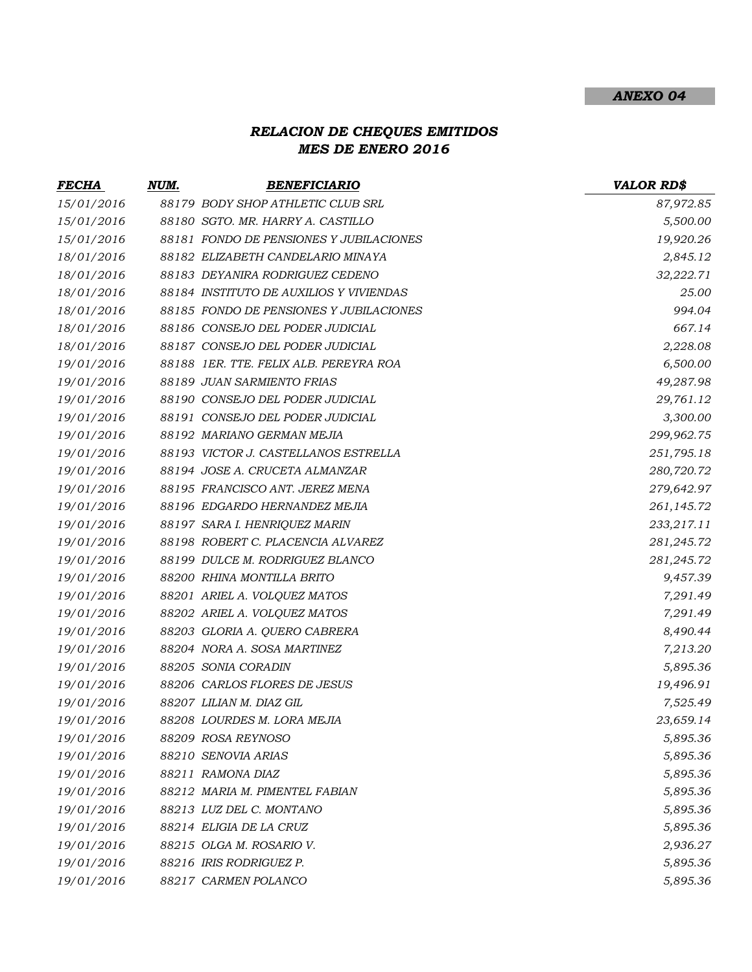#### *ANEXO 04*

# *RELACION DE CHEQUES EMITIDOS MES DE ENERO 2016*

| <u>FECHA</u> | NUM. | <b>BENEFICIARIO</b>                     | <b>VALOR RD\$</b> |
|--------------|------|-----------------------------------------|-------------------|
| 15/01/2016   |      | 88179 BODY SHOP ATHLETIC CLUB SRL       | 87,972.85         |
| 15/01/2016   |      | 88180 SGTO. MR. HARRY A. CASTILLO       | 5,500.00          |
| 15/01/2016   |      | 88181 FONDO DE PENSIONES Y JUBILACIONES | 19,920.26         |
| 18/01/2016   |      | 88182 ELIZABETH CANDELARIO MINAYA       | 2,845.12          |
| 18/01/2016   |      | 88183 DEYANIRA RODRIGUEZ CEDENO         | 32,222.71         |
| 18/01/2016   |      | 88184 INSTITUTO DE AUXILIOS Y VIVIENDAS | 25.00             |
| 18/01/2016   |      | 88185 FONDO DE PENSIONES Y JUBILACIONES | 994.04            |
| 18/01/2016   |      | 88186 CONSEJO DEL PODER JUDICIAL        | 667.14            |
| 18/01/2016   |      | 88187 CONSEJO DEL PODER JUDICIAL        | 2,228.08          |
| 19/01/2016   |      | 88188 1ER. TTE. FELIX ALB. PEREYRA ROA  | 6,500.00          |
| 19/01/2016   |      | 88189 JUAN SARMIENTO FRIAS              | 49,287.98         |
| 19/01/2016   |      | 88190 CONSEJO DEL PODER JUDICIAL        | 29,761.12         |
| 19/01/2016   |      | 88191 CONSEJO DEL PODER JUDICIAL        | 3,300.00          |
| 19/01/2016   |      | 88192 MARIANO GERMAN MEJIA              | 299,962.75        |
| 19/01/2016   |      | 88193 VICTOR J. CASTELLANOS ESTRELLA    | 251,795.18        |
| 19/01/2016   |      | 88194 JOSE A. CRUCETA ALMANZAR          | 280,720.72        |
| 19/01/2016   |      | 88195 FRANCISCO ANT. JEREZ MENA         | 279,642.97        |
| 19/01/2016   |      | 88196 EDGARDO HERNANDEZ MEJIA           | 261,145.72        |
| 19/01/2016   |      | 88197 SARA I. HENRIQUEZ MARIN           | 233,217.11        |
| 19/01/2016   |      | 88198 ROBERT C. PLACENCIA ALVAREZ       | 281,245.72        |
| 19/01/2016   |      | 88199 DULCE M. RODRIGUEZ BLANCO         | 281,245.72        |
| 19/01/2016   |      | 88200 RHINA MONTILLA BRITO              | 9,457.39          |
| 19/01/2016   |      | 88201 ARIEL A. VOLQUEZ MATOS            | 7,291.49          |
| 19/01/2016   |      | 88202 ARIEL A. VOLQUEZ MATOS            | 7,291.49          |
| 19/01/2016   |      | 88203 GLORIA A. QUERO CABRERA           | 8,490.44          |
| 19/01/2016   |      | 88204 NORA A. SOSA MARTINEZ             | 7,213.20          |
| 19/01/2016   |      | 88205 SONIA CORADIN                     | 5,895.36          |
| 19/01/2016   |      | 88206 CARLOS FLORES DE JESUS            | 19,496.91         |
| 19/01/2016   |      | 88207 LILIAN M. DIAZ GIL                | 7,525.49          |
| 19/01/2016   |      | 88208 LOURDES M. LORA MEJIA             | 23,659.14         |
| 19/01/2016   |      | 88209 ROSA REYNOSO                      | 5,895.36          |
| 19/01/2016   |      | 88210 SENOVIA ARIAS                     | 5,895.36          |
| 19/01/2016   |      | 88211 RAMONA DIAZ                       | 5,895.36          |
| 19/01/2016   |      | 88212 MARIA M. PIMENTEL FABIAN          | 5,895.36          |
| 19/01/2016   |      | 88213 LUZ DEL C. MONTANO                | 5,895.36          |
| 19/01/2016   |      | 88214 ELIGIA DE LA CRUZ                 | 5,895.36          |
| 19/01/2016   |      | 88215 OLGA M. ROSARIO V.                | 2,936.27          |
| 19/01/2016   |      | 88216 IRIS RODRIGUEZ P.                 | 5,895.36          |
| 19/01/2016   |      | 88217 CARMEN POLANCO                    | 5,895.36          |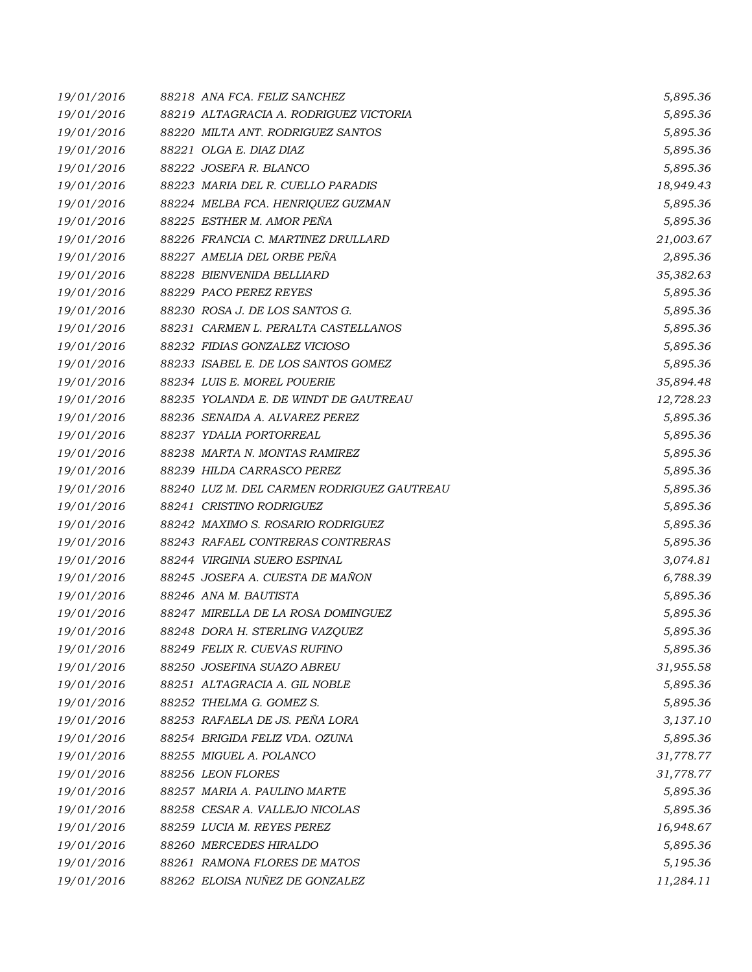| 19/01/2016 | 88218 ANA FCA. FELIZ SANCHEZ               | 5,895.36  |
|------------|--------------------------------------------|-----------|
| 19/01/2016 | 88219 ALTAGRACIA A. RODRIGUEZ VICTORIA     | 5,895.36  |
| 19/01/2016 | 88220 MILTA ANT. RODRIGUEZ SANTOS          | 5,895.36  |
| 19/01/2016 | 88221 OLGA E. DIAZ DIAZ                    | 5,895.36  |
| 19/01/2016 | 88222 JOSEFA R. BLANCO                     | 5,895.36  |
| 19/01/2016 | 88223 MARIA DEL R. CUELLO PARADIS          | 18,949.43 |
| 19/01/2016 | 88224 MELBA FCA. HENRIQUEZ GUZMAN          | 5,895.36  |
| 19/01/2016 | 88225 ESTHER M. AMOR PEÑA                  | 5,895.36  |
| 19/01/2016 | 88226 FRANCIA C. MARTINEZ DRULLARD         | 21,003.67 |
| 19/01/2016 | 88227 AMELIA DEL ORBE PEÑA                 | 2,895.36  |
| 19/01/2016 | 88228 BIENVENIDA BELLIARD                  | 35,382.63 |
| 19/01/2016 | 88229 PACO PEREZ REYES                     | 5,895.36  |
| 19/01/2016 | 88230 ROSA J. DE LOS SANTOS G.             | 5,895.36  |
| 19/01/2016 | 88231 CARMEN L. PERALTA CASTELLANOS        | 5,895.36  |
| 19/01/2016 | 88232 FIDIAS GONZALEZ VICIOSO              | 5,895.36  |
| 19/01/2016 | 88233 ISABEL E. DE LOS SANTOS GOMEZ        | 5,895.36  |
| 19/01/2016 | 88234 LUIS E. MOREL POUERIE                | 35,894.48 |
| 19/01/2016 | 88235 YOLANDA E. DE WINDT DE GAUTREAU      | 12,728.23 |
| 19/01/2016 | 88236 SENAIDA A. ALVAREZ PEREZ             | 5,895.36  |
| 19/01/2016 | 88237 YDALIA PORTORREAL                    | 5,895.36  |
| 19/01/2016 | 88238 MARTA N. MONTAS RAMIREZ              | 5,895.36  |
| 19/01/2016 | 88239 HILDA CARRASCO PEREZ                 | 5,895.36  |
| 19/01/2016 | 88240 LUZ M. DEL CARMEN RODRIGUEZ GAUTREAU | 5,895.36  |
| 19/01/2016 | 88241 CRISTINO RODRIGUEZ                   | 5,895.36  |
| 19/01/2016 | 88242 MAXIMO S. ROSARIO RODRIGUEZ          | 5,895.36  |
| 19/01/2016 | 88243 RAFAEL CONTRERAS CONTRERAS           | 5,895.36  |
| 19/01/2016 | 88244 VIRGINIA SUERO ESPINAL               | 3,074.81  |
| 19/01/2016 | 88245 JOSEFA A. CUESTA DE MAÑON            | 6,788.39  |
| 19/01/2016 | 88246 ANA M. BAUTISTA                      | 5,895.36  |
| 19/01/2016 | 88247 MIRELLA DE LA ROSA DOMINGUEZ         | 5,895.36  |
| 19/01/2016 | 88248 DORA H. STERLING VAZQUEZ             | 5,895.36  |
| 19/01/2016 | 88249 FELIX R. CUEVAS RUFINO               | 5,895.36  |
| 19/01/2016 | 88250 JOSEFINA SUAZO ABREU                 | 31,955.58 |
| 19/01/2016 | 88251 ALTAGRACIA A. GIL NOBLE              | 5,895.36  |
| 19/01/2016 | 88252 THELMA G. GOMEZ S.                   | 5,895.36  |
| 19/01/2016 | 88253 RAFAELA DE JS. PEÑA LORA             | 3,137.10  |
| 19/01/2016 | 88254 BRIGIDA FELIZ VDA, OZUNA             | 5,895.36  |
| 19/01/2016 | 88255 MIGUEL A. POLANCO                    | 31,778.77 |
| 19/01/2016 | 88256 LEON FLORES                          | 31,778.77 |
| 19/01/2016 | 88257 MARIA A. PAULINO MARTE               | 5,895.36  |
| 19/01/2016 | 88258 CESAR A. VALLEJO NICOLAS             | 5,895.36  |
| 19/01/2016 | 88259 LUCIA M. REYES PEREZ                 | 16,948.67 |
| 19/01/2016 | 88260 MERCEDES HIRALDO                     | 5,895.36  |
| 19/01/2016 | 88261 RAMONA FLORES DE MATOS               | 5,195.36  |
| 19/01/2016 | 88262 ELOISA NUÑEZ DE GONZALEZ             | 11,284.11 |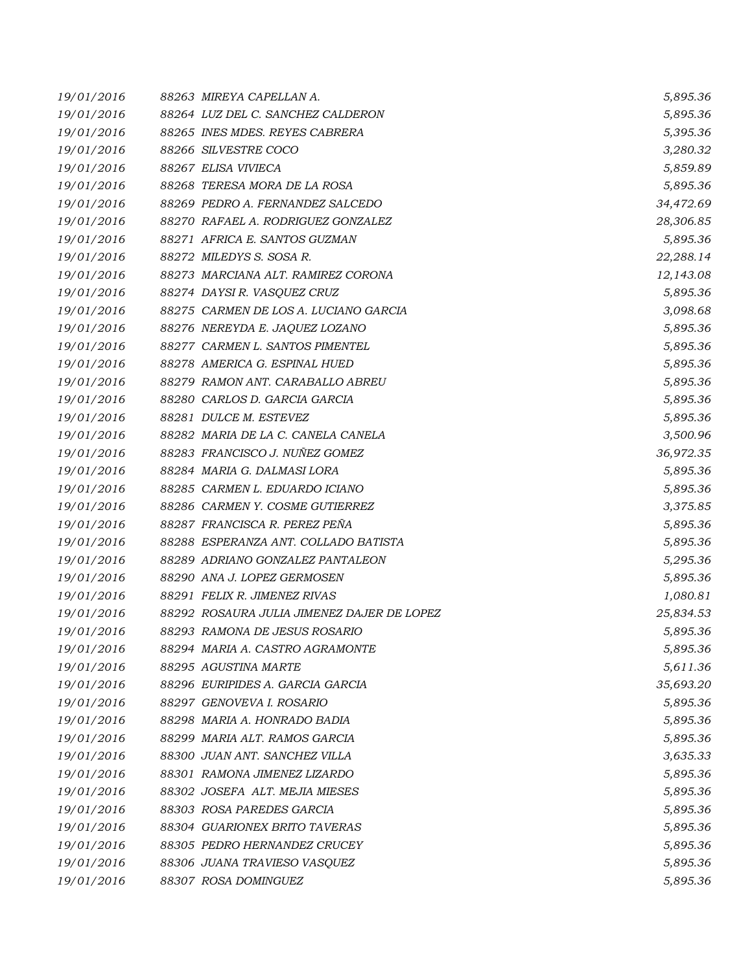| 19/01/2016 | 88263 MIREYA CAPELLAN A.                   | 5,895.36  |
|------------|--------------------------------------------|-----------|
| 19/01/2016 | 88264 LUZ DEL C. SANCHEZ CALDERON          | 5,895.36  |
| 19/01/2016 | 88265 INES MDES. REYES CABRERA             | 5,395.36  |
| 19/01/2016 | 88266 SILVESTRE COCO                       | 3,280.32  |
| 19/01/2016 | 88267 ELISA VIVIECA                        | 5,859.89  |
| 19/01/2016 | 88268 TERESA MORA DE LA ROSA               | 5,895.36  |
| 19/01/2016 | 88269 PEDRO A. FERNANDEZ SALCEDO           | 34,472.69 |
| 19/01/2016 | 88270 RAFAEL A. RODRIGUEZ GONZALEZ         | 28,306.85 |
| 19/01/2016 | 88271 AFRICA E. SANTOS GUZMAN              | 5,895.36  |
| 19/01/2016 | 88272 MILEDYS S. SOSA R.                   | 22,288.14 |
| 19/01/2016 | 88273 MARCIANA ALT. RAMIREZ CORONA         | 12,143.08 |
| 19/01/2016 | 88274 DAYSIR. VASQUEZ CRUZ                 | 5,895.36  |
| 19/01/2016 | 88275 CARMEN DE LOS A. LUCIANO GARCIA      | 3,098.68  |
| 19/01/2016 | 88276 NEREYDA E. JAQUEZ LOZANO             | 5,895.36  |
| 19/01/2016 | 88277 CARMEN L. SANTOS PIMENTEL            | 5,895.36  |
| 19/01/2016 | 88278 AMERICA G. ESPINAL HUED              | 5,895.36  |
| 19/01/2016 | 88279 RAMON ANT. CARABALLO ABREU           | 5,895.36  |
| 19/01/2016 | 88280 CARLOS D. GARCIA GARCIA              | 5,895.36  |
| 19/01/2016 | 88281 DULCE M. ESTEVEZ                     | 5,895.36  |
| 19/01/2016 | 88282 MARIA DE LA C. CANELA CANELA         | 3,500.96  |
| 19/01/2016 | 88283 FRANCISCO J. NUÑEZ GOMEZ             | 36,972.35 |
| 19/01/2016 | 88284 MARIA G. DALMASI LORA                | 5,895.36  |
| 19/01/2016 | 88285 CARMEN L. EDUARDO ICIANO             | 5,895.36  |
| 19/01/2016 | 88286 CARMEN Y. COSME GUTIERREZ            | 3,375.85  |
| 19/01/2016 | 88287 FRANCISCA R. PEREZ PEÑA              | 5,895.36  |
| 19/01/2016 | 88288 ESPERANZA ANT. COLLADO BATISTA       | 5,895.36  |
| 19/01/2016 | 88289 ADRIANO GONZALEZ PANTALEON           | 5,295.36  |
| 19/01/2016 | 88290 ANA J. LOPEZ GERMOSEN                | 5,895.36  |
| 19/01/2016 | 88291 FELIX R. JIMENEZ RIVAS               | 1,080.81  |
| 19/01/2016 | 88292 ROSAURA JULIA JIMENEZ DAJER DE LOPEZ | 25,834.53 |
| 19/01/2016 | 88293 RAMONA DE JESUS ROSARIO              | 5,895.36  |
| 19/01/2016 | 88294 MARIA A. CASTRO AGRAMONTE            | 5,895.36  |
| 19/01/2016 | 88295 AGUSTINA MARTE                       | 5,611.36  |
| 19/01/2016 | 88296 EURIPIDES A. GARCIA GARCIA           | 35,693.20 |
| 19/01/2016 | 88297 GENOVEVA I. ROSARIO                  | 5,895.36  |
| 19/01/2016 | 88298 MARIA A. HONRADO BADIA               | 5,895.36  |
| 19/01/2016 | 88299 MARIA ALT. RAMOS GARCIA              | 5,895.36  |
| 19/01/2016 | 88300 JUAN ANT. SANCHEZ VILLA              | 3,635.33  |
| 19/01/2016 | 88301 RAMONA JIMENEZ LIZARDO               | 5,895.36  |
| 19/01/2016 | 88302 JOSEFA ALT. MEJIA MIESES             | 5,895.36  |
| 19/01/2016 | 88303 ROSA PAREDES GARCIA                  | 5,895.36  |
| 19/01/2016 | 88304 GUARIONEX BRITO TAVERAS              | 5,895.36  |
| 19/01/2016 | 88305 PEDRO HERNANDEZ CRUCEY               | 5,895.36  |
| 19/01/2016 | 88306 JUANA TRAVIESO VASQUEZ               | 5,895.36  |
| 19/01/2016 | 88307 ROSA DOMINGUEZ                       | 5,895.36  |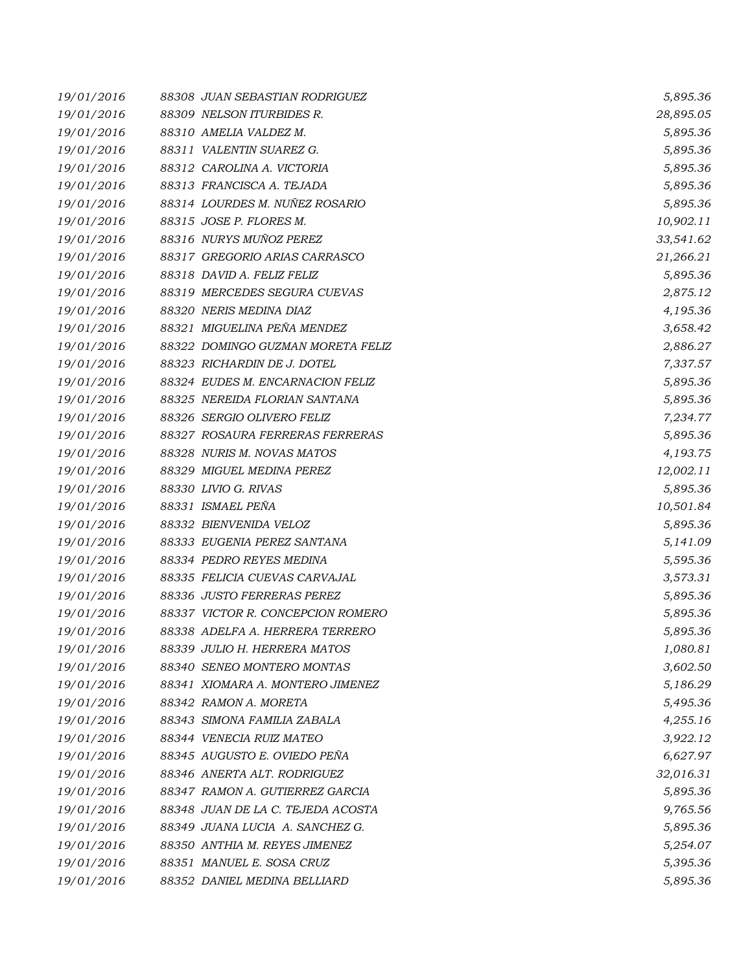| 19/01/2016 | 88308 JUAN SEBASTIAN RODRIGUEZ    | 5,895.36  |
|------------|-----------------------------------|-----------|
| 19/01/2016 | 88309 NELSON ITURBIDES R.         | 28,895.05 |
| 19/01/2016 | 88310 AMELIA VALDEZ M.            | 5,895.36  |
| 19/01/2016 | 88311 VALENTIN SUAREZ G.          | 5,895.36  |
| 19/01/2016 | 88312 CAROLINA A. VICTORIA        | 5,895.36  |
| 19/01/2016 | 88313 FRANCISCA A. TEJADA         | 5,895.36  |
| 19/01/2016 | 88314 LOURDES M. NUÑEZ ROSARIO    | 5,895.36  |
| 19/01/2016 | 88315 JOSE P. FLORES M.           | 10,902.11 |
| 19/01/2016 | 88316 NURYS MUÑOZ PEREZ           | 33,541.62 |
| 19/01/2016 | 88317 GREGORIO ARIAS CARRASCO     | 21,266.21 |
| 19/01/2016 | 88318 DAVID A. FELIZ FELIZ        | 5,895.36  |
| 19/01/2016 | 88319 MERCEDES SEGURA CUEVAS      | 2,875.12  |
| 19/01/2016 | 88320 NERIS MEDINA DIAZ           | 4,195.36  |
| 19/01/2016 | 88321 MIGUELINA PEÑA MENDEZ       | 3,658.42  |
| 19/01/2016 | 88322 DOMINGO GUZMAN MORETA FELIZ | 2,886.27  |
| 19/01/2016 | 88323 RICHARDIN DE J. DOTEL       | 7,337.57  |
| 19/01/2016 | 88324 EUDES M. ENCARNACION FELIZ  | 5,895.36  |
| 19/01/2016 | 88325 NEREIDA FLORIAN SANTANA     | 5,895.36  |
| 19/01/2016 | 88326 SERGIO OLIVERO FELIZ        | 7,234.77  |
| 19/01/2016 | 88327 ROSAURA FERRERAS FERRERAS   | 5,895.36  |
| 19/01/2016 | 88328 NURIS M. NOVAS MATOS        | 4,193.75  |
| 19/01/2016 | 88329 MIGUEL MEDINA PEREZ         | 12,002.11 |
| 19/01/2016 | 88330 LIVIO G. RIVAS              | 5,895.36  |
| 19/01/2016 | 88331 ISMAEL PEÑA                 | 10,501.84 |
| 19/01/2016 | 88332 BIENVENIDA VELOZ            | 5,895.36  |
| 19/01/2016 | 88333 EUGENIA PEREZ SANTANA       | 5,141.09  |
| 19/01/2016 | 88334 PEDRO REYES MEDINA          | 5,595.36  |
| 19/01/2016 | 88335 FELICIA CUEVAS CARVAJAL     | 3,573.31  |
| 19/01/2016 | 88336 JUSTO FERRERAS PEREZ        | 5,895.36  |
| 19/01/2016 | 88337 VICTOR R. CONCEPCION ROMERO | 5,895.36  |
| 19/01/2016 | 88338 ADELFA A. HERRERA TERRERO   | 5,895.36  |
| 19/01/2016 | 88339 JULIO H. HERRERA MATOS      | 1,080.81  |
| 19/01/2016 | 88340 SENEO MONTERO MONTAS        | 3,602.50  |
| 19/01/2016 | 88341 XIOMARA A. MONTERO JIMENEZ  | 5,186.29  |
| 19/01/2016 | 88342 RAMON A. MORETA             | 5,495.36  |
| 19/01/2016 | 88343 SIMONA FAMILIA ZABALA       | 4,255.16  |
| 19/01/2016 | 88344 VENECIA RUIZ MATEO          | 3,922.12  |
| 19/01/2016 | 88345 AUGUSTO E. OVIEDO PEÑA      | 6,627.97  |
| 19/01/2016 | 88346 ANERTA ALT. RODRIGUEZ       | 32,016.31 |
| 19/01/2016 | 88347 RAMON A. GUTIERREZ GARCIA   | 5,895.36  |
| 19/01/2016 | 88348 JUAN DE LA C. TEJEDA ACOSTA | 9,765.56  |
| 19/01/2016 | 88349 JUANA LUCIA A. SANCHEZ G.   | 5,895.36  |
| 19/01/2016 | 88350 ANTHIA M. REYES JIMENEZ     | 5,254.07  |
| 19/01/2016 | 88351 MANUEL E. SOSA CRUZ         | 5,395.36  |
| 19/01/2016 | 88352 DANIEL MEDINA BELLIARD      | 5,895.36  |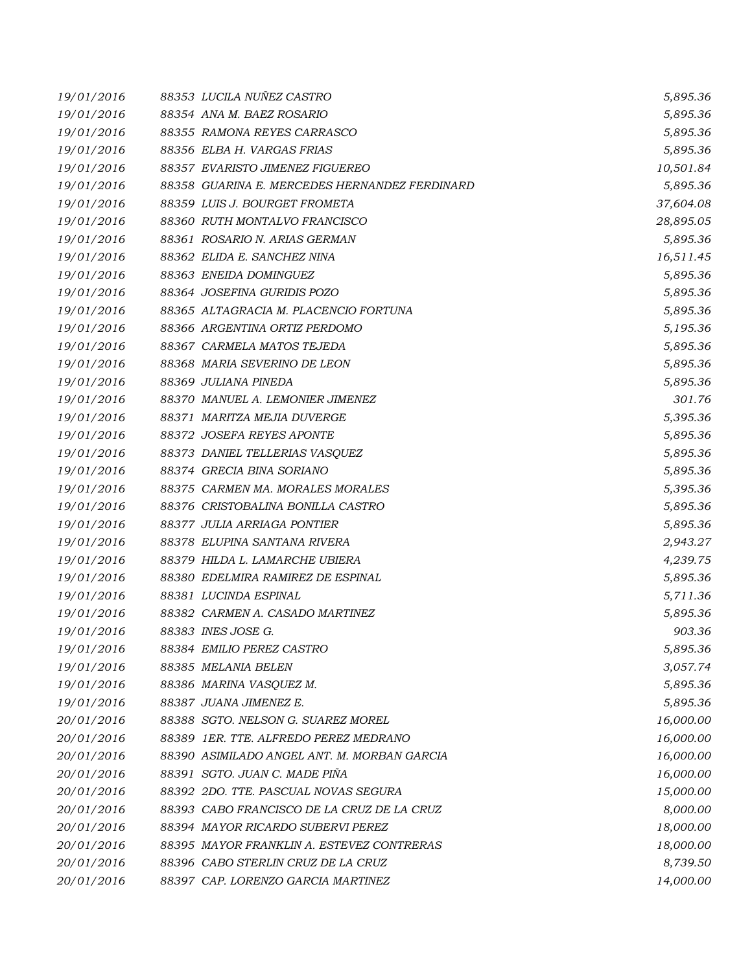| 19/01/2016 | 88353 LUCILA NUÑEZ CASTRO                     | 5,895.36  |
|------------|-----------------------------------------------|-----------|
| 19/01/2016 | 88354 ANA M. BAEZ ROSARIO                     | 5,895.36  |
| 19/01/2016 | 88355 RAMONA REYES CARRASCO                   | 5,895.36  |
| 19/01/2016 | 88356 ELBA H. VARGAS FRIAS                    | 5,895.36  |
| 19/01/2016 | 88357 EVARISTO JIMENEZ FIGUEREO               | 10,501.84 |
| 19/01/2016 | 88358 GUARINA E. MERCEDES HERNANDEZ FERDINARD | 5,895.36  |
| 19/01/2016 | 88359 LUIS J. BOURGET FROMETA                 | 37,604.08 |
| 19/01/2016 | 88360 RUTH MONTALVO FRANCISCO                 | 28,895.05 |
| 19/01/2016 | 88361 ROSARIO N. ARIAS GERMAN                 | 5,895.36  |
| 19/01/2016 | 88362 ELIDA E. SANCHEZ NINA                   | 16,511.45 |
| 19/01/2016 | 88363 ENEIDA DOMINGUEZ                        | 5,895.36  |
| 19/01/2016 | 88364 JOSEFINA GURIDIS POZO                   | 5,895.36  |
| 19/01/2016 | 88365 ALTAGRACIA M. PLACENCIO FORTUNA         | 5,895.36  |
| 19/01/2016 | 88366 ARGENTINA ORTIZ PERDOMO                 | 5,195.36  |
| 19/01/2016 | 88367 CARMELA MATOS TEJEDA                    | 5,895.36  |
| 19/01/2016 | 88368 MARIA SEVERINO DE LEON                  | 5,895.36  |
| 19/01/2016 | 88369 JULIANA PINEDA                          | 5,895.36  |
| 19/01/2016 | 88370 MANUEL A. LEMONIER JIMENEZ              | 301.76    |
| 19/01/2016 | 88371 MARITZA MEJIA DUVERGE                   | 5,395.36  |
| 19/01/2016 | 88372 JOSEFA REYES APONTE                     | 5,895.36  |
| 19/01/2016 | 88373 DANIEL TELLERIAS VASQUEZ                | 5,895.36  |
| 19/01/2016 | 88374 GRECIA BINA SORIANO                     | 5,895.36  |
| 19/01/2016 | 88375 CARMEN MA. MORALES MORALES              | 5,395.36  |
| 19/01/2016 | 88376 CRISTOBALINA BONILLA CASTRO             | 5,895.36  |
| 19/01/2016 | 88377 JULIA ARRIAGA PONTIER                   | 5,895.36  |
| 19/01/2016 | 88378 ELUPINA SANTANA RIVERA                  | 2,943.27  |
| 19/01/2016 | 88379 HILDA L. LAMARCHE UBIERA                | 4,239.75  |
| 19/01/2016 | 88380 EDELMIRA RAMIREZ DE ESPINAL             | 5,895.36  |
| 19/01/2016 | 88381 LUCINDA ESPINAL                         | 5,711.36  |
| 19/01/2016 | 88382 CARMEN A. CASADO MARTINEZ               | 5,895.36  |
| 19/01/2016 | 88383 INES JOSE G.                            | 903.36    |
| 19/01/2016 | 88384 EMILIO PEREZ CASTRO                     | 5,895.36  |
| 19/01/2016 | 88385 MELANIA BELEN                           | 3,057.74  |
| 19/01/2016 | 88386 MARINA VASQUEZ M.                       | 5,895.36  |
| 19/01/2016 | 88387 JUANA JIMENEZ E.                        | 5,895.36  |
| 20/01/2016 | 88388 SGTO. NELSON G. SUAREZ MOREL            | 16,000.00 |
| 20/01/2016 | 88389 1ER. TTE. ALFREDO PEREZ MEDRANO         | 16,000.00 |
| 20/01/2016 | 88390 ASIMILADO ANGEL ANT. M. MORBAN GARCIA   | 16,000.00 |
| 20/01/2016 | 88391 SGTO. JUAN C. MADE PIÑA                 | 16,000.00 |
| 20/01/2016 | 88392 2DO. TTE. PASCUAL NOVAS SEGURA          | 15,000.00 |
| 20/01/2016 | 88393 CABO FRANCISCO DE LA CRUZ DE LA CRUZ    | 8,000.00  |
| 20/01/2016 | 88394 MAYOR RICARDO SUBERVI PEREZ             | 18,000.00 |
| 20/01/2016 | 88395 MAYOR FRANKLIN A. ESTEVEZ CONTRERAS     | 18,000.00 |
| 20/01/2016 | 88396 CABO STERLIN CRUZ DE LA CRUZ            | 8,739.50  |
| 20/01/2016 | 88397 CAP. LORENZO GARCIA MARTINEZ            | 14,000.00 |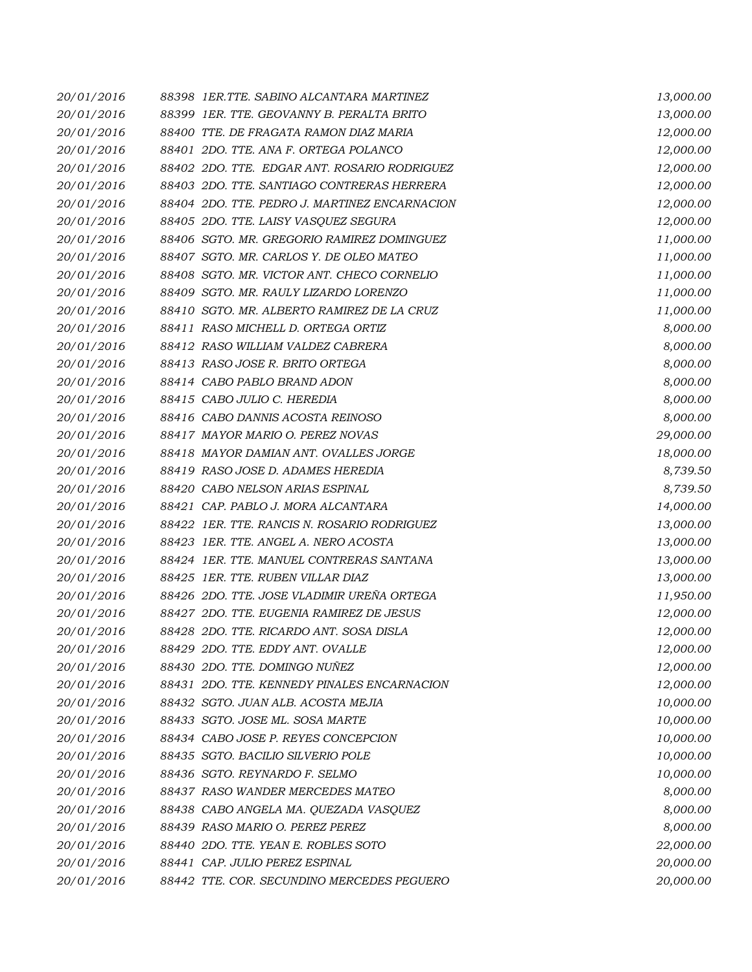| 20/01/2016 | 88398 IER.TTE, SABINO ALCANTARA MARTINEZ      | 13,000.00 |
|------------|-----------------------------------------------|-----------|
| 20/01/2016 | 88399 IER. TTE. GEOVANNY B. PERALTA BRITO     | 13,000.00 |
| 20/01/2016 | 88400 TTE. DE FRAGATA RAMON DIAZ MARIA        | 12,000.00 |
| 20/01/2016 | 88401 2DO. TTE. ANA F. ORTEGA POLANCO         | 12,000.00 |
| 20/01/2016 | 88402 2DO. TTE. EDGAR ANT. ROSARIO RODRIGUEZ  | 12,000.00 |
| 20/01/2016 | 88403 2DO. TTE. SANTIAGO CONTRERAS HERRERA    | 12,000.00 |
| 20/01/2016 | 88404 2DO. TTE. PEDRO J. MARTINEZ ENCARNACION | 12,000.00 |
| 20/01/2016 | 88405 2DO. TTE. LAISY VASQUEZ SEGURA          | 12,000.00 |
| 20/01/2016 | 88406 SGTO. MR. GREGORIO RAMIREZ DOMINGUEZ    | 11,000.00 |
| 20/01/2016 | 88407 SGTO. MR. CARLOS Y. DE OLEO MATEO       | 11,000.00 |
| 20/01/2016 | 88408 SGTO. MR. VICTOR ANT. CHECO CORNELIO    | 11,000.00 |
| 20/01/2016 | 88409 SGTO. MR. RAULY LIZARDO LORENZO         | 11,000.00 |
| 20/01/2016 | 88410 SGTO. MR. ALBERTO RAMIREZ DE LA CRUZ    | 11,000.00 |
| 20/01/2016 | 88411 RASO MICHELL D. ORTEGA ORTIZ            | 8,000.00  |
| 20/01/2016 | 88412 RASO WILLIAM VALDEZ CABRERA             | 8,000.00  |
| 20/01/2016 | 88413 RASO JOSE R. BRITO ORTEGA               | 8,000.00  |
| 20/01/2016 | 88414 CABO PABLO BRAND ADON                   | 8,000.00  |
| 20/01/2016 | 88415 CABO JULIO C. HEREDIA                   | 8,000.00  |
| 20/01/2016 | 88416 CABO DANNIS ACOSTA REINOSO              | 8,000.00  |
| 20/01/2016 | 88417 MAYOR MARIO O. PEREZ NOVAS              | 29,000.00 |
| 20/01/2016 | 88418 MAYOR DAMIAN ANT. OVALLES JORGE         | 18,000.00 |
| 20/01/2016 | 88419 RASO JOSE D. ADAMES HEREDIA             | 8,739.50  |
| 20/01/2016 | 88420 CABO NELSON ARIAS ESPINAL               | 8,739.50  |
| 20/01/2016 | 88421 CAP. PABLO J. MORA ALCANTARA            | 14,000.00 |
| 20/01/2016 | 88422 1ER. TTE. RANCIS N. ROSARIO RODRIGUEZ   | 13,000.00 |
| 20/01/2016 | 88423 IER. TTE. ANGEL A. NERO ACOSTA          | 13,000.00 |
| 20/01/2016 | 88424 IER. TTE. MANUEL CONTRERAS SANTANA      | 13,000.00 |
| 20/01/2016 | 88425 IER. TTE, RUBEN VILLAR DIAZ             | 13,000.00 |
| 20/01/2016 | 88426 2DO. TTE. JOSE VLADIMIR UREÑA ORTEGA    | 11,950.00 |
| 20/01/2016 | 88427 2DO. TTE, EUGENIA RAMIREZ DE JESUS      | 12,000.00 |
| 20/01/2016 | 88428 2DO. TTE. RICARDO ANT. SOSA DISLA       | 12,000.00 |
| 20/01/2016 | 88429 2DO. TTE. EDDY ANT. OVALLE              | 12,000.00 |
| 20/01/2016 | 88430 2DO. TTE. DOMINGO NUÑEZ                 | 12,000.00 |
| 20/01/2016 | 88431 2DO. TTE, KENNEDY PINALES ENCARNACION   | 12,000.00 |
| 20/01/2016 | 88432 SGTO. JUAN ALB. ACOSTA MEJIA            | 10,000.00 |
| 20/01/2016 | 88433 SGTO. JOSE ML. SOSA MARTE               | 10,000.00 |
| 20/01/2016 | 88434 CABO JOSE P. REYES CONCEPCION           | 10,000.00 |
| 20/01/2016 | 88435 SGTO. BACILIO SILVERIO POLE             | 10,000.00 |
| 20/01/2016 | 88436 SGTO. REYNARDO F. SELMO                 | 10,000.00 |
| 20/01/2016 | 88437 RASO WANDER MERCEDES MATEO              | 8,000.00  |
| 20/01/2016 | 88438 CABO ANGELA MA. QUEZADA VASQUEZ         | 8,000.00  |
| 20/01/2016 | 88439 RASO MARIO O. PEREZ PEREZ               | 8,000.00  |
| 20/01/2016 | 88440 2DO. TTE. YEAN E. ROBLES SOTO           | 22,000.00 |
| 20/01/2016 | 88441 CAP. JULIO PEREZ ESPINAL                | 20,000.00 |
| 20/01/2016 | 88442 TTE. COR. SECUNDINO MERCEDES PEGUERO    | 20,000.00 |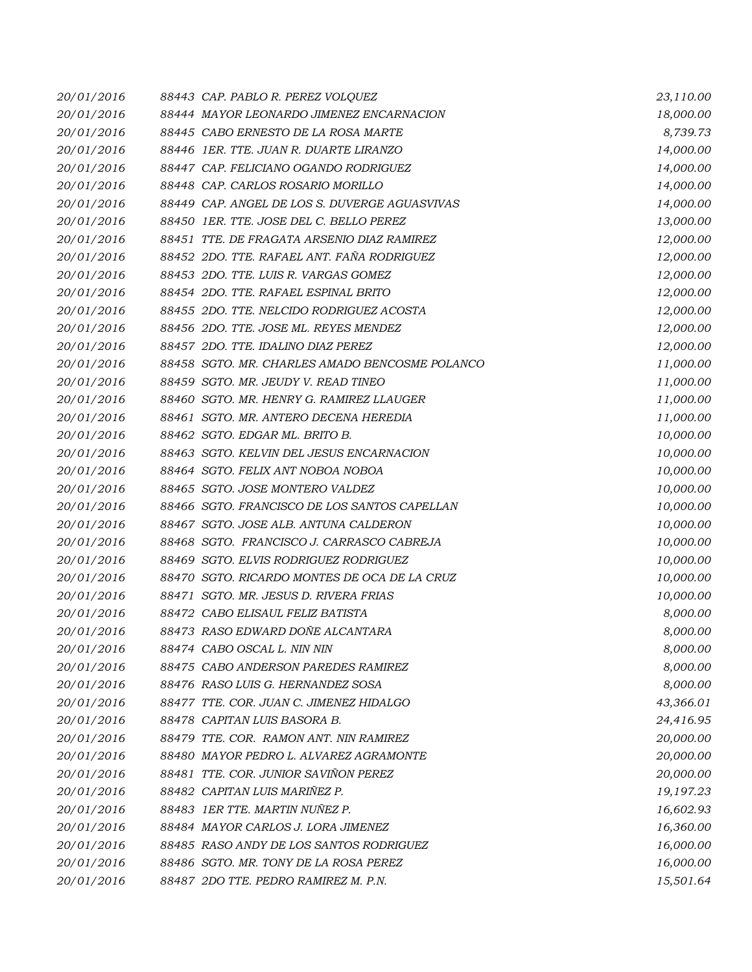| 20/01/2016 | 88443 CAP. PABLO R. PEREZ VOLQUEZ              | 23,110.00 |
|------------|------------------------------------------------|-----------|
| 20/01/2016 | 88444 MAYOR LEONARDO JIMENEZ ENCARNACION       | 18,000.00 |
| 20/01/2016 | 88445 CABO ERNESTO DE LA ROSA MARTE            | 8,739.73  |
| 20/01/2016 | 88446 1ER. TTE. JUAN R. DUARTE LIRANZO         | 14,000.00 |
| 20/01/2016 | 88447 CAP. FELICIANO OGANDO RODRIGUEZ          | 14,000.00 |
| 20/01/2016 | 88448 CAP. CARLOS ROSARIO MORILLO              | 14,000.00 |
| 20/01/2016 | 88449 CAP. ANGEL DE LOS S. DUVERGE AGUASVIVAS  | 14,000.00 |
| 20/01/2016 | 88450 IER. TTE. JOSE DEL C. BELLO PEREZ        | 13,000.00 |
| 20/01/2016 | 88451 TTE. DE FRAGATA ARSENIO DIAZ RAMIREZ     | 12,000.00 |
| 20/01/2016 | 88452 2DO. TTE. RAFAEL ANT. FAÑA RODRIGUEZ     | 12,000.00 |
| 20/01/2016 | 88453 2DO. TTE. LUIS R. VARGAS GOMEZ           | 12,000.00 |
| 20/01/2016 | 88454 2DO. TTE. RAFAEL ESPINAL BRITO           | 12,000.00 |
| 20/01/2016 | 88455 2DO. TTE. NELCIDO RODRIGUEZ ACOSTA       | 12,000.00 |
| 20/01/2016 | 88456 2DO. TTE. JOSE ML. REYES MENDEZ          | 12,000.00 |
| 20/01/2016 | 88457 2DO. TTE. IDALINO DIAZ PEREZ             | 12,000.00 |
| 20/01/2016 | 88458 SGTO. MR. CHARLES AMADO BENCOSME POLANCO | 11,000.00 |
| 20/01/2016 | 88459 SGTO. MR. JEUDY V. READ TINEO            | 11,000.00 |
| 20/01/2016 | 88460 SGTO. MR. HENRY G. RAMIREZ LLAUGER       | 11,000.00 |
| 20/01/2016 | 88461 SGTO. MR. ANTERO DECENA HEREDIA          | 11,000.00 |
| 20/01/2016 | 88462 SGTO. EDGAR ML. BRITO B.                 | 10,000.00 |
| 20/01/2016 | 88463 SGTO. KELVIN DEL JESUS ENCARNACION       | 10,000.00 |
| 20/01/2016 | 88464 SGTO. FELIX ANT NOBOA NOBOA              | 10,000.00 |
| 20/01/2016 | 88465 SGTO. JOSE MONTERO VALDEZ                | 10,000.00 |
| 20/01/2016 | 88466 SGTO. FRANCISCO DE LOS SANTOS CAPELLAN   | 10,000.00 |
| 20/01/2016 | 88467 SGTO. JOSE ALB. ANTUNA CALDERON          | 10,000.00 |
| 20/01/2016 | 88468 SGTO. FRANCISCO J. CARRASCO CABREJA      | 10,000.00 |
| 20/01/2016 | 88469 SGTO. ELVIS RODRIGUEZ RODRIGUEZ          | 10,000.00 |
| 20/01/2016 | 88470 SGTO. RICARDO MONTES DE OCA DE LA CRUZ   | 10,000.00 |
| 20/01/2016 | 88471 SGTO. MR. JESUS D. RIVERA FRIAS          | 10,000.00 |
| 20/01/2016 | 88472 CABO ELISAUL FELIZ BATISTA               | 8,000.00  |
| 20/01/2016 | 88473 RASO EDWARD DOÑE ALCANTARA               | 8,000.00  |
| 20/01/2016 | 88474 CABO OSCAL L. NIN NIN                    | 8,000.00  |
| 20/01/2016 | 88475 CABO ANDERSON PAREDES RAMIREZ            | 8,000.00  |
| 20/01/2016 | 88476 RASO LUIS G. HERNANDEZ SOSA              | 8,000.00  |
| 20/01/2016 | 88477 TTE. COR. JUAN C. JIMENEZ HIDALGO        | 43,366.01 |
| 20/01/2016 | 88478 CAPITAN LUIS BASORA B.                   | 24,416.95 |
| 20/01/2016 | 88479 TTE, COR. RAMON ANT, NIN RAMIREZ         | 20,000.00 |
| 20/01/2016 | 88480 MAYOR PEDRO L. ALVAREZ AGRAMONTE         | 20,000.00 |
| 20/01/2016 | 88481 TTE. COR. JUNIOR SAVIÑON PEREZ           | 20,000.00 |
| 20/01/2016 | 88482 CAPITAN LUIS MARIÑEZ P.                  | 19,197.23 |
| 20/01/2016 | 88483 IER TTE. MARTIN NUÑEZ P.                 | 16,602.93 |
| 20/01/2016 | 88484 MAYOR CARLOS J. LORA JIMENEZ             | 16,360.00 |
| 20/01/2016 | 88485 RASO ANDY DE LOS SANTOS RODRIGUEZ        | 16,000.00 |
| 20/01/2016 | 88486 SGTO. MR. TONY DE LA ROSA PEREZ          | 16,000.00 |
| 20/01/2016 | 88487 2DO TTE. PEDRO RAMIREZ M. P.N.           | 15,501.64 |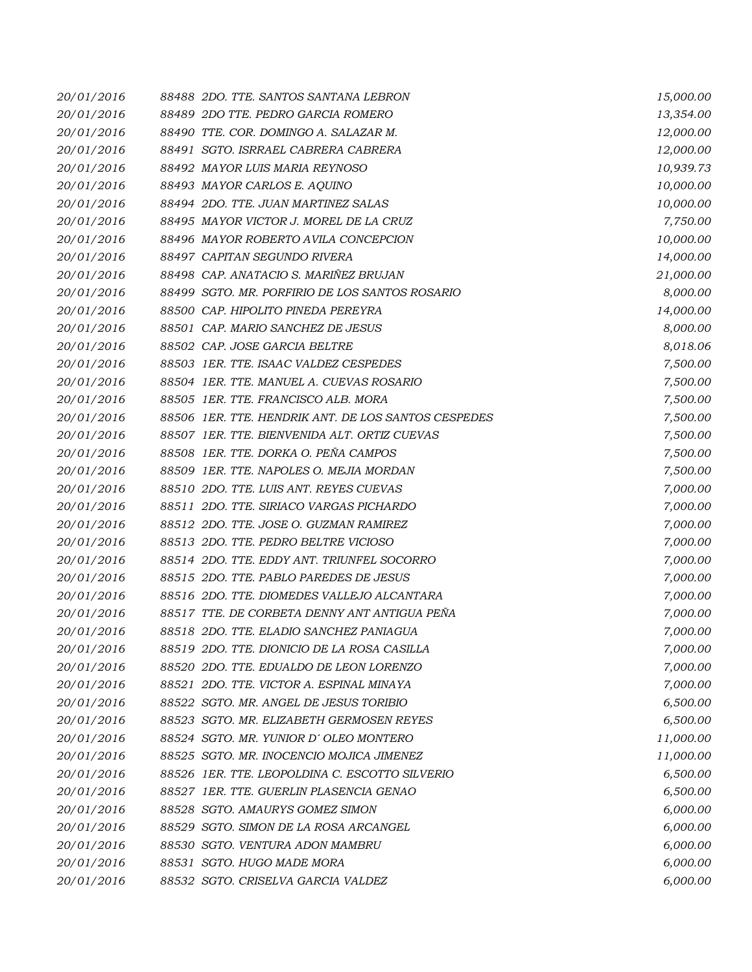| 20/01/2016 | 88488 2DO. TTE, SANTOS SANTANA LEBRON               | 15,000.00 |
|------------|-----------------------------------------------------|-----------|
| 20/01/2016 | 88489 2DO TTE. PEDRO GARCIA ROMERO                  | 13,354.00 |
| 20/01/2016 | 88490 TTE. COR. DOMINGO A. SALAZAR M.               | 12,000.00 |
| 20/01/2016 | 88491 SGTO. ISRRAEL CABRERA CABRERA                 | 12,000.00 |
| 20/01/2016 | 88492 MAYOR LUIS MARIA REYNOSO                      | 10,939.73 |
| 20/01/2016 | 88493 MAYOR CARLOS E. AQUINO                        | 10,000.00 |
| 20/01/2016 | 88494 2DO. TTE. JUAN MARTINEZ SALAS                 | 10,000.00 |
| 20/01/2016 | 88495 MAYOR VICTOR J. MOREL DE LA CRUZ              | 7,750.00  |
| 20/01/2016 | 88496 MAYOR ROBERTO AVILA CONCEPCION                | 10,000.00 |
| 20/01/2016 | 88497 CAPITAN SEGUNDO RIVERA                        | 14,000.00 |
| 20/01/2016 | 88498 CAP. ANATACIO S. MARIÑEZ BRUJAN               | 21,000.00 |
| 20/01/2016 | 88499 SGTO. MR. PORFIRIO DE LOS SANTOS ROSARIO      | 8,000.00  |
| 20/01/2016 | 88500 CAP. HIPOLITO PINEDA PEREYRA                  | 14,000.00 |
| 20/01/2016 | 88501 CAP. MARIO SANCHEZ DE JESUS                   | 8,000.00  |
| 20/01/2016 | 88502 CAP. JOSE GARCIA BELTRE                       | 8,018.06  |
| 20/01/2016 | 88503 IER. TTE. ISAAC VALDEZ CESPEDES               | 7,500.00  |
| 20/01/2016 | 88504 1ER. TTE. MANUEL A. CUEVAS ROSARIO            | 7,500.00  |
| 20/01/2016 | 88505 1ER. TTE. FRANCISCO ALB. MORA                 | 7,500.00  |
| 20/01/2016 | 88506 1ER. TTE. HENDRIK ANT. DE LOS SANTOS CESPEDES | 7,500.00  |
| 20/01/2016 | 88507 IER. TTE, BIENVENIDA ALT. ORTIZ CUEVAS        | 7,500.00  |
| 20/01/2016 | 88508 1ER. TTE. DORKA O. PEÑA CAMPOS                | 7,500.00  |
| 20/01/2016 | 88509 1ER. TTE. NAPOLES O. MEJIA MORDAN             | 7,500.00  |
| 20/01/2016 | 88510 2DO. TTE. LUIS ANT. REYES CUEVAS              | 7,000.00  |
| 20/01/2016 | 88511 2DO. TTE. SIRIACO VARGAS PICHARDO             | 7,000.00  |
| 20/01/2016 | 88512 2DO. TTE. JOSE O. GUZMAN RAMIREZ              | 7,000.00  |
| 20/01/2016 | 88513 2DO. TTE. PEDRO BELTRE VICIOSO                | 7,000.00  |
| 20/01/2016 | 88514 2DO. TTE. EDDY ANT. TRIUNFEL SOCORRO          | 7,000.00  |
| 20/01/2016 | 88515 2DO. TTE, PABLO PAREDES DE JESUS              | 7,000.00  |
| 20/01/2016 | 88516 2DO. TTE. DIOMEDES VALLEJO ALCANTARA          | 7,000.00  |
| 20/01/2016 | 88517 TTE, DE CORBETA DENNY ANT ANTIGUA PEÑA        | 7,000.00  |
| 20/01/2016 | 88518 2DO. TTE, ELADIO SANCHEZ PANIAGUA             | 7,000.00  |
| 20/01/2016 | 88519 2DO. TTE. DIONICIO DE LA ROSA CASILLA         | 7,000.00  |
| 20/01/2016 | 88520 2DO. TTE. EDUALDO DE LEON LORENZO             | 7,000.00  |
| 20/01/2016 | 88521 2DO. TTE, VICTOR A. ESPINAL MINAYA            | 7,000.00  |
| 20/01/2016 | 88522 SGTO. MR. ANGEL DE JESUS TORIBIO              | 6,500.00  |
| 20/01/2016 | 88523 SGTO. MR. ELIZABETH GERMOSEN REYES            | 6,500.00  |
| 20/01/2016 | 88524 SGTO. MR. YUNIOR D'OLEO MONTERO               | 11,000.00 |
| 20/01/2016 | 88525 SGTO. MR. INOCENCIO MOJICA JIMENEZ            | 11,000.00 |
| 20/01/2016 | 88526 1ER. TTE. LEOPOLDINA C. ESCOTTO SILVERIO      | 6,500.00  |
| 20/01/2016 | 88527 1ER. TTE, GUERLIN PLASENCIA GENAO             | 6,500.00  |
| 20/01/2016 | 88528 SGTO. AMAURYS GOMEZ SIMON                     | 6,000.00  |
| 20/01/2016 | 88529 SGTO. SIMON DE LA ROSA ARCANGEL               | 6,000.00  |
| 20/01/2016 | 88530 SGTO. VENTURA ADON MAMBRU                     | 6,000.00  |
| 20/01/2016 | 88531 SGTO. HUGO MADE MORA                          | 6,000.00  |
| 20/01/2016 | 88532 SGTO. CRISELVA GARCIA VALDEZ                  | 6,000.00  |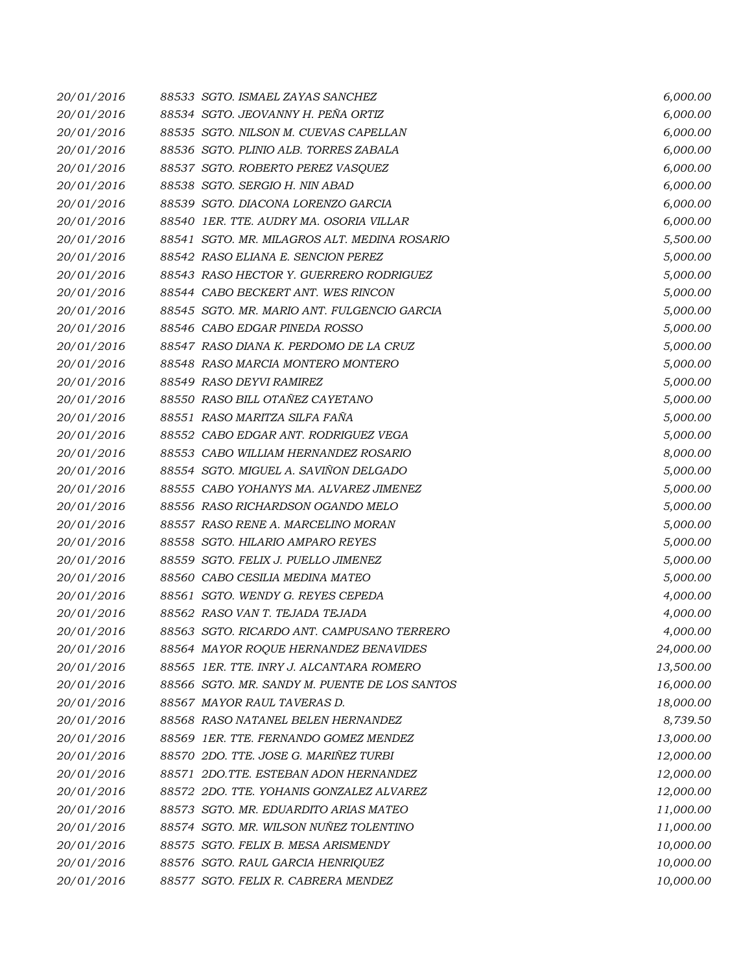| 20/01/2016 | 88533 SGTO. ISMAEL ZAYAS SANCHEZ              | 6,000.00  |
|------------|-----------------------------------------------|-----------|
| 20/01/2016 | 88534 SGTO. JEOVANNY H. PEÑA ORTIZ            | 6,000.00  |
| 20/01/2016 | 88535 SGTO. NILSON M. CUEVAS CAPELLAN         | 6,000.00  |
| 20/01/2016 | 88536 SGTO. PLINIO ALB. TORRES ZABALA         | 6,000.00  |
| 20/01/2016 | 88537 SGTO. ROBERTO PEREZ VASQUEZ             | 6,000.00  |
| 20/01/2016 | 88538 SGTO. SERGIO H. NIN ABAD                | 6,000.00  |
| 20/01/2016 | 88539 SGTO. DIACONA LORENZO GARCIA            | 6,000.00  |
| 20/01/2016 | 88540 1ER. TTE. AUDRY MA. OSORIA VILLAR       | 6,000.00  |
| 20/01/2016 | 88541 SGTO. MR. MILAGROS ALT. MEDINA ROSARIO  | 5,500.00  |
| 20/01/2016 | 88542 RASO ELIANA E. SENCION PEREZ            | 5,000.00  |
| 20/01/2016 | 88543 RASO HECTOR Y. GUERRERO RODRIGUEZ       | 5,000.00  |
| 20/01/2016 | 88544 CABO BECKERT ANT. WES RINCON            | 5,000.00  |
| 20/01/2016 | 88545 SGTO. MR. MARIO ANT. FULGENCIO GARCIA   | 5,000.00  |
| 20/01/2016 | 88546 CABO EDGAR PINEDA ROSSO                 | 5,000.00  |
| 20/01/2016 | 88547 RASO DIANA K. PERDOMO DE LA CRUZ        | 5,000.00  |
| 20/01/2016 | 88548 RASO MARCIA MONTERO MONTERO             | 5,000.00  |
| 20/01/2016 | 88549 RASO DEYVI RAMIREZ                      | 5,000.00  |
| 20/01/2016 | 88550 RASO BILL OTAÑEZ CAYETANO               | 5,000.00  |
| 20/01/2016 | 88551 RASO MARITZA SILFA FAÑA                 | 5,000.00  |
| 20/01/2016 | 88552 CABO EDGAR ANT. RODRIGUEZ VEGA          | 5,000.00  |
| 20/01/2016 | 88553 CABO WILLIAM HERNANDEZ ROSARIO          | 8,000.00  |
| 20/01/2016 | 88554 SGTO. MIGUEL A. SAVIÑON DELGADO         | 5,000.00  |
| 20/01/2016 | 88555 CABO YOHANYS MA. ALVAREZ JIMENEZ        | 5,000.00  |
| 20/01/2016 | 88556 RASO RICHARDSON OGANDO MELO             | 5,000.00  |
| 20/01/2016 | 88557 RASO RENE A. MARCELINO MORAN            | 5,000.00  |
| 20/01/2016 | 88558 SGTO. HILARIO AMPARO REYES              | 5,000.00  |
| 20/01/2016 | 88559 SGTO. FELIX J. PUELLO JIMENEZ           | 5,000.00  |
| 20/01/2016 | 88560 CABO CESILIA MEDINA MATEO               | 5,000.00  |
| 20/01/2016 | 88561 SGTO. WENDY G. REYES CEPEDA             | 4,000.00  |
| 20/01/2016 | 88562 RASO VAN T. TEJADA TEJADA               | 4,000.00  |
| 20/01/2016 | 88563 SGTO. RICARDO ANT. CAMPUSANO TERRERO    | 4,000.00  |
| 20/01/2016 | 88564 MAYOR ROQUE HERNANDEZ BENAVIDES         | 24,000.00 |
| 20/01/2016 | 88565 IER. TTE. INRY J. ALCANTARA ROMERO      | 13,500.00 |
| 20/01/2016 | 88566 SGTO. MR. SANDY M. PUENTE DE LOS SANTOS | 16,000.00 |
| 20/01/2016 | 88567 MAYOR RAUL TAVERAS D.                   | 18,000.00 |
| 20/01/2016 | 88568 RASO NATANEL BELEN HERNANDEZ            | 8,739.50  |
| 20/01/2016 | 88569 1ER. TTE. FERNANDO GOMEZ MENDEZ         | 13,000.00 |
| 20/01/2016 | 88570 2DO. TTE. JOSE G. MARIÑEZ TURBI         | 12,000.00 |
| 20/01/2016 | 88571 2DO.TTE. ESTEBAN ADON HERNANDEZ         | 12,000.00 |
| 20/01/2016 | 88572 2DO. TTE. YOHANIS GONZALEZ ALVAREZ      | 12,000.00 |
| 20/01/2016 | 88573 SGTO. MR. EDUARDITO ARIAS MATEO         | 11,000.00 |
| 20/01/2016 | 88574 SGTO. MR. WILSON NUÑEZ TOLENTINO        | 11,000.00 |
| 20/01/2016 | 88575 SGTO. FELIX B. MESA ARISMENDY           | 10,000.00 |
| 20/01/2016 | 88576 SGTO. RAUL GARCIA HENRIQUEZ             | 10,000.00 |
| 20/01/2016 | 88577 SGTO. FELIX R. CABRERA MENDEZ           | 10,000.00 |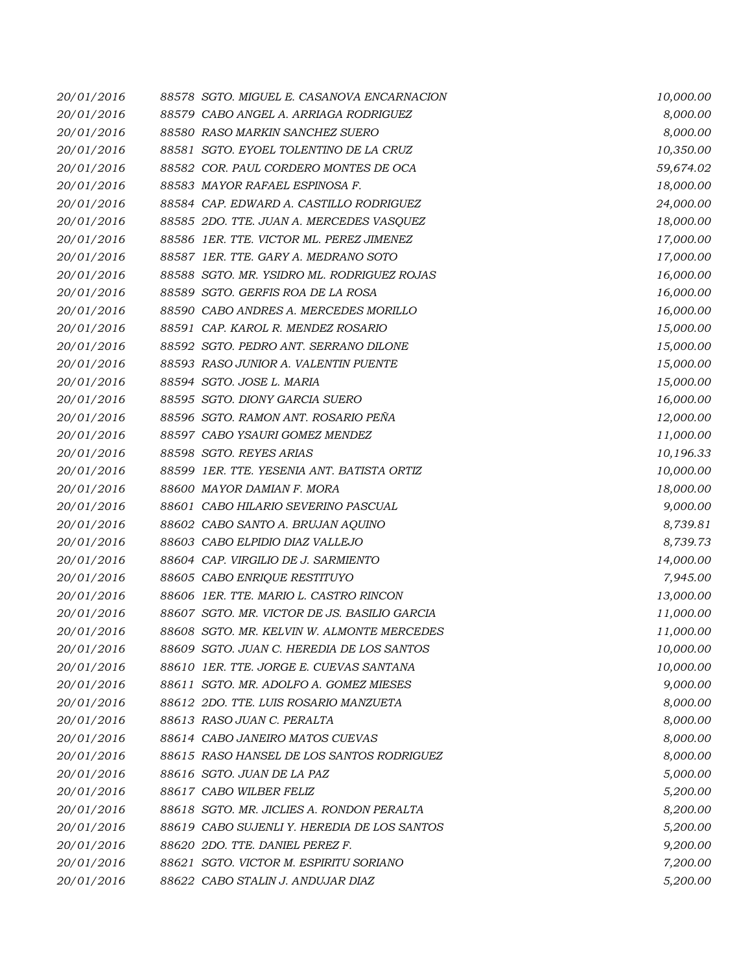| 20/01/2016 | 88578 SGTO. MIGUEL E. CASANOVA ENCARNACION   | 10,000.00 |
|------------|----------------------------------------------|-----------|
| 20/01/2016 | 88579 CABO ANGEL A. ARRIAGA RODRIGUEZ        | 8,000.00  |
| 20/01/2016 | 88580 RASO MARKIN SANCHEZ SUERO              | 8,000.00  |
| 20/01/2016 | 88581 SGTO. EYOEL TOLENTINO DE LA CRUZ       | 10,350.00 |
| 20/01/2016 | 88582 COR. PAUL CORDERO MONTES DE OCA        | 59,674.02 |
| 20/01/2016 | 88583 MAYOR RAFAEL ESPINOSA F.               | 18,000.00 |
| 20/01/2016 | 88584 CAP. EDWARD A. CASTILLO RODRIGUEZ      | 24,000.00 |
| 20/01/2016 | 88585 2DO. TTE. JUAN A. MERCEDES VASQUEZ     | 18,000.00 |
| 20/01/2016 | 88586 1ER. TTE. VICTOR ML. PEREZ JIMENEZ     | 17,000.00 |
| 20/01/2016 | 88587 1ER. TTE. GARY A. MEDRANO SOTO         | 17,000.00 |
| 20/01/2016 | 88588 SGTO. MR. YSIDRO ML. RODRIGUEZ ROJAS   | 16,000.00 |
| 20/01/2016 | 88589 SGTO. GERFIS ROA DE LA ROSA            | 16,000.00 |
| 20/01/2016 | 88590 CABO ANDRES A. MERCEDES MORILLO        | 16,000.00 |
| 20/01/2016 | 88591 CAP. KAROL R. MENDEZ ROSARIO           | 15,000.00 |
| 20/01/2016 | 88592 SGTO. PEDRO ANT. SERRANO DILONE        | 15,000.00 |
| 20/01/2016 | 88593 RASO JUNIOR A. VALENTIN PUENTE         | 15,000.00 |
| 20/01/2016 | 88594 SGTO. JOSE L. MARIA                    | 15,000.00 |
| 20/01/2016 | 88595 SGTO. DIONY GARCIA SUERO               | 16,000.00 |
| 20/01/2016 | 88596 SGTO. RAMON ANT. ROSARIO PEÑA          | 12,000.00 |
| 20/01/2016 | 88597 CABO YSAURI GOMEZ MENDEZ               | 11,000.00 |
| 20/01/2016 | 88598 SGTO. REYES ARIAS                      | 10,196.33 |
| 20/01/2016 | 88599 IER. TTE. YESENIA ANT. BATISTA ORTIZ   | 10,000.00 |
| 20/01/2016 | 88600 MAYOR DAMIAN F. MORA                   | 18,000.00 |
| 20/01/2016 | 88601 CABO HILARIO SEVERINO PASCUAL          | 9,000.00  |
| 20/01/2016 | 88602 CABO SANTO A. BRUJAN AQUINO            | 8,739.81  |
| 20/01/2016 | 88603 CABO ELPIDIO DIAZ VALLEJO              | 8,739.73  |
| 20/01/2016 | 88604 CAP. VIRGILIO DE J. SARMIENTO          | 14,000.00 |
| 20/01/2016 | 88605 CABO ENRIQUE RESTITUYO                 | 7,945.00  |
| 20/01/2016 | 88606 1ER. TTE. MARIO L. CASTRO RINCON       | 13,000.00 |
| 20/01/2016 | 88607 SGTO. MR. VICTOR DE JS. BASILIO GARCIA | 11,000.00 |
| 20/01/2016 | 88608 SGTO. MR. KELVIN W. ALMONTE MERCEDES   | 11,000.00 |
| 20/01/2016 | 88609 SGTO. JUAN C. HEREDIA DE LOS SANTOS    | 10,000.00 |
| 20/01/2016 | 88610 1ER. TTE, JORGE E. CUEVAS SANTANA      | 10,000.00 |
| 20/01/2016 | 88611 SGTO. MR. ADOLFO A. GOMEZ MIESES       | 9,000.00  |
| 20/01/2016 | 88612 2DO. TTE. LUIS ROSARIO MANZUETA        | 8,000.00  |
| 20/01/2016 | 88613 RASO JUAN C. PERALTA                   | 8,000.00  |
| 20/01/2016 | 88614 CABO JANEIRO MATOS CUEVAS              | 8,000.00  |
| 20/01/2016 | 88615 RASO HANSEL DE LOS SANTOS RODRIGUEZ    | 8,000.00  |
| 20/01/2016 | 88616 SGTO. JUAN DE LA PAZ                   | 5,000.00  |
| 20/01/2016 | 88617 CABO WILBER FELIZ                      | 5,200.00  |
| 20/01/2016 | 88618 SGTO. MR. JICLIES A. RONDON PERALTA    | 8,200.00  |
| 20/01/2016 | 88619 CABO SUJENLI Y. HEREDIA DE LOS SANTOS  | 5,200.00  |
| 20/01/2016 | 88620 2DO. TTE, DANIEL PEREZ F.              | 9,200.00  |
| 20/01/2016 | 88621 SGTO. VICTOR M. ESPIRITU SORIANO       | 7,200.00  |
| 20/01/2016 | 88622 CABO STALIN J. ANDUJAR DIAZ            | 5,200.00  |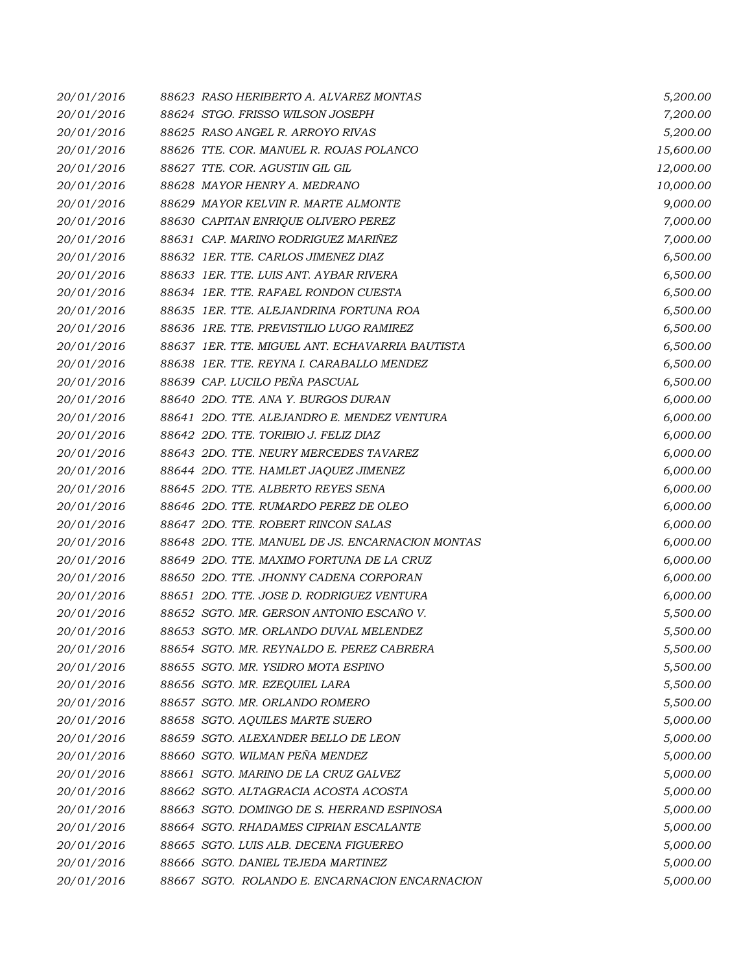| 20/01/2016 | 88623 RASO HERIBERTO A. ALVAREZ MONTAS           | 5,200.00  |
|------------|--------------------------------------------------|-----------|
| 20/01/2016 | 88624 STGO. FRISSO WILSON JOSEPH                 | 7,200.00  |
| 20/01/2016 | 88625 RASO ANGEL R. ARROYO RIVAS                 | 5,200.00  |
| 20/01/2016 | 88626 TTE. COR. MANUEL R. ROJAS POLANCO          | 15,600.00 |
| 20/01/2016 | 88627 TTE. COR. AGUSTIN GIL GIL                  | 12,000.00 |
| 20/01/2016 | 88628 MAYOR HENRY A. MEDRANO                     | 10,000.00 |
| 20/01/2016 | 88629 MAYOR KELVIN R. MARTE ALMONTE              | 9,000.00  |
| 20/01/2016 | 88630 CAPITAN ENRIQUE OLIVERO PEREZ              | 7,000.00  |
| 20/01/2016 | 88631 CAP. MARINO RODRIGUEZ MARIÑEZ              | 7,000.00  |
| 20/01/2016 | 88632 IER. TTE. CARLOS JIMENEZ DIAZ              | 6,500.00  |
| 20/01/2016 | 88633 IER. TTE. LUIS ANT. AYBAR RIVERA           | 6,500.00  |
| 20/01/2016 | 88634 1ER. TTE, RAFAEL RONDON CUESTA             | 6,500.00  |
| 20/01/2016 | 88635 IER. TTE. ALEJANDRINA FORTUNA ROA          | 6,500.00  |
| 20/01/2016 | 88636 1RE. TTE. PREVISTILIO LUGO RAMIREZ         | 6,500.00  |
| 20/01/2016 | 88637 IER. TTE. MIGUEL ANT. ECHAVARRIA BAUTISTA  | 6,500.00  |
| 20/01/2016 | 88638 IER. TTE. REYNA I. CARABALLO MENDEZ        | 6,500.00  |
| 20/01/2016 | 88639 CAP. LUCILO PEÑA PASCUAL                   | 6,500.00  |
| 20/01/2016 | 88640 2DO. TTE. ANA Y. BURGOS DURAN              | 6,000.00  |
| 20/01/2016 | 88641 2DO. TTE. ALEJANDRO E. MENDEZ VENTURA      | 6,000.00  |
| 20/01/2016 | 88642 2DO. TTE. TORIBIO J. FELIZ DIAZ            | 6,000.00  |
| 20/01/2016 | 88643 2DO. TTE. NEURY MERCEDES TAVAREZ           | 6,000.00  |
| 20/01/2016 | 88644 2DO. TTE. HAMLET JAQUEZ JIMENEZ            | 6,000.00  |
| 20/01/2016 | 88645 2DO. TTE, ALBERTO REYES SENA               | 6,000.00  |
| 20/01/2016 | 88646 2DO. TTE. RUMARDO PEREZ DE OLEO            | 6,000.00  |
| 20/01/2016 | 88647 2DO. TTE. ROBERT RINCON SALAS              | 6,000.00  |
| 20/01/2016 | 88648 2DO. TTE. MANUEL DE JS. ENCARNACION MONTAS | 6,000.00  |
| 20/01/2016 | 88649 2DO. TTE. MAXIMO FORTUNA DE LA CRUZ        | 6,000.00  |
| 20/01/2016 | 88650 2DO. TTE. JHONNY CADENA CORPORAN           | 6,000.00  |
| 20/01/2016 | 88651 2DO. TTE. JOSE D. RODRIGUEZ VENTURA        | 6,000.00  |
| 20/01/2016 | 88652 SGTO. MR. GERSON ANTONIO ESCAÑO V.         | 5,500.00  |
| 20/01/2016 | 88653 SGTO. MR. ORLANDO DUVAL MELENDEZ           | 5,500.00  |
| 20/01/2016 | 88654 SGTO. MR. REYNALDO E. PEREZ CABRERA        | 5,500.00  |
| 20/01/2016 | 88655 SGTO. MR. YSIDRO MOTA ESPINO               | 5,500.00  |
| 20/01/2016 | 88656 SGTO. MR. EZEQUIEL LARA                    | 5,500.00  |
| 20/01/2016 | 88657 SGTO, MR. ORLANDO ROMERO                   | 5,500.00  |
| 20/01/2016 | 88658 SGTO. AQUILES MARTE SUERO                  | 5,000.00  |
| 20/01/2016 | 88659 SGTO. ALEXANDER BELLO DE LEON              | 5,000.00  |
| 20/01/2016 | 88660 SGTO. WILMAN PEÑA MENDEZ                   | 5,000.00  |
| 20/01/2016 | 88661 SGTO. MARINO DE LA CRUZ GALVEZ             | 5,000.00  |
| 20/01/2016 | 88662 SGTO. ALTAGRACIA ACOSTA ACOSTA             | 5,000.00  |
| 20/01/2016 | 88663 SGTO. DOMINGO DE S. HERRAND ESPINOSA       | 5,000.00  |
| 20/01/2016 | 88664 SGTO. RHADAMES CIPRIAN ESCALANTE           | 5,000.00  |
| 20/01/2016 | 88665 SGTO. LUIS ALB. DECENA FIGUEREO            | 5,000.00  |
| 20/01/2016 | 88666 SGTO. DANIEL TEJEDA MARTINEZ               | 5,000.00  |
| 20/01/2016 | 88667 SGTO. ROLANDO E. ENCARNACION ENCARNACION   | 5,000.00  |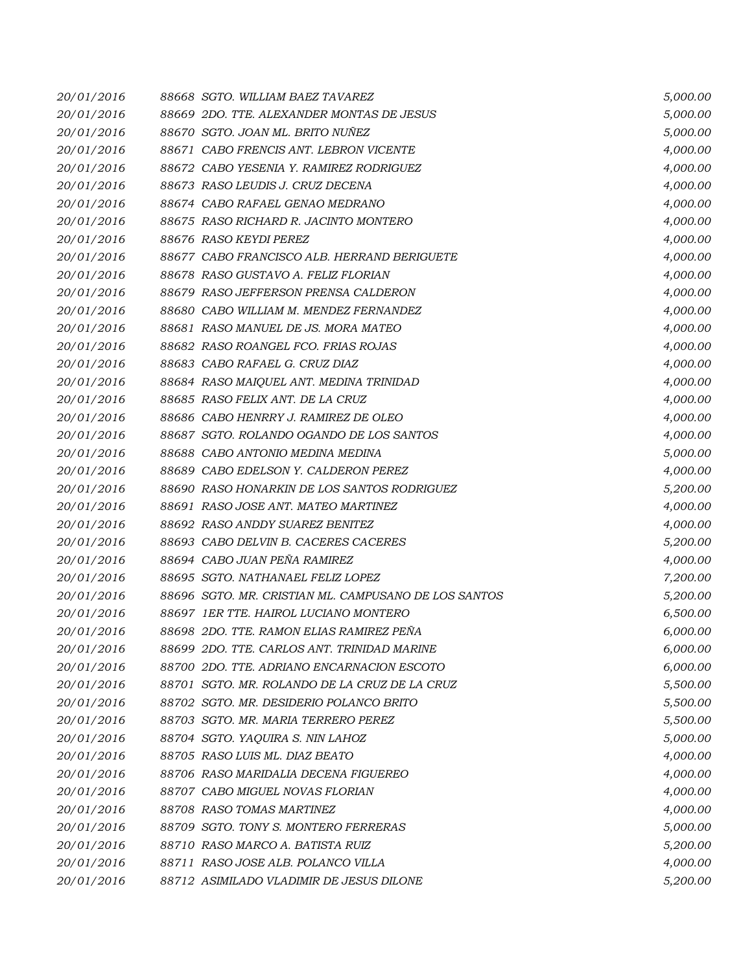| 20/01/2016 | 88668 SGTO. WILLIAM BAEZ TAVAREZ                     | 5,000.00 |
|------------|------------------------------------------------------|----------|
| 20/01/2016 | 88669 2DO. TTE, ALEXANDER MONTAS DE JESUS            | 5,000.00 |
| 20/01/2016 | 88670 SGTO. JOAN ML. BRITO NUÑEZ                     | 5,000.00 |
| 20/01/2016 | 88671 CABO FRENCIS ANT. LEBRON VICENTE               | 4,000.00 |
| 20/01/2016 | 88672 CABO YESENIA Y. RAMIREZ RODRIGUEZ              | 4,000.00 |
| 20/01/2016 | 88673 RASO LEUDIS J. CRUZ DECENA                     | 4,000.00 |
| 20/01/2016 | 88674 CABO RAFAEL GENAO MEDRANO                      | 4,000.00 |
| 20/01/2016 | 88675 RASO RICHARD R. JACINTO MONTERO                | 4,000.00 |
| 20/01/2016 | 88676 RASO KEYDI PEREZ                               | 4,000.00 |
| 20/01/2016 | 88677 CABO FRANCISCO ALB. HERRAND BERIGUETE          | 4,000.00 |
| 20/01/2016 | 88678 RASO GUSTAVO A. FELIZ FLORIAN                  | 4,000.00 |
| 20/01/2016 | 88679 RASO JEFFERSON PRENSA CALDERON                 | 4,000.00 |
| 20/01/2016 | 88680 CABO WILLIAM M. MENDEZ FERNANDEZ               | 4,000.00 |
| 20/01/2016 | 88681 RASO MANUEL DE JS. MORA MATEO                  | 4,000.00 |
| 20/01/2016 | 88682 RASO ROANGEL FCO. FRIAS ROJAS                  | 4,000.00 |
| 20/01/2016 | 88683 CABO RAFAEL G. CRUZ DIAZ                       | 4,000.00 |
| 20/01/2016 | 88684 RASO MAIQUEL ANT. MEDINA TRINIDAD              | 4,000.00 |
| 20/01/2016 | 88685 RASO FELIX ANT. DE LA CRUZ                     | 4,000.00 |
| 20/01/2016 | 88686 CABO HENRRY J. RAMIREZ DE OLEO                 | 4,000.00 |
| 20/01/2016 | 88687 SGTO. ROLANDO OGANDO DE LOS SANTOS             | 4,000.00 |
| 20/01/2016 | 88688 CABO ANTONIO MEDINA MEDINA                     | 5,000.00 |
| 20/01/2016 | 88689 CABO EDELSON Y. CALDERON PEREZ                 | 4,000.00 |
| 20/01/2016 | 88690 RASO HONARKIN DE LOS SANTOS RODRIGUEZ          | 5,200.00 |
| 20/01/2016 | 88691 RASO JOSE ANT. MATEO MARTINEZ                  | 4,000.00 |
| 20/01/2016 | 88692 RASO ANDDY SUAREZ BENITEZ                      | 4,000.00 |
| 20/01/2016 | 88693 CABO DELVIN B. CACERES CACERES                 | 5,200.00 |
| 20/01/2016 | 88694 CABO JUAN PEÑA RAMIREZ                         | 4,000.00 |
| 20/01/2016 | 88695 SGTO. NATHANAEL FELIZ LOPEZ                    | 7,200.00 |
| 20/01/2016 | 88696 SGTO. MR. CRISTIAN ML. CAMPUSANO DE LOS SANTOS | 5,200.00 |
| 20/01/2016 | 88697 1ER TTE. HAIROL LUCIANO MONTERO                | 6,500.00 |
| 20/01/2016 | 88698 2DO. TTE, RAMON ELIAS RAMIREZ PEÑA             | 6,000.00 |
| 20/01/2016 | 88699 2DO. TTE. CARLOS ANT. TRINIDAD MARINE          | 6,000.00 |
| 20/01/2016 | 88700 2DO. TTE, ADRIANO ENCARNACION ESCOTO           | 6,000.00 |
| 20/01/2016 | 88701 SGTO. MR. ROLANDO DE LA CRUZ DE LA CRUZ        | 5,500.00 |
| 20/01/2016 | 88702 SGTO. MR. DESIDERIO POLANCO BRITO              | 5,500.00 |
| 20/01/2016 | 88703 SGTO. MR. MARIA TERRERO PEREZ                  | 5,500.00 |
| 20/01/2016 | 88704 SGTO. YAQUIRA S. NIN LAHOZ                     | 5,000.00 |
| 20/01/2016 | 88705 RASO LUIS ML. DIAZ BEATO                       | 4,000.00 |
| 20/01/2016 | 88706 RASO MARIDALIA DECENA FIGUEREO                 | 4,000.00 |
| 20/01/2016 | 88707 CABO MIGUEL NOVAS FLORIAN                      | 4,000.00 |
| 20/01/2016 | 88708 RASO TOMAS MARTINEZ                            | 4,000.00 |
| 20/01/2016 | 88709 SGTO. TONY S. MONTERO FERRERAS                 | 5,000.00 |
| 20/01/2016 | 88710 RASO MARCO A. BATISTA RUIZ                     | 5,200.00 |
| 20/01/2016 | 88711 RASO JOSE ALB. POLANCO VILLA                   | 4,000.00 |
| 20/01/2016 | 88712 ASIMILADO VLADIMIR DE JESUS DILONE             | 5,200.00 |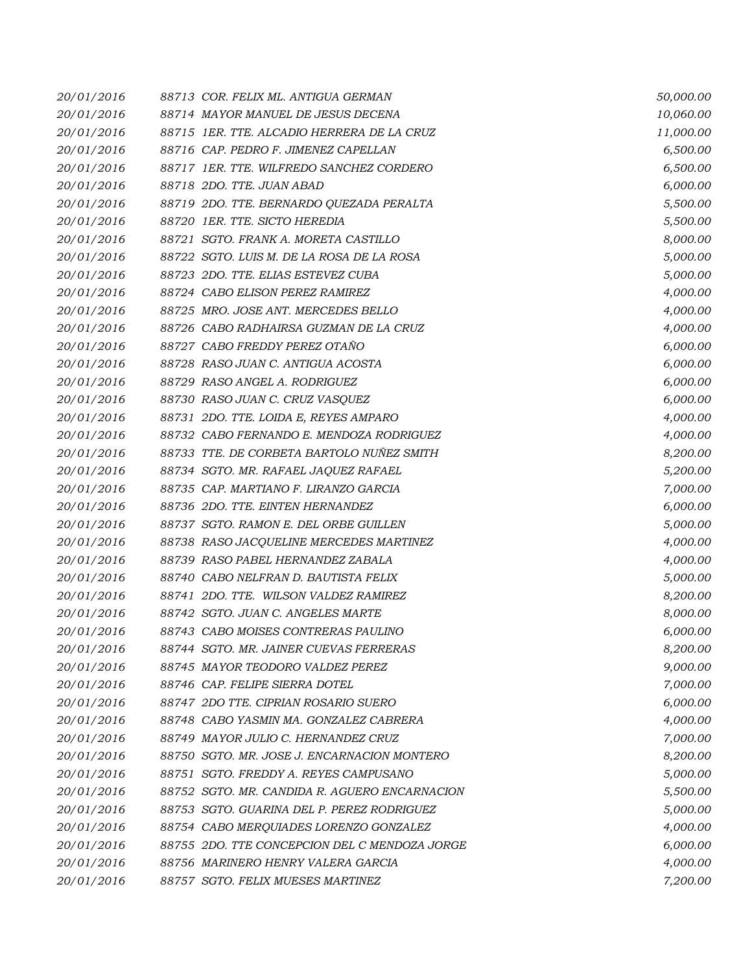| 20/01/2016 | 88713 COR. FELIX ML. ANTIGUA GERMAN           | 50,000.00 |
|------------|-----------------------------------------------|-----------|
| 20/01/2016 | 88714 MAYOR MANUEL DE JESUS DECENA            | 10,060.00 |
| 20/01/2016 | 88715 IER. TTE. ALCADIO HERRERA DE LA CRUZ    | 11,000.00 |
| 20/01/2016 | 88716 CAP. PEDRO F. JIMENEZ CAPELLAN          | 6,500.00  |
| 20/01/2016 | 88717 1ER. TTE. WILFREDO SANCHEZ CORDERO      | 6,500.00  |
| 20/01/2016 | 88718 2DO. TTE. JUAN ABAD                     | 6,000.00  |
| 20/01/2016 | 88719 2DO. TTE. BERNARDO QUEZADA PERALTA      | 5,500.00  |
| 20/01/2016 | 88720 1ER. TTE. SICTO HEREDIA                 | 5,500.00  |
| 20/01/2016 | 88721 SGTO. FRANK A. MORETA CASTILLO          | 8,000.00  |
| 20/01/2016 | 88722 SGTO. LUIS M. DE LA ROSA DE LA ROSA     | 5,000.00  |
| 20/01/2016 | 88723 2DO. TTE, ELIAS ESTEVEZ CUBA            | 5,000.00  |
| 20/01/2016 | 88724 CABO ELISON PEREZ RAMIREZ               | 4,000.00  |
| 20/01/2016 | 88725 MRO. JOSE ANT. MERCEDES BELLO           | 4,000.00  |
| 20/01/2016 | 88726 CABO RADHAIRSA GUZMAN DE LA CRUZ        | 4,000.00  |
| 20/01/2016 | 88727 CABO FREDDY PEREZ OTAÑO                 | 6,000.00  |
| 20/01/2016 | 88728 RASO JUAN C. ANTIGUA ACOSTA             | 6,000.00  |
| 20/01/2016 | 88729 RASO ANGEL A. RODRIGUEZ                 | 6,000.00  |
| 20/01/2016 | 88730 RASO JUAN C. CRUZ VASQUEZ               | 6,000.00  |
| 20/01/2016 | 88731 2DO. TTE. LOIDA E, REYES AMPARO         | 4,000.00  |
| 20/01/2016 | 88732 CABO FERNANDO E. MENDOZA RODRIGUEZ      | 4,000.00  |
| 20/01/2016 | 88733 TTE. DE CORBETA BARTOLO NUÑEZ SMITH     | 8,200.00  |
| 20/01/2016 | 88734 SGTO. MR. RAFAEL JAQUEZ RAFAEL          | 5,200.00  |
| 20/01/2016 | 88735 CAP. MARTIANO F. LIRANZO GARCIA         | 7,000.00  |
| 20/01/2016 | 88736 2DO. TTE. EINTEN HERNANDEZ              | 6,000.00  |
| 20/01/2016 | 88737 SGTO. RAMON E. DEL ORBE GUILLEN         | 5,000.00  |
| 20/01/2016 | 88738 RASO JACQUELINE MERCEDES MARTINEZ       | 4,000.00  |
| 20/01/2016 | 88739 RASO PABEL HERNANDEZ ZABALA             | 4,000.00  |
| 20/01/2016 | 88740 CABO NELFRAN D. BAUTISTA FELIX          | 5,000.00  |
| 20/01/2016 | 88741 2DO. TTE. WILSON VALDEZ RAMIREZ         | 8,200.00  |
| 20/01/2016 | 88742 SGTO. JUAN C. ANGELES MARTE             | 8,000.00  |
| 20/01/2016 | 88743 CABO MOISES CONTRERAS PAULINO           | 6,000.00  |
| 20/01/2016 | 88744 SGTO. MR. JAINER CUEVAS FERRERAS        | 8,200.00  |
| 20/01/2016 | 88745 MAYOR TEODORO VALDEZ PEREZ              | 9,000.00  |
| 20/01/2016 | 88746 CAP. FELIPE SIERRA DOTEL                | 7,000.00  |
| 20/01/2016 | 88747 2DO TTE. CIPRIAN ROSARIO SUERO          | 6,000.00  |
| 20/01/2016 | 88748 CABO YASMIN MA. GONZALEZ CABRERA        | 4,000.00  |
| 20/01/2016 | 88749 MAYOR JULIO C. HERNANDEZ CRUZ           | 7,000.00  |
| 20/01/2016 | 88750 SGTO. MR. JOSE J. ENCARNACION MONTERO   | 8,200.00  |
| 20/01/2016 | 88751 SGTO. FREDDY A. REYES CAMPUSANO         | 5,000.00  |
| 20/01/2016 | 88752 SGTO, MR. CANDIDA R. AGUERO ENCARNACION | 5,500.00  |
| 20/01/2016 | 88753 SGTO. GUARINA DEL P. PEREZ RODRIGUEZ    | 5,000.00  |
| 20/01/2016 | 88754 CABO MERQUIADES LORENZO GONZALEZ        | 4,000.00  |
| 20/01/2016 | 88755 2DO. TTE CONCEPCION DEL C MENDOZA JORGE | 6,000.00  |
| 20/01/2016 | 88756 MARINERO HENRY VALERA GARCIA            | 4,000.00  |
| 20/01/2016 | 88757 SGTO. FELIX MUESES MARTINEZ             | 7,200.00  |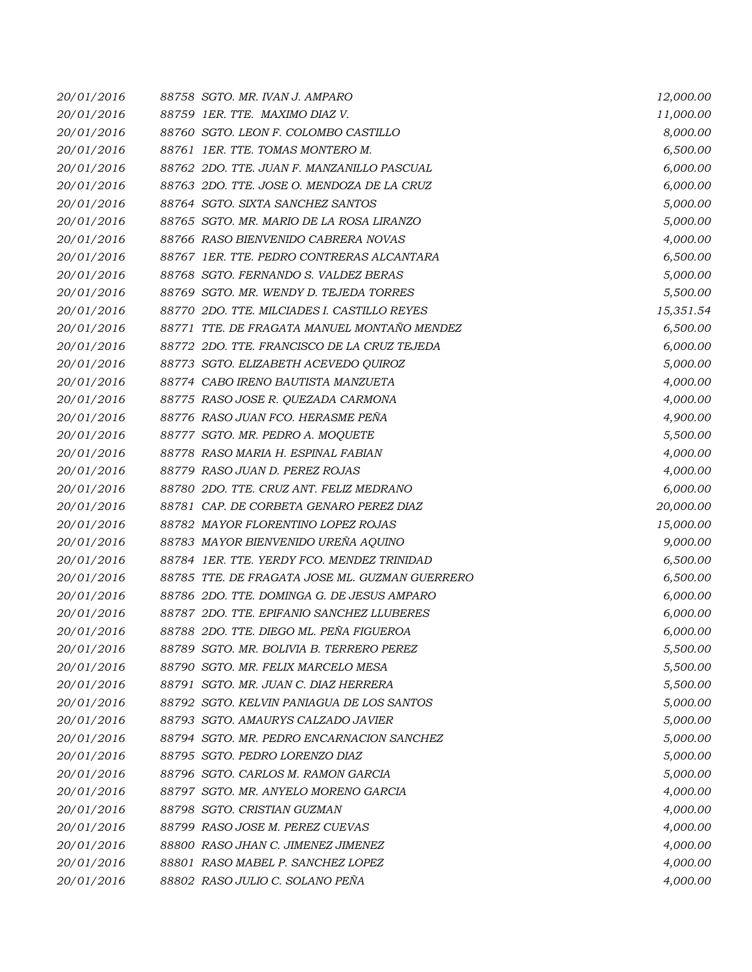| 20/01/2016 | 88758 SGTO, MR. IVAN J. AMPARO                 | 12,000.00 |
|------------|------------------------------------------------|-----------|
| 20/01/2016 | 88759 1ER. TTE. MAXIMO DIAZ V.                 | 11,000.00 |
| 20/01/2016 | 88760 SGTO. LEON F. COLOMBO CASTILLO           | 8,000.00  |
| 20/01/2016 | 88761 IER. TTE. TOMAS MONTERO M.               | 6,500.00  |
| 20/01/2016 | 88762 2DO. TTE. JUAN F. MANZANILLO PASCUAL     | 6,000.00  |
| 20/01/2016 | 88763 2DO. TTE. JOSE O. MENDOZA DE LA CRUZ     | 6,000.00  |
| 20/01/2016 | 88764 SGTO. SIXTA SANCHEZ SANTOS               | 5,000.00  |
| 20/01/2016 | 88765 SGTO. MR. MARIO DE LA ROSA LIRANZO       | 5,000.00  |
| 20/01/2016 | 88766 RASO BIENVENIDO CABRERA NOVAS            | 4,000.00  |
| 20/01/2016 | 88767 IER. TTE. PEDRO CONTRERAS ALCANTARA      | 6,500.00  |
| 20/01/2016 | 88768 SGTO. FERNANDO S. VALDEZ BERAS           | 5,000.00  |
| 20/01/2016 | 88769 SGTO. MR. WENDY D. TEJEDA TORRES         | 5,500.00  |
| 20/01/2016 | 88770 2DO. TTE. MILCIADES I. CASTILLO REYES    | 15,351.54 |
| 20/01/2016 | 88771 TTE, DE FRAGATA MANUEL MONTAÑO MENDEZ    | 6,500.00  |
| 20/01/2016 | 88772 2DO. TTE. FRANCISCO DE LA CRUZ TEJEDA    | 6,000.00  |
| 20/01/2016 | 88773 SGTO. ELIZABETH ACEVEDO QUIROZ           | 5,000.00  |
| 20/01/2016 | 88774 CABO IRENO BAUTISTA MANZUETA             | 4,000.00  |
| 20/01/2016 | 88775 RASO JOSE R. QUEZADA CARMONA             | 4,000.00  |
| 20/01/2016 | 88776 RASO JUAN FCO. HERASME PEÑA              | 4,900.00  |
| 20/01/2016 | 88777 SGTO. MR. PEDRO A. MOQUETE               | 5,500.00  |
| 20/01/2016 | 88778 RASO MARIA H. ESPINAL FABIAN             | 4,000.00  |
| 20/01/2016 | 88779 RASO JUAN D. PEREZ ROJAS                 | 4,000.00  |
| 20/01/2016 | 88780 2DO. TTE, CRUZ ANT, FELIZ MEDRANO        | 6,000.00  |
| 20/01/2016 | 88781 CAP. DE CORBETA GENARO PEREZ DIAZ        | 20,000.00 |
| 20/01/2016 | 88782 MAYOR FLORENTINO LOPEZ ROJAS             | 15,000.00 |
| 20/01/2016 | 88783 MAYOR BIENVENIDO UREÑA AQUINO            | 9,000.00  |
| 20/01/2016 | 88784 1ER. TTE. YERDY FCO. MENDEZ TRINIDAD     | 6,500.00  |
| 20/01/2016 | 88785 TTE, DE FRAGATA JOSE ML, GUZMAN GUERRERO | 6,500.00  |
| 20/01/2016 | 88786 2DO. TTE. DOMINGA G. DE JESUS AMPARO     | 6,000.00  |
| 20/01/2016 | 88787 2DO. TTE. EPIFANIO SANCHEZ LLUBERES      | 6,000.00  |
| 20/01/2016 | 88788 2DO. TTE. DIEGO ML. PEÑA FIGUEROA        | 6,000.00  |
| 20/01/2016 | 88789 SGTO. MR. BOLIVIA B. TERRERO PEREZ       | 5,500.00  |
| 20/01/2016 | 88790 SGTO. MR. FELIX MARCELO MESA             | 5,500.00  |
| 20/01/2016 | 88791 SGTO. MR. JUAN C. DIAZ HERRERA           | 5,500.00  |
| 20/01/2016 | 88792 SGTO. KELVIN PANIAGUA DE LOS SANTOS      | 5,000.00  |
| 20/01/2016 | 88793 SGTO, AMAURYS CALZADO JAVIER             | 5,000.00  |
| 20/01/2016 | 88794 SGTO. MR. PEDRO ENCARNACION SANCHEZ      | 5,000.00  |
| 20/01/2016 | 88795 SGTO. PEDRO LORENZO DIAZ                 | 5,000.00  |
| 20/01/2016 | 88796 SGTO. CARLOS M. RAMON GARCIA             | 5,000.00  |
| 20/01/2016 | 88797 SGTO. MR. ANYELO MORENO GARCIA           | 4,000.00  |
| 20/01/2016 | 88798 SGTO. CRISTIAN GUZMAN                    | 4,000.00  |
| 20/01/2016 | 88799 RASO JOSE M. PEREZ CUEVAS                | 4,000.00  |
| 20/01/2016 | 88800 RASO JHAN C. JIMENEZ JIMENEZ             | 4,000.00  |
| 20/01/2016 | 88801 RASO MABEL P. SANCHEZ LOPEZ              | 4,000.00  |
| 20/01/2016 | 88802 RASO JULIO C. SOLANO PEÑA                | 4,000.00  |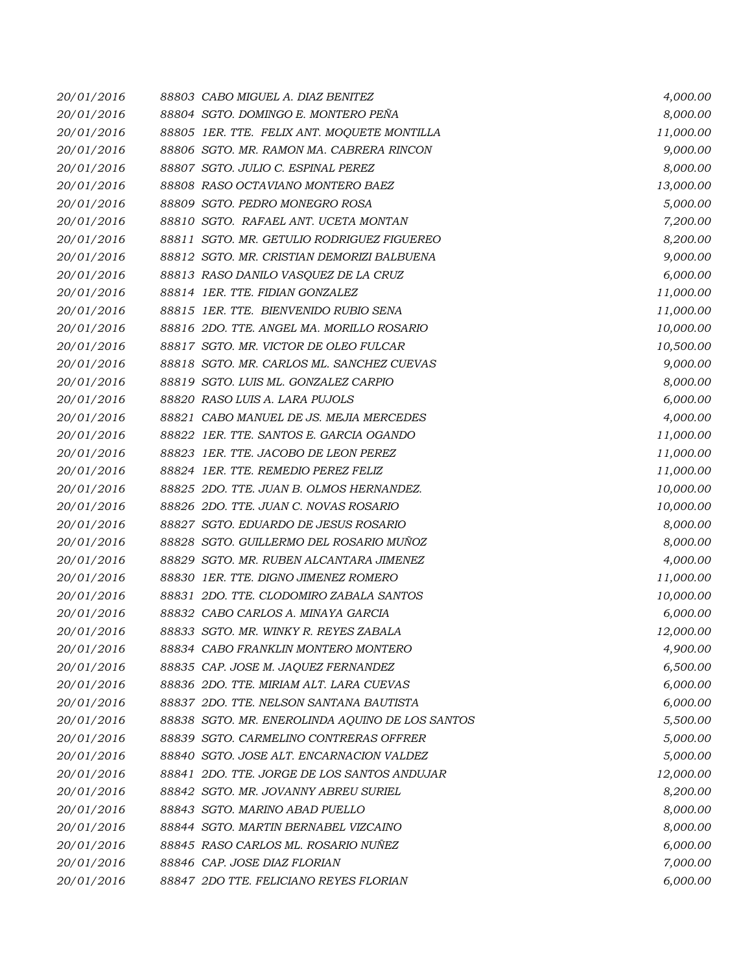| 20/01/2016 | 88803 CABO MIGUEL A. DIAZ BENITEZ               | 4,000.00  |
|------------|-------------------------------------------------|-----------|
| 20/01/2016 | 88804 SGTO. DOMINGO E. MONTERO PEÑA             | 8,000.00  |
| 20/01/2016 | 88805 1ER. TTE. FELIX ANT. MOQUETE MONTILLA     | 11,000.00 |
| 20/01/2016 | 88806 SGTO. MR. RAMON MA. CABRERA RINCON        | 9,000.00  |
| 20/01/2016 | 88807 SGTO. JULIO C. ESPINAL PEREZ              | 8,000.00  |
| 20/01/2016 | 88808 RASO OCTAVIANO MONTERO BAEZ               | 13,000.00 |
| 20/01/2016 | 88809 SGTO. PEDRO MONEGRO ROSA                  | 5,000.00  |
| 20/01/2016 | 88810 SGTO. RAFAEL ANT. UCETA MONTAN            | 7,200.00  |
| 20/01/2016 | 88811 SGTO. MR. GETULIO RODRIGUEZ FIGUEREO      | 8,200.00  |
| 20/01/2016 | 88812 SGTO. MR. CRISTIAN DEMORIZI BALBUENA      | 9,000.00  |
| 20/01/2016 | 88813 RASO DANILO VASQUEZ DE LA CRUZ            | 6,000.00  |
| 20/01/2016 | 88814 1ER. TTE. FIDIAN GONZALEZ                 | 11,000.00 |
| 20/01/2016 | 88815 1ER. TTE. BIENVENIDO RUBIO SENA           | 11,000.00 |
| 20/01/2016 | 88816 2DO. TTE. ANGEL MA. MORILLO ROSARIO       | 10,000.00 |
| 20/01/2016 | 88817 SGTO. MR. VICTOR DE OLEO FULCAR           | 10,500.00 |
| 20/01/2016 | 88818 SGTO. MR. CARLOS ML. SANCHEZ CUEVAS       | 9,000.00  |
| 20/01/2016 | 88819 SGTO. LUIS ML. GONZALEZ CARPIO            | 8,000.00  |
| 20/01/2016 | 88820 RASO LUIS A. LARA PUJOLS                  | 6,000.00  |
| 20/01/2016 | 88821 CABO MANUEL DE JS. MEJIA MERCEDES         | 4,000.00  |
| 20/01/2016 | 88822 1ER. TTE. SANTOS E. GARCIA OGANDO         | 11,000.00 |
| 20/01/2016 | 88823 IER. TTE. JACOBO DE LEON PEREZ            | 11,000.00 |
| 20/01/2016 | 88824 1ER. TTE, REMEDIO PEREZ FELIZ             | 11,000.00 |
| 20/01/2016 | 88825 2DO. TTE. JUAN B. OLMOS HERNANDEZ.        | 10,000.00 |
| 20/01/2016 | 88826 2DO. TTE. JUAN C. NOVAS ROSARIO           | 10,000.00 |
| 20/01/2016 | 88827 SGTO. EDUARDO DE JESUS ROSARIO            | 8,000.00  |
| 20/01/2016 | 88828 SGTO. GUILLERMO DEL ROSARIO MUÑOZ         | 8,000.00  |
| 20/01/2016 | 88829 SGTO. MR. RUBEN ALCANTARA JIMENEZ         | 4,000.00  |
| 20/01/2016 | 88830 1ER. TTE. DIGNO JIMENEZ ROMERO            | 11,000.00 |
| 20/01/2016 | 88831 2DO. TTE. CLODOMIRO ZABALA SANTOS         | 10,000.00 |
| 20/01/2016 | 88832 CABO CARLOS A. MINAYA GARCIA              | 6,000.00  |
| 20/01/2016 | 88833 SGTO. MR. WINKY R. REYES ZABALA           | 12,000.00 |
| 20/01/2016 | 88834 CABO FRANKLIN MONTERO MONTERO             | 4,900.00  |
| 20/01/2016 | 88835 CAP. JOSE M. JAQUEZ FERNANDEZ             | 6,500.00  |
| 20/01/2016 | 88836 2DO. TTE, MIRIAM ALT. LARA CUEVAS         | 6,000.00  |
| 20/01/2016 | 88837 2DO. TTE, NELSON SANTANA BAUTISTA         | 6,000.00  |
| 20/01/2016 | 88838 SGTO. MR. ENEROLINDA AQUINO DE LOS SANTOS | 5,500.00  |
| 20/01/2016 | 88839 SGTO. CARMELINO CONTRERAS OFFRER          | 5,000.00  |
| 20/01/2016 | 88840 SGTO. JOSE ALT. ENCARNACION VALDEZ        | 5,000.00  |
| 20/01/2016 | 88841 2DO. TTE. JORGE DE LOS SANTOS ANDUJAR     | 12,000.00 |
| 20/01/2016 | 88842 SGTO. MR. JOVANNY ABREU SURIEL            | 8,200.00  |
| 20/01/2016 | 88843 SGTO. MARINO ABAD PUELLO                  | 8,000.00  |
| 20/01/2016 | 88844 SGTO. MARTIN BERNABEL VIZCAINO            | 8,000.00  |
| 20/01/2016 | 88845 RASO CARLOS ML. ROSARIO NUÑEZ             | 6,000.00  |
| 20/01/2016 | 88846 CAP. JOSE DIAZ FLORIAN                    | 7,000.00  |
| 20/01/2016 | 88847 2DO TTE. FELICIANO REYES FLORIAN          | 6,000.00  |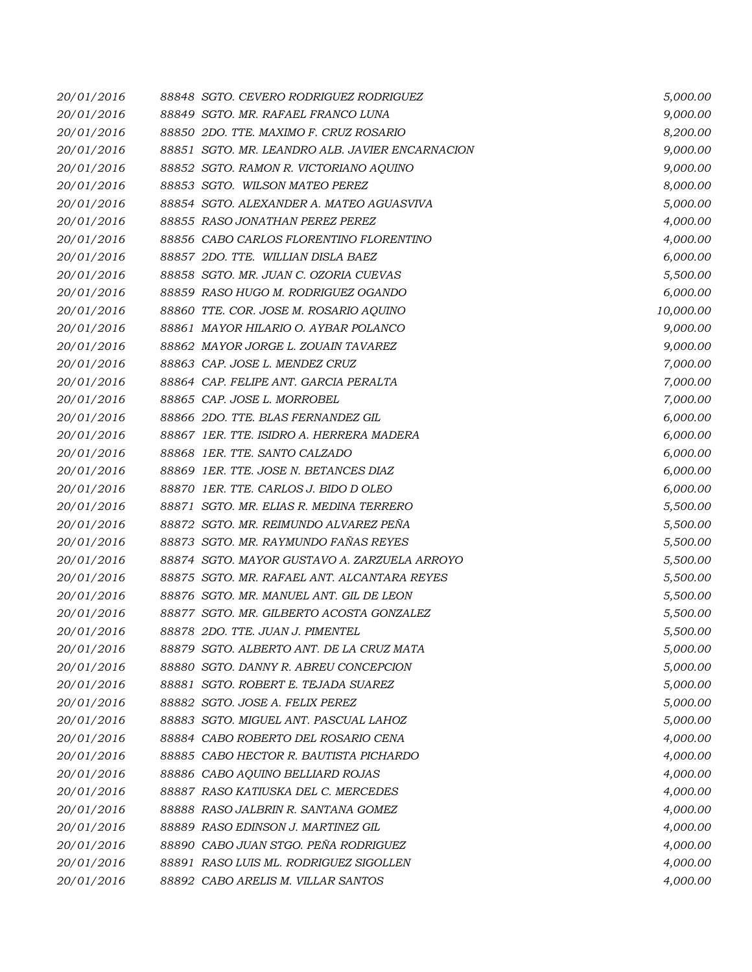| 20/01/2016 | 88848 SGTO. CEVERO RODRIGUEZ RODRIGUEZ          | 5,000.00  |
|------------|-------------------------------------------------|-----------|
| 20/01/2016 | 88849 SGTO. MR. RAFAEL FRANCO LUNA              | 9,000.00  |
| 20/01/2016 | 88850 2DO. TTE. MAXIMO F. CRUZ ROSARIO          | 8,200.00  |
| 20/01/2016 | 88851 SGTO. MR. LEANDRO ALB. JAVIER ENCARNACION | 9,000.00  |
| 20/01/2016 | 88852 SGTO. RAMON R. VICTORIANO AQUINO          | 9,000.00  |
| 20/01/2016 | 88853 SGTO. WILSON MATEO PEREZ                  | 8,000.00  |
| 20/01/2016 | 88854 SGTO. ALEXANDER A. MATEO AGUASVIVA        | 5,000.00  |
| 20/01/2016 | 88855 RASO JONATHAN PEREZ PEREZ                 | 4,000.00  |
| 20/01/2016 | 88856 CABO CARLOS FLORENTINO FLORENTINO         | 4,000.00  |
| 20/01/2016 | 88857 2DO. TTE. WILLIAN DISLA BAEZ              | 6,000.00  |
| 20/01/2016 | 88858 SGTO. MR. JUAN C. OZORIA CUEVAS           | 5,500.00  |
| 20/01/2016 | 88859 RASO HUGO M. RODRIGUEZ OGANDO             | 6,000.00  |
| 20/01/2016 | 88860 TTE. COR. JOSE M. ROSARIO AQUINO          | 10,000.00 |
| 20/01/2016 | 88861 MAYOR HILARIO O. AYBAR POLANCO            | 9,000.00  |
| 20/01/2016 | 88862 MAYOR JORGE L. ZOUAIN TAVAREZ             | 9,000.00  |
| 20/01/2016 | 88863 CAP. JOSE L. MENDEZ CRUZ                  | 7,000.00  |
| 20/01/2016 | 88864 CAP. FELIPE ANT. GARCIA PERALTA           | 7,000.00  |
| 20/01/2016 | 88865 CAP. JOSE L. MORROBEL                     | 7,000.00  |
| 20/01/2016 | 88866 2DO. TTE. BLAS FERNANDEZ GIL              | 6,000.00  |
| 20/01/2016 | 88867 IER. TTE, ISIDRO A. HERRERA MADERA        | 6,000.00  |
| 20/01/2016 | 88868 1ER. TTE. SANTO CALZADO                   | 6,000.00  |
| 20/01/2016 | 88869 IER. TTE. JOSE N. BETANCES DIAZ           | 6,000.00  |
| 20/01/2016 | 88870 1ER. TTE. CARLOS J. BIDO D OLEO           | 6,000.00  |
| 20/01/2016 | 88871 SGTO. MR. ELIAS R. MEDINA TERRERO         | 5,500.00  |
| 20/01/2016 | 88872 SGTO. MR. REIMUNDO ALVAREZ PEÑA           | 5,500.00  |
| 20/01/2016 | 88873 SGTO. MR. RAYMUNDO FAÑAS REYES            | 5,500.00  |
| 20/01/2016 | 88874 SGTO. MAYOR GUSTAVO A. ZARZUELA ARROYO    | 5,500.00  |
| 20/01/2016 | 88875 SGTO, MR. RAFAEL ANT, ALCANTARA REYES     | 5,500.00  |
| 20/01/2016 | 88876 SGTO. MR. MANUEL ANT. GIL DE LEON         | 5,500.00  |
| 20/01/2016 | 88877 SGTO. MR. GILBERTO ACOSTA GONZALEZ        | 5,500.00  |
| 20/01/2016 | 88878 2DO. TTE. JUAN J. PIMENTEL                | 5,500.00  |
| 20/01/2016 | 88879 SGTO. ALBERTO ANT. DE LA CRUZ MATA        | 5,000.00  |
| 20/01/2016 | 88880 SGTO. DANNY R. ABREU CONCEPCION           | 5,000.00  |
| 20/01/2016 | 88881 SGTO. ROBERT E. TEJADA SUAREZ             | 5,000.00  |
| 20/01/2016 | 88882 SGTO. JOSE A. FELIX PEREZ                 | 5,000.00  |
| 20/01/2016 | 88883 SGTO. MIGUEL ANT. PASCUAL LAHOZ           | 5,000.00  |
| 20/01/2016 | 88884 CABO ROBERTO DEL ROSARIO CENA             | 4,000.00  |
| 20/01/2016 | 88885 CABO HECTOR R. BAUTISTA PICHARDO          | 4,000.00  |
| 20/01/2016 | 88886 CABO AQUINO BELLIARD ROJAS                | 4,000.00  |
| 20/01/2016 | 88887 RASO KATIUSKA DEL C. MERCEDES             | 4,000.00  |
| 20/01/2016 | 88888 RASO JALBRIN R. SANTANA GOMEZ             | 4,000.00  |
| 20/01/2016 | 88889 RASO EDINSON J. MARTINEZ GIL              | 4,000.00  |
| 20/01/2016 | 88890 CABO JUAN STGO. PEÑA RODRIGUEZ            | 4,000.00  |
| 20/01/2016 | 88891 RASO LUIS ML. RODRIGUEZ SIGOLLEN          | 4,000.00  |
| 20/01/2016 | 88892 CABO ARELIS M. VILLAR SANTOS              | 4,000.00  |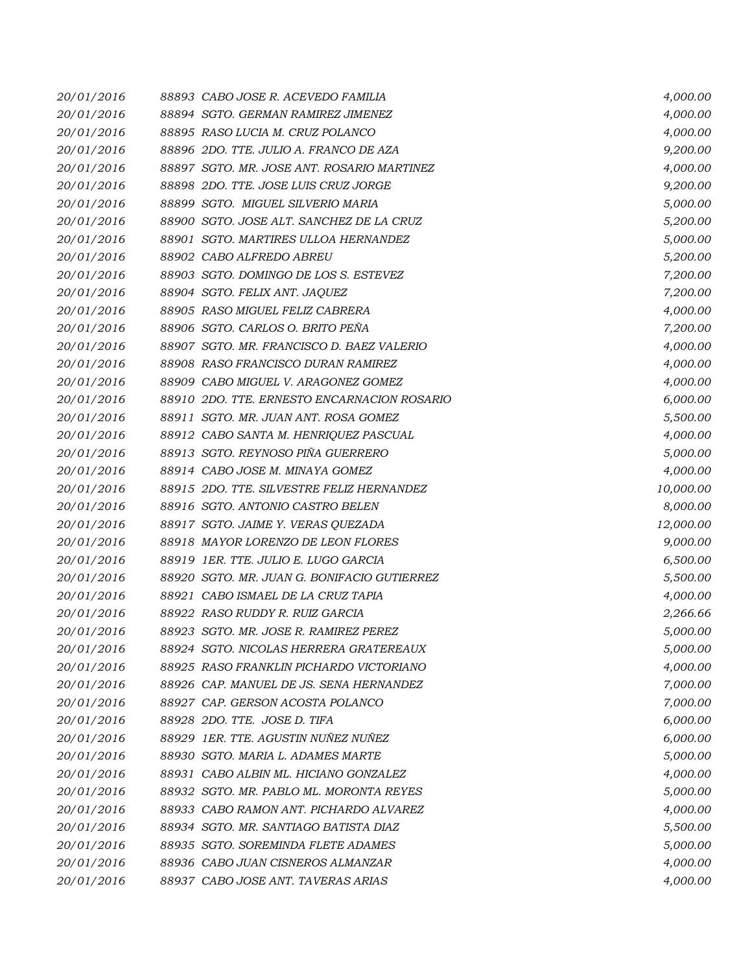| 20/01/2016 | 88893 CABO JOSE R. ACEVEDO FAMILIA          | 4,000.00  |
|------------|---------------------------------------------|-----------|
| 20/01/2016 | 88894 SGTO. GERMAN RAMIREZ JIMENEZ          | 4,000.00  |
| 20/01/2016 | 88895 RASO LUCIA M. CRUZ POLANCO            | 4,000.00  |
| 20/01/2016 | 88896 2DO. TTE. JULIO A. FRANCO DE AZA      | 9,200.00  |
| 20/01/2016 | 88897 SGTO. MR. JOSE ANT. ROSARIO MARTINEZ  | 4,000.00  |
| 20/01/2016 | 88898 2DO. TTE. JOSE LUIS CRUZ JORGE        | 9,200.00  |
| 20/01/2016 | 88899 SGTO. MIGUEL SILVERIO MARIA           | 5,000.00  |
| 20/01/2016 | 88900 SGTO. JOSE ALT. SANCHEZ DE LA CRUZ    | 5,200.00  |
| 20/01/2016 | 88901 SGTO. MARTIRES ULLOA HERNANDEZ        | 5,000.00  |
| 20/01/2016 | 88902 CABO ALFREDO ABREU                    | 5,200.00  |
| 20/01/2016 | 88903 SGTO. DOMINGO DE LOS S. ESTEVEZ       | 7,200.00  |
| 20/01/2016 | 88904 SGTO. FELIX ANT. JAQUEZ               | 7,200.00  |
| 20/01/2016 | 88905 RASO MIGUEL FELIZ CABRERA             | 4,000.00  |
| 20/01/2016 | 88906 SGTO. CARLOS O. BRITO PEÑA            | 7,200.00  |
| 20/01/2016 | 88907 SGTO. MR. FRANCISCO D. BAEZ VALERIO   | 4,000.00  |
| 20/01/2016 | 88908 RASO FRANCISCO DURAN RAMIREZ          | 4,000.00  |
| 20/01/2016 | 88909 CABO MIGUEL V. ARAGONEZ GOMEZ         | 4,000.00  |
| 20/01/2016 | 88910 2DO. TTE. ERNESTO ENCARNACION ROSARIO | 6,000.00  |
| 20/01/2016 | 88911 SGTO. MR. JUAN ANT. ROSA GOMEZ        | 5,500.00  |
| 20/01/2016 | 88912 CABO SANTA M. HENRIQUEZ PASCUAL       | 4,000.00  |
| 20/01/2016 | 88913 SGTO. REYNOSO PIÑA GUERRERO           | 5,000.00  |
| 20/01/2016 | 88914 CABO JOSE M. MINAYA GOMEZ             | 4,000.00  |
| 20/01/2016 | 88915 2DO. TTE. SILVESTRE FELIZ HERNANDEZ   | 10,000.00 |
| 20/01/2016 | 88916 SGTO. ANTONIO CASTRO BELEN            | 8,000.00  |
| 20/01/2016 | 88917 SGTO. JAIME Y. VERAS QUEZADA          | 12,000.00 |
| 20/01/2016 | 88918 MAYOR LORENZO DE LEON FLORES          | 9,000.00  |
| 20/01/2016 | 88919 1ER. TTE. JULIO E. LUGO GARCIA        | 6,500.00  |
| 20/01/2016 | 88920 SGTO. MR. JUAN G. BONIFACIO GUTIERREZ | 5,500.00  |
| 20/01/2016 | 88921 CABO ISMAEL DE LA CRUZ TAPIA          | 4,000.00  |
| 20/01/2016 | 88922 RASO RUDDY R. RUIZ GARCIA             | 2,266.66  |
| 20/01/2016 | 88923 SGTO. MR. JOSE R. RAMIREZ PEREZ       | 5,000.00  |
| 20/01/2016 | 88924 SGTO, NICOLAS HERRERA GRATEREAUX      | 5,000.00  |
| 20/01/2016 | 88925 RASO FRANKLIN PICHARDO VICTORIANO     | 4,000.00  |
| 20/01/2016 | 88926 CAP. MANUEL DE JS. SENA HERNANDEZ     | 7,000.00  |
| 20/01/2016 | 88927 CAP. GERSON ACOSTA POLANCO            | 7,000.00  |
| 20/01/2016 | 88928 2DO. TTE. JOSE D. TIFA                | 6,000.00  |
| 20/01/2016 | 88929 1ER. TTE. AGUSTIN NUÑEZ NUÑEZ         | 6,000.00  |
| 20/01/2016 | 88930 SGTO. MARIA L. ADAMES MARTE           | 5,000.00  |
| 20/01/2016 | 88931 CABO ALBIN ML. HICIANO GONZALEZ       | 4,000.00  |
| 20/01/2016 | 88932 SGTO. MR. PABLO ML. MORONTA REYES     | 5,000.00  |
| 20/01/2016 | 88933 CABO RAMON ANT. PICHARDO ALVAREZ      | 4,000.00  |
| 20/01/2016 | 88934 SGTO. MR. SANTIAGO BATISTA DIAZ       | 5,500.00  |
| 20/01/2016 | 88935 SGTO. SOREMINDA FLETE ADAMES          | 5,000.00  |
| 20/01/2016 | 88936 CABO JUAN CISNEROS ALMANZAR           | 4,000.00  |
| 20/01/2016 | 88937 CABO JOSE ANT. TAVERAS ARIAS          | 4,000.00  |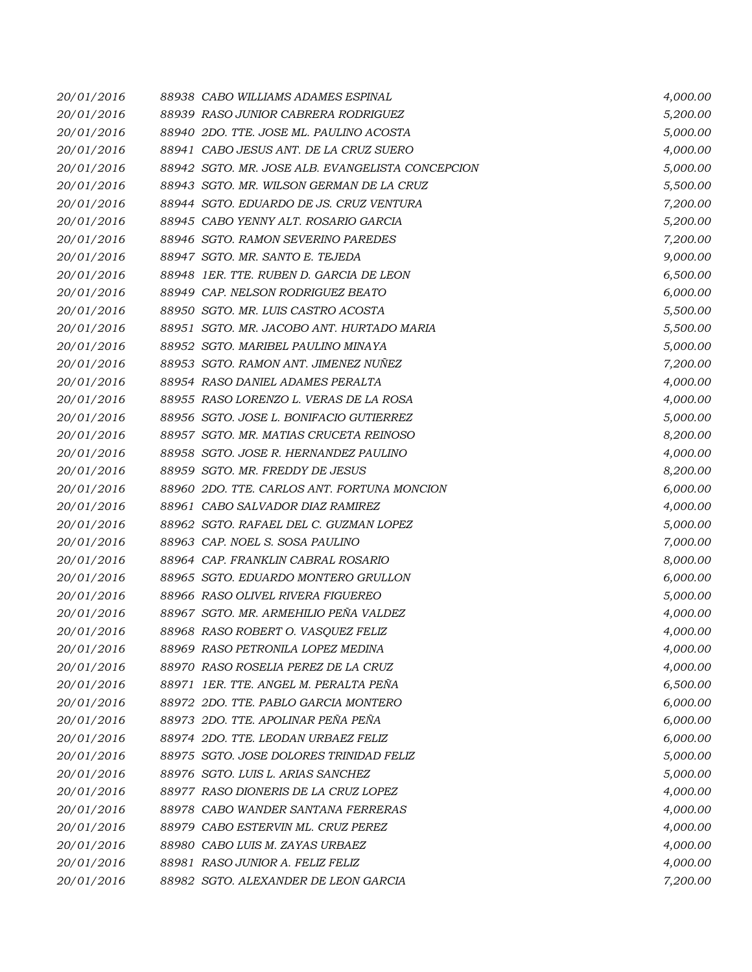| 20/01/2016 | 88938 CABO WILLIAMS ADAMES ESPINAL               | 4,000.00 |
|------------|--------------------------------------------------|----------|
| 20/01/2016 | 88939 RASO JUNIOR CABRERA RODRIGUEZ              | 5,200.00 |
| 20/01/2016 | 88940 2DO. TTE. JOSE ML. PAULINO ACOSTA          | 5,000.00 |
| 20/01/2016 | 88941 CABO JESUS ANT. DE LA CRUZ SUERO           | 4,000.00 |
| 20/01/2016 | 88942 SGTO. MR. JOSE ALB. EVANGELISTA CONCEPCION | 5,000.00 |
| 20/01/2016 | 88943 SGTO. MR. WILSON GERMAN DE LA CRUZ         | 5,500.00 |
| 20/01/2016 | 88944 SGTO. EDUARDO DE JS. CRUZ VENTURA          | 7,200.00 |
| 20/01/2016 | 88945 CABO YENNY ALT. ROSARIO GARCIA             | 5,200.00 |
| 20/01/2016 | 88946 SGTO. RAMON SEVERINO PAREDES               | 7,200.00 |
| 20/01/2016 | 88947 SGTO. MR. SANTO E. TEJEDA                  | 9,000.00 |
| 20/01/2016 | 88948 1ER. TTE, RUBEN D. GARCIA DE LEON          | 6,500.00 |
| 20/01/2016 | 88949 CAP. NELSON RODRIGUEZ BEATO                | 6,000.00 |
| 20/01/2016 | 88950 SGTO. MR. LUIS CASTRO ACOSTA               | 5,500.00 |
| 20/01/2016 | 88951 SGTO. MR. JACOBO ANT. HURTADO MARIA        | 5,500.00 |
| 20/01/2016 | 88952 SGTO. MARIBEL PAULINO MINAYA               | 5,000.00 |
| 20/01/2016 | 88953 SGTO. RAMON ANT. JIMENEZ NUÑEZ             | 7,200.00 |
| 20/01/2016 | 88954 RASO DANIEL ADAMES PERALTA                 | 4,000.00 |
| 20/01/2016 | 88955 RASO LORENZO L. VERAS DE LA ROSA           | 4,000.00 |
| 20/01/2016 | 88956 SGTO. JOSE L. BONIFACIO GUTIERREZ          | 5,000.00 |
| 20/01/2016 | 88957 SGTO. MR. MATIAS CRUCETA REINOSO           | 8,200.00 |
| 20/01/2016 | 88958 SGTO. JOSE R. HERNANDEZ PAULINO            | 4,000.00 |
| 20/01/2016 | 88959 SGTO. MR. FREDDY DE JESUS                  | 8,200.00 |
| 20/01/2016 | 88960 2DO. TTE. CARLOS ANT. FORTUNA MONCION      | 6,000.00 |
| 20/01/2016 | 88961 CABO SALVADOR DIAZ RAMIREZ                 | 4,000.00 |
| 20/01/2016 | 88962 SGTO. RAFAEL DEL C. GUZMAN LOPEZ           | 5,000.00 |
| 20/01/2016 | 88963 CAP. NOEL S. SOSA PAULINO                  | 7,000.00 |
| 20/01/2016 | 88964 CAP. FRANKLIN CABRAL ROSARIO               | 8,000.00 |
| 20/01/2016 | 88965 SGTO. EDUARDO MONTERO GRULLON              | 6,000.00 |
| 20/01/2016 | 88966 RASO OLIVEL RIVERA FIGUEREO                | 5,000.00 |
| 20/01/2016 | 88967 SGTO. MR. ARMEHILIO PEÑA VALDEZ            | 4,000.00 |
| 20/01/2016 | 88968 RASO ROBERT O. VASQUEZ FELIZ               | 4,000.00 |
| 20/01/2016 | 88969 RASO PETRONILA LOPEZ MEDINA                | 4,000.00 |
| 20/01/2016 | 88970 RASO ROSELIA PEREZ DE LA CRUZ              | 4,000.00 |
| 20/01/2016 | 88971 IER. TTE. ANGEL M. PERALTA PEÑA            | 6,500.00 |
| 20/01/2016 | 88972 2DO. TTE. PABLO GARCIA MONTERO             | 6,000.00 |
| 20/01/2016 | 88973 2DO. TTE. APOLINAR PEÑA PEÑA               | 6,000.00 |
| 20/01/2016 | 88974 2DO. TTE, LEODAN URBAEZ FELIZ              | 6,000.00 |
| 20/01/2016 | 88975 SGTO. JOSE DOLORES TRINIDAD FELIZ          | 5,000.00 |
| 20/01/2016 | 88976 SGTO. LUIS L. ARIAS SANCHEZ                | 5,000.00 |
| 20/01/2016 | 88977 RASO DIONERIS DE LA CRUZ LOPEZ             | 4,000.00 |
| 20/01/2016 | 88978 CABO WANDER SANTANA FERRERAS               | 4,000.00 |
| 20/01/2016 | 88979 CABO ESTERVIN ML. CRUZ PEREZ               | 4,000.00 |
| 20/01/2016 | 88980 CABO LUIS M. ZAYAS URBAEZ                  | 4,000.00 |
| 20/01/2016 | 88981 RASO JUNIOR A. FELIZ FELIZ                 | 4,000.00 |
| 20/01/2016 | 88982 SGTO. ALEXANDER DE LEON GARCIA             | 7,200.00 |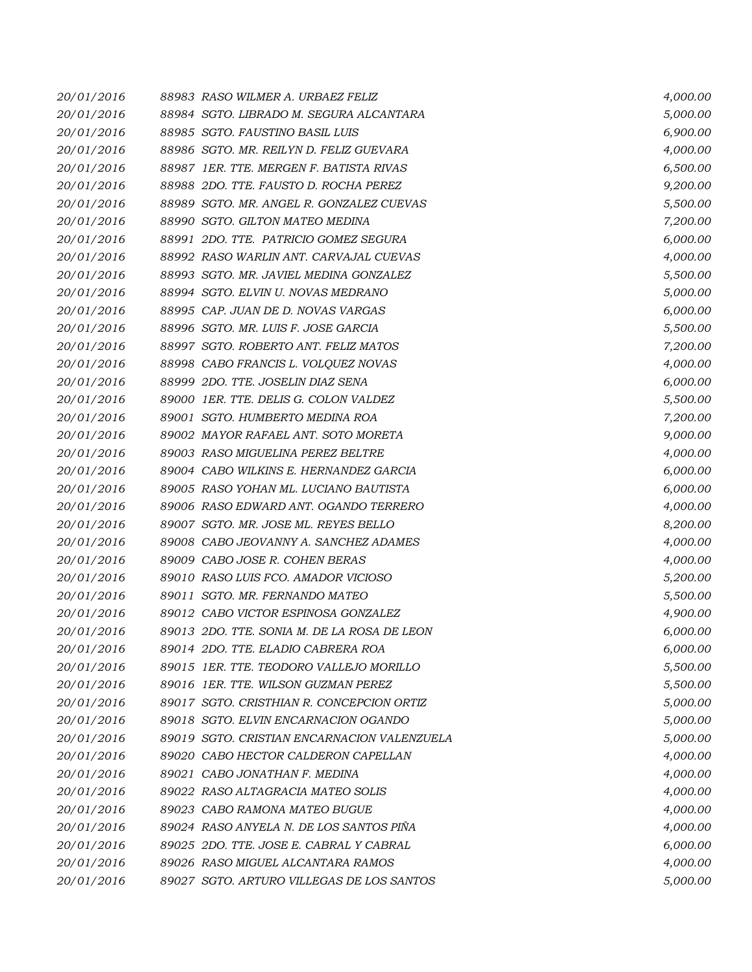| 20/01/2016 | 88983 RASO WILMER A. URBAEZ FELIZ           | 4,000.00 |
|------------|---------------------------------------------|----------|
| 20/01/2016 | 88984 SGTO. LIBRADO M. SEGURA ALCANTARA     | 5,000.00 |
| 20/01/2016 | 88985 SGTO. FAUSTINO BASIL LUIS             | 6,900.00 |
| 20/01/2016 | 88986 SGTO. MR. REILYN D. FELIZ GUEVARA     | 4,000.00 |
| 20/01/2016 | 88987 IER. TTE. MERGEN F. BATISTA RIVAS     | 6,500.00 |
| 20/01/2016 | 88988 2DO. TTE. FAUSTO D. ROCHA PEREZ       | 9,200.00 |
| 20/01/2016 | 88989 SGTO. MR. ANGEL R. GONZALEZ CUEVAS    | 5,500.00 |
| 20/01/2016 | 88990 SGTO. GILTON MATEO MEDINA             | 7,200.00 |
| 20/01/2016 | 88991 2DO. TTE. PATRICIO GOMEZ SEGURA       | 6,000.00 |
| 20/01/2016 | 88992 RASO WARLIN ANT. CARVAJAL CUEVAS      | 4,000.00 |
| 20/01/2016 | 88993 SGTO. MR. JAVIEL MEDINA GONZALEZ      | 5,500.00 |
| 20/01/2016 | 88994 SGTO. ELVIN U. NOVAS MEDRANO          | 5,000.00 |
| 20/01/2016 | 88995 CAP. JUAN DE D. NOVAS VARGAS          | 6,000.00 |
| 20/01/2016 | 88996 SGTO. MR. LUIS F. JOSE GARCIA         | 5,500.00 |
| 20/01/2016 | 88997 SGTO. ROBERTO ANT. FELIZ MATOS        | 7,200.00 |
| 20/01/2016 | 88998 CABO FRANCIS L. VOLQUEZ NOVAS         | 4,000.00 |
| 20/01/2016 | 88999 2DO. TTE. JOSELIN DIAZ SENA           | 6,000.00 |
| 20/01/2016 | 89000 1ER. TTE. DELIS G. COLON VALDEZ       | 5,500.00 |
| 20/01/2016 | 89001 SGTO. HUMBERTO MEDINA ROA             | 7,200.00 |
| 20/01/2016 | 89002 MAYOR RAFAEL ANT. SOTO MORETA         | 9,000.00 |
| 20/01/2016 | 89003 RASO MIGUELINA PEREZ BELTRE           | 4,000.00 |
| 20/01/2016 | 89004 CABO WILKINS E. HERNANDEZ GARCIA      | 6,000.00 |
| 20/01/2016 | 89005 RASO YOHAN ML. LUCIANO BAUTISTA       | 6,000.00 |
| 20/01/2016 | 89006 RASO EDWARD ANT. OGANDO TERRERO       | 4,000.00 |
| 20/01/2016 | 89007 SGTO. MR. JOSE ML. REYES BELLO        | 8,200.00 |
| 20/01/2016 | 89008 CABO JEOVANNY A. SANCHEZ ADAMES       | 4,000.00 |
| 20/01/2016 | 89009 CABO JOSE R. COHEN BERAS              | 4,000.00 |
| 20/01/2016 | 89010 RASO LUIS FCO. AMADOR VICIOSO         | 5,200.00 |
| 20/01/2016 | 89011 SGTO. MR. FERNANDO MATEO              | 5,500.00 |
| 20/01/2016 | 89012 CABO VICTOR ESPINOSA GONZALEZ         | 4,900.00 |
| 20/01/2016 | 89013 2DO. TTE. SONIA M. DE LA ROSA DE LEON | 6,000.00 |
| 20/01/2016 | 89014 2DO. TTE. ELADIO CABRERA ROA          | 6,000.00 |
| 20/01/2016 | 89015 1ER. TTE. TEODORO VALLEJO MORILLO     | 5,500.00 |
| 20/01/2016 | 89016 1ER. TTE. WILSON GUZMAN PEREZ         | 5,500.00 |
| 20/01/2016 | 89017 SGTO. CRISTHIAN R. CONCEPCION ORTIZ   | 5,000.00 |
| 20/01/2016 | 89018 SGTO. ELVIN ENCARNACION OGANDO        | 5,000.00 |
| 20/01/2016 | 89019 SGTO. CRISTIAN ENCARNACION VALENZUELA | 5,000.00 |
| 20/01/2016 | 89020 CABO HECTOR CALDERON CAPELLAN         | 4,000.00 |
| 20/01/2016 | 89021 CABO JONATHAN F. MEDINA               | 4,000.00 |
| 20/01/2016 | 89022 RASO ALTAGRACIA MATEO SOLIS           | 4,000.00 |
| 20/01/2016 | 89023 CABO RAMONA MATEO BUGUE               | 4,000.00 |
| 20/01/2016 | 89024 RASO ANYELA N. DE LOS SANTOS PIÑA     | 4,000.00 |
| 20/01/2016 | 89025 2DO. TTE. JOSE E. CABRAL Y CABRAL     | 6,000.00 |
| 20/01/2016 | 89026 RASO MIGUEL ALCANTARA RAMOS           | 4,000.00 |
| 20/01/2016 | 89027 SGTO. ARTURO VILLEGAS DE LOS SANTOS   | 5,000.00 |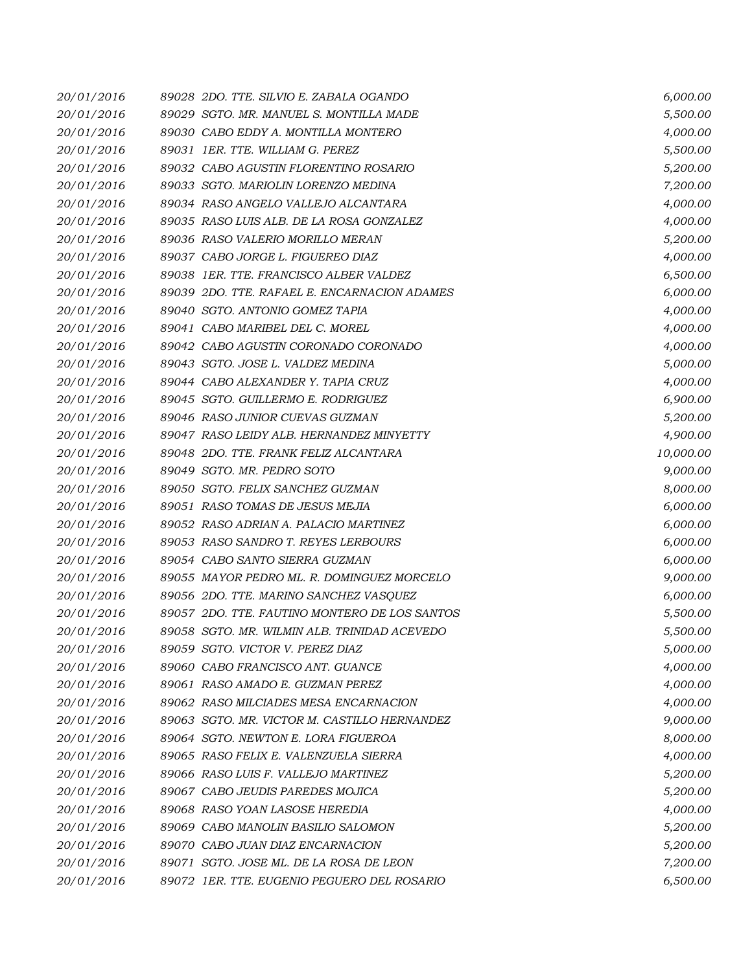| 20/01/2016 | 89028 2DO. TTE. SILVIO E. ZABALA OGANDO       | 6,000.00  |
|------------|-----------------------------------------------|-----------|
| 20/01/2016 | 89029 SGTO, MR. MANUEL S. MONTILLA MADE       | 5,500.00  |
| 20/01/2016 | 89030 CABO EDDY A. MONTILLA MONTERO           | 4,000.00  |
| 20/01/2016 | 89031 IER. TTE. WILLIAM G. PEREZ              | 5,500.00  |
| 20/01/2016 | 89032 CABO AGUSTIN FLORENTINO ROSARIO         | 5,200.00  |
| 20/01/2016 | 89033 SGTO. MARIOLIN LORENZO MEDINA           | 7,200.00  |
| 20/01/2016 | 89034 RASO ANGELO VALLEJO ALCANTARA           | 4,000.00  |
| 20/01/2016 | 89035 RASO LUIS ALB. DE LA ROSA GONZALEZ      | 4,000.00  |
| 20/01/2016 | 89036 RASO VALERIO MORILLO MERAN              | 5,200.00  |
| 20/01/2016 | 89037 CABO JORGE L. FIGUEREO DIAZ             | 4,000.00  |
| 20/01/2016 | 89038 1ER. TTE. FRANCISCO ALBER VALDEZ        | 6,500.00  |
| 20/01/2016 | 89039 2DO. TTE. RAFAEL E. ENCARNACION ADAMES  | 6,000.00  |
| 20/01/2016 | 89040 SGTO. ANTONIO GOMEZ TAPIA               | 4,000.00  |
| 20/01/2016 | 89041 CABO MARIBEL DEL C. MOREL               | 4,000.00  |
| 20/01/2016 | 89042 CABO AGUSTIN CORONADO CORONADO          | 4,000.00  |
| 20/01/2016 | 89043 SGTO. JOSE L. VALDEZ MEDINA             | 5,000.00  |
| 20/01/2016 | 89044 CABO ALEXANDER Y. TAPIA CRUZ            | 4,000.00  |
| 20/01/2016 | 89045 SGTO. GUILLERMO E. RODRIGUEZ            | 6,900.00  |
| 20/01/2016 | 89046 RASO JUNIOR CUEVAS GUZMAN               | 5,200.00  |
| 20/01/2016 | 89047 RASO LEIDY ALB. HERNANDEZ MINYETTY      | 4,900.00  |
| 20/01/2016 | 89048 2DO. TTE, FRANK FELIZ ALCANTARA         | 10,000.00 |
| 20/01/2016 | 89049 SGTO. MR. PEDRO SOTO                    | 9,000.00  |
| 20/01/2016 | 89050 SGTO. FELIX SANCHEZ GUZMAN              | 8,000.00  |
| 20/01/2016 | 89051 RASO TOMAS DE JESUS MEJIA               | 6,000.00  |
| 20/01/2016 | 89052 RASO ADRIAN A. PALACIO MARTINEZ         | 6,000.00  |
| 20/01/2016 | 89053 RASO SANDRO T. REYES LERBOURS           | 6,000.00  |
| 20/01/2016 | 89054 CABO SANTO SIERRA GUZMAN                | 6,000.00  |
| 20/01/2016 | 89055 MAYOR PEDRO ML. R. DOMINGUEZ MORCELO    | 9,000.00  |
| 20/01/2016 | 89056 2DO. TTE. MARINO SANCHEZ VASQUEZ        | 6,000.00  |
| 20/01/2016 | 89057 2DO. TTE, FAUTINO MONTERO DE LOS SANTOS | 5,500.00  |
| 20/01/2016 | 89058 SGTO. MR. WILMIN ALB. TRINIDAD ACEVEDO  | 5,500.00  |
| 20/01/2016 | 89059 SGTO. VICTOR V. PEREZ DIAZ              | 5,000.00  |
| 20/01/2016 | 89060 CABO FRANCISCO ANT. GUANCE              | 4,000.00  |
| 20/01/2016 | 89061 RASO AMADO E. GUZMAN PEREZ              | 4,000.00  |
| 20/01/2016 | 89062 RASO MILCIADES MESA ENCARNACION         | 4,000.00  |
| 20/01/2016 | 89063 SGTO. MR. VICTOR M. CASTILLO HERNANDEZ  | 9,000.00  |
| 20/01/2016 | 89064 SGTO, NEWTON E. LORA FIGUEROA           | 8,000.00  |
| 20/01/2016 | 89065 RASO FELIX E. VALENZUELA SIERRA         | 4,000.00  |
| 20/01/2016 | 89066 RASO LUIS F. VALLEJO MARTINEZ           | 5,200.00  |
| 20/01/2016 | 89067 CABO JEUDIS PAREDES MOJICA              | 5,200.00  |
| 20/01/2016 | 89068 RASO YOAN LASOSE HEREDIA                | 4,000.00  |
| 20/01/2016 | 89069 CABO MANOLIN BASILIO SALOMON            | 5,200.00  |
| 20/01/2016 | 89070 CABO JUAN DIAZ ENCARNACION              | 5,200.00  |
| 20/01/2016 | 89071 SGTO. JOSE ML. DE LA ROSA DE LEON       | 7,200.00  |
| 20/01/2016 | 89072 1ER. TTE. EUGENIO PEGUERO DEL ROSARIO   | 6,500.00  |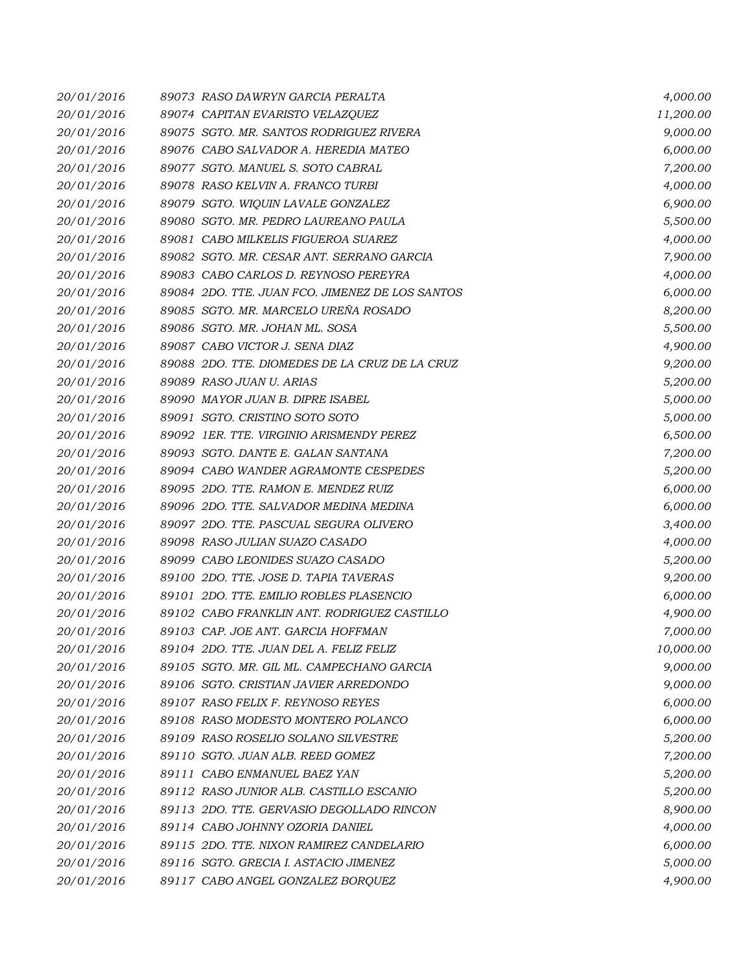| 20/01/2016 | 89073 RASO DAWRYN GARCIA PERALTA                | 4,000.00  |
|------------|-------------------------------------------------|-----------|
| 20/01/2016 | 89074 CAPITAN EVARISTO VELAZQUEZ                | 11,200.00 |
| 20/01/2016 | 89075 SGTO. MR. SANTOS RODRIGUEZ RIVERA         | 9,000.00  |
| 20/01/2016 | 89076 CABO SALVADOR A. HEREDIA MATEO            | 6,000.00  |
| 20/01/2016 | 89077 SGTO. MANUEL S. SOTO CABRAL               | 7,200.00  |
| 20/01/2016 | 89078 RASO KELVIN A. FRANCO TURBI               | 4,000.00  |
| 20/01/2016 | 89079 SGTO. WIQUIN LAVALE GONZALEZ              | 6,900.00  |
| 20/01/2016 | 89080 SGTO. MR. PEDRO LAUREANO PAULA            | 5,500.00  |
| 20/01/2016 | 89081 CABO MILKELIS FIGUEROA SUAREZ             | 4,000.00  |
| 20/01/2016 | 89082 SGTO. MR. CESAR ANT. SERRANO GARCIA       | 7,900.00  |
| 20/01/2016 | 89083 CABO CARLOS D. REYNOSO PEREYRA            | 4,000.00  |
| 20/01/2016 | 89084 2DO. TTE. JUAN FCO. JIMENEZ DE LOS SANTOS | 6,000.00  |
| 20/01/2016 | 89085 SGTO. MR. MARCELO UREÑA ROSADO            | 8,200.00  |
| 20/01/2016 | 89086 SGTO. MR. JOHAN ML. SOSA                  | 5,500.00  |
| 20/01/2016 | 89087 CABO VICTOR J. SENA DIAZ                  | 4,900.00  |
| 20/01/2016 | 89088 2DO. TTE. DIOMEDES DE LA CRUZ DE LA CRUZ  | 9,200.00  |
| 20/01/2016 | 89089 RASO JUAN U. ARIAS                        | 5,200.00  |
| 20/01/2016 | 89090 MAYOR JUAN B. DIPRE ISABEL                | 5,000.00  |
| 20/01/2016 | 89091 SGTO. CRISTINO SOTO SOTO                  | 5,000.00  |
| 20/01/2016 | 89092 1ER. TTE. VIRGINIO ARISMENDY PEREZ        | 6,500.00  |
| 20/01/2016 | 89093 SGTO, DANTE E, GALAN SANTANA              | 7,200.00  |
| 20/01/2016 | 89094 CABO WANDER AGRAMONTE CESPEDES            | 5,200.00  |
| 20/01/2016 | 89095 2DO. TTE, RAMON E. MENDEZ RUIZ            | 6,000.00  |
| 20/01/2016 | 89096 2DO. TTE. SALVADOR MEDINA MEDINA          | 6,000.00  |
| 20/01/2016 | 89097 2DO. TTE. PASCUAL SEGURA OLIVERO          | 3,400.00  |
| 20/01/2016 | 89098 RASO JULIAN SUAZO CASADO                  | 4,000.00  |
| 20/01/2016 | 89099 CABO LEONIDES SUAZO CASADO                | 5,200.00  |
| 20/01/2016 | 89100 2DO. TTE. JOSE D. TAPIA TAVERAS           | 9,200.00  |
| 20/01/2016 | 89101 2DO. TTE. EMILIO ROBLES PLASENCIO         | 6,000.00  |
| 20/01/2016 | 89102 CABO FRANKLIN ANT. RODRIGUEZ CASTILLO     | 4,900.00  |
| 20/01/2016 | 89103 CAP. JOE ANT. GARCIA HOFFMAN              | 7,000.00  |
| 20/01/2016 | 89104 2DO. TTE. JUAN DEL A. FELIZ FELIZ         | 10,000.00 |
| 20/01/2016 | 89105 SGTO. MR. GIL ML. CAMPECHANO GARCIA       | 9,000.00  |
| 20/01/2016 | 89106 SGTO. CRISTIAN JAVIER ARREDONDO           | 9,000.00  |
| 20/01/2016 | 89107 RASO FELIX F. REYNOSO REYES               | 6,000.00  |
| 20/01/2016 | 89108 RASO MODESTO MONTERO POLANCO              | 6,000.00  |
| 20/01/2016 | 89109 RASO ROSELIO SOLANO SILVESTRE             | 5,200.00  |
| 20/01/2016 | 89110 SGTO. JUAN ALB. REED GOMEZ                | 7,200.00  |
| 20/01/2016 | 89111 CABO ENMANUEL BAEZ YAN                    | 5,200.00  |
| 20/01/2016 | 89112 RASO JUNIOR ALB. CASTILLO ESCANIO         | 5,200.00  |
| 20/01/2016 | 89113 2DO. TTE. GERVASIO DEGOLLADO RINCON       | 8,900.00  |
| 20/01/2016 | 89114 CABO JOHNNY OZORIA DANIEL                 | 4,000.00  |
| 20/01/2016 | 89115 2DO. TTE. NIXON RAMIREZ CANDELARIO        | 6,000.00  |
| 20/01/2016 | 89116 SGTO. GRECIA I. ASTACIO JIMENEZ           | 5,000.00  |
| 20/01/2016 | 89117 CABO ANGEL GONZALEZ BORQUEZ               | 4,900.00  |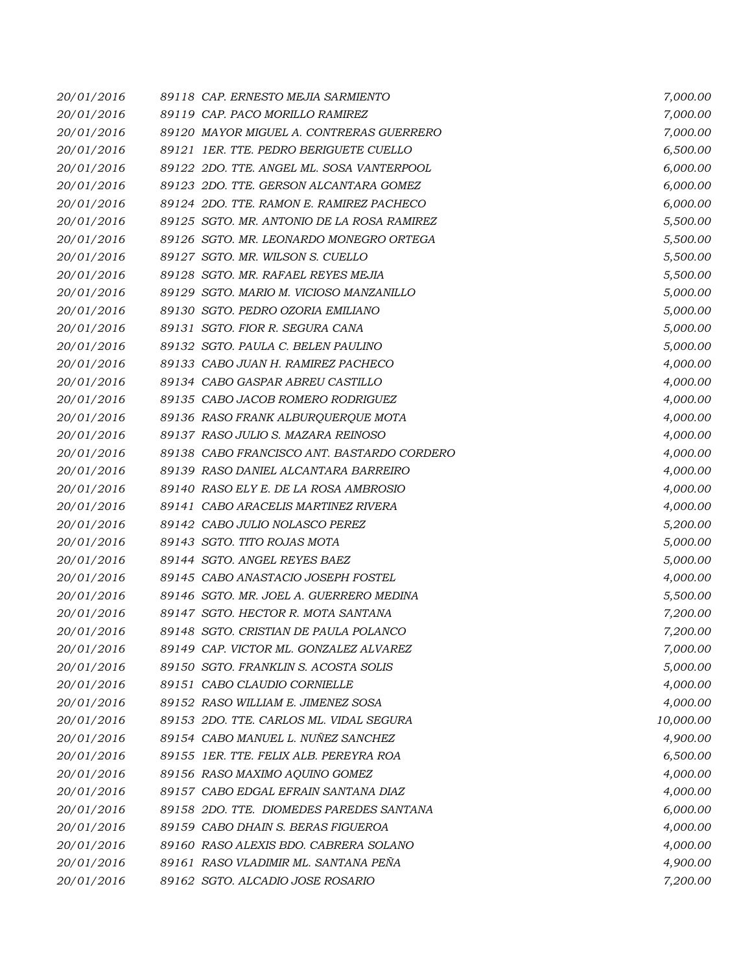| 20/01/2016 | 89118 CAP. ERNESTO MEJIA SARMIENTO         | 7,000.00  |
|------------|--------------------------------------------|-----------|
| 20/01/2016 | 89119 CAP. PACO MORILLO RAMIREZ            | 7,000.00  |
| 20/01/2016 | 89120 MAYOR MIGUEL A. CONTRERAS GUERRERO   | 7,000.00  |
| 20/01/2016 | 89121 IER. TTE. PEDRO BERIGUETE CUELLO     | 6,500.00  |
| 20/01/2016 | 89122 2DO. TTE. ANGEL ML. SOSA VANTERPOOL  | 6,000.00  |
| 20/01/2016 | 89123 2DO. TTE. GERSON ALCANTARA GOMEZ     | 6,000.00  |
| 20/01/2016 | 89124 2DO. TTE. RAMON E. RAMIREZ PACHECO   | 6,000.00  |
| 20/01/2016 | 89125 SGTO. MR. ANTONIO DE LA ROSA RAMIREZ | 5,500.00  |
| 20/01/2016 | 89126 SGTO. MR. LEONARDO MONEGRO ORTEGA    | 5,500.00  |
| 20/01/2016 | 89127 SGTO. MR. WILSON S. CUELLO           | 5,500.00  |
| 20/01/2016 | 89128 SGTO. MR. RAFAEL REYES MEJIA         | 5,500.00  |
| 20/01/2016 | 89129 SGTO. MARIO M. VICIOSO MANZANILLO    | 5,000.00  |
| 20/01/2016 | 89130 SGTO. PEDRO OZORIA EMILIANO          | 5,000.00  |
| 20/01/2016 | 89131 SGTO. FIOR R. SEGURA CANA            | 5,000.00  |
| 20/01/2016 | 89132 SGTO. PAULA C. BELEN PAULINO         | 5,000.00  |
| 20/01/2016 | 89133 CABO JUAN H. RAMIREZ PACHECO         | 4,000.00  |
| 20/01/2016 | 89134 CABO GASPAR ABREU CASTILLO           | 4,000.00  |
| 20/01/2016 | 89135 CABO JACOB ROMERO RODRIGUEZ          | 4,000.00  |
| 20/01/2016 | 89136 RASO FRANK ALBURQUERQUE MOTA         | 4,000.00  |
| 20/01/2016 | 89137 RASO JULIO S. MAZARA REINOSO         | 4,000.00  |
| 20/01/2016 | 89138 CABO FRANCISCO ANT. BASTARDO CORDERO | 4,000.00  |
| 20/01/2016 | 89139 RASO DANIEL ALCANTARA BARREIRO       | 4,000.00  |
| 20/01/2016 | 89140 RASO ELY E. DE LA ROSA AMBROSIO      | 4,000.00  |
| 20/01/2016 | 89141 CABO ARACELIS MARTINEZ RIVERA        | 4,000.00  |
| 20/01/2016 | 89142 CABO JULIO NOLASCO PEREZ             | 5,200.00  |
| 20/01/2016 | 89143 SGTO. TITO ROJAS MOTA                | 5,000.00  |
| 20/01/2016 | 89144 SGTO. ANGEL REYES BAEZ               | 5,000.00  |
| 20/01/2016 | 89145 CABO ANASTACIO JOSEPH FOSTEL         | 4,000.00  |
| 20/01/2016 | 89146 SGTO. MR. JOEL A. GUERRERO MEDINA    | 5,500.00  |
| 20/01/2016 | 89147 SGTO. HECTOR R. MOTA SANTANA         | 7,200.00  |
| 20/01/2016 | 89148 SGTO. CRISTIAN DE PAULA POLANCO      | 7,200.00  |
| 20/01/2016 | 89149 CAP. VICTOR ML. GONZALEZ ALVAREZ     | 7,000.00  |
| 20/01/2016 | 89150 SGTO. FRANKLIN S. ACOSTA SOLIS       | 5,000.00  |
| 20/01/2016 | 89151 CABO CLAUDIO CORNIELLE               | 4,000.00  |
| 20/01/2016 | 89152 RASO WILLIAM E. JIMENEZ SOSA         | 4,000.00  |
| 20/01/2016 | 89153 2DO. TTE. CARLOS ML. VIDAL SEGURA    | 10,000.00 |
| 20/01/2016 | 89154 CABO MANUEL L. NUÑEZ SANCHEZ         | 4,900.00  |
| 20/01/2016 | 89155 IER. TTE. FELIX ALB. PEREYRA ROA     | 6,500.00  |
| 20/01/2016 | 89156 RASO MAXIMO AQUINO GOMEZ             | 4,000.00  |
| 20/01/2016 | 89157 CABO EDGAL EFRAIN SANTANA DIAZ       | 4,000.00  |
| 20/01/2016 | 89158 2DO. TTE. DIOMEDES PAREDES SANTANA   | 6,000.00  |
| 20/01/2016 | 89159 CABO DHAIN S. BERAS FIGUEROA         | 4,000.00  |
| 20/01/2016 | 89160 RASO ALEXIS BDO. CABRERA SOLANO      | 4,000.00  |
| 20/01/2016 | 89161 RASO VLADIMIR ML. SANTANA PEÑA       | 4,900.00  |
| 20/01/2016 | 89162 SGTO. ALCADIO JOSE ROSARIO           | 7,200.00  |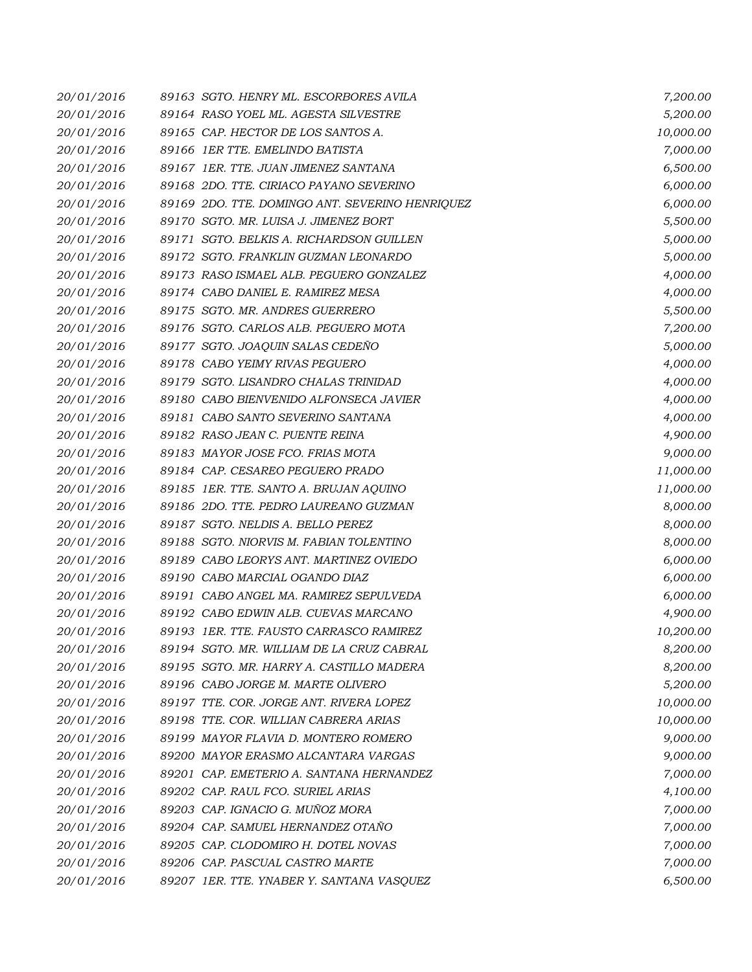| 20/01/2016 | 89163 SGTO. HENRY ML. ESCORBORES AVILA          | 7,200.00  |
|------------|-------------------------------------------------|-----------|
| 20/01/2016 | 89164 RASO YOEL ML. AGESTA SILVESTRE            | 5,200.00  |
| 20/01/2016 | 89165 CAP. HECTOR DE LOS SANTOS A.              | 10,000.00 |
| 20/01/2016 | 89166 IER TTE. EMELINDO BATISTA                 | 7,000.00  |
| 20/01/2016 | 89167 1ER. TTE. JUAN JIMENEZ SANTANA            | 6,500.00  |
| 20/01/2016 | 89168 2DO. TTE. CIRIACO PAYANO SEVERINO         | 6,000.00  |
| 20/01/2016 | 89169 2DO. TTE. DOMINGO ANT. SEVERINO HENRIQUEZ | 6,000.00  |
| 20/01/2016 | 89170 SGTO. MR. LUISA J. JIMENEZ BORT           | 5,500.00  |
| 20/01/2016 | 89171 SGTO. BELKIS A. RICHARDSON GUILLEN        | 5,000.00  |
| 20/01/2016 | 89172 SGTO. FRANKLIN GUZMAN LEONARDO            | 5,000.00  |
| 20/01/2016 | 89173 RASO ISMAEL ALB. PEGUERO GONZALEZ         | 4,000.00  |
| 20/01/2016 | 89174 CABO DANIEL E. RAMIREZ MESA               | 4,000.00  |
| 20/01/2016 | 89175 SGTO. MR. ANDRES GUERRERO                 | 5,500.00  |
| 20/01/2016 | 89176 SGTO. CARLOS ALB. PEGUERO MOTA            | 7,200.00  |
| 20/01/2016 | 89177 SGTO. JOAQUIN SALAS CEDENO                | 5,000.00  |
| 20/01/2016 | 89178 CABO YEIMY RIVAS PEGUERO                  | 4,000.00  |
| 20/01/2016 | 89179 SGTO. LISANDRO CHALAS TRINIDAD            | 4,000.00  |
| 20/01/2016 | 89180 CABO BIENVENIDO ALFONSECA JAVIER          | 4,000.00  |
| 20/01/2016 | 89181 CABO SANTO SEVERINO SANTANA               | 4,000.00  |
| 20/01/2016 | 89182 RASO JEAN C. PUENTE REINA                 | 4,900.00  |
| 20/01/2016 | 89183 MAYOR JOSE FCO. FRIAS MOTA                | 9,000.00  |
| 20/01/2016 | 89184 CAP. CESAREO PEGUERO PRADO                | 11,000.00 |
| 20/01/2016 | 89185 1ER. TTE. SANTO A. BRUJAN AQUINO          | 11,000.00 |
| 20/01/2016 | 89186 2DO. TTE. PEDRO LAUREANO GUZMAN           | 8,000.00  |
| 20/01/2016 | 89187 SGTO. NELDIS A. BELLO PEREZ               | 8,000.00  |
| 20/01/2016 | 89188 SGTO. NIORVIS M. FABIAN TOLENTINO         | 8,000.00  |
| 20/01/2016 | 89189 CABO LEORYS ANT. MARTINEZ OVIEDO          | 6,000.00  |
| 20/01/2016 | 89190 CABO MARCIAL OGANDO DIAZ                  | 6,000.00  |
| 20/01/2016 | 89191 CABO ANGEL MA. RAMIREZ SEPULVEDA          | 6,000.00  |
| 20/01/2016 | 89192 CABO EDWIN ALB. CUEVAS MARCANO            | 4,900.00  |
| 20/01/2016 | 89193 IER. TTE. FAUSTO CARRASCO RAMIREZ         | 10,200.00 |
| 20/01/2016 | 89194 SGTO. MR. WILLIAM DE LA CRUZ CABRAL       | 8,200.00  |
| 20/01/2016 | 89195 SGTO, MR. HARRY A. CASTILLO MADERA        | 8,200.00  |
| 20/01/2016 | 89196 CABO JORGE M. MARTE OLIVERO               | 5,200.00  |
| 20/01/2016 | 89197 TTE. COR. JORGE ANT. RIVERA LOPEZ         | 10,000.00 |
| 20/01/2016 | 89198 TTE, COR, WILLIAN CABRERA ARIAS           | 10,000.00 |
| 20/01/2016 | 89199 MAYOR FLAVIA D. MONTERO ROMERO            | 9,000.00  |
| 20/01/2016 | 89200 MAYOR ERASMO ALCANTARA VARGAS             | 9,000.00  |
| 20/01/2016 | 89201 CAP. EMETERIO A. SANTANA HERNANDEZ        | 7,000.00  |
| 20/01/2016 | 89202 CAP. RAUL FCO. SURIEL ARIAS               | 4,100.00  |
| 20/01/2016 | 89203 CAP. IGNACIO G. MUÑOZ MORA                | 7,000.00  |
| 20/01/2016 | 89204 CAP. SAMUEL HERNANDEZ OTAÑO               | 7,000.00  |
| 20/01/2016 | 89205 CAP. CLODOMIRO H. DOTEL NOVAS             | 7,000.00  |
| 20/01/2016 | 89206 CAP. PASCUAL CASTRO MARTE                 | 7,000.00  |
| 20/01/2016 | 89207 IER. TTE. YNABER Y. SANTANA VASQUEZ       | 6,500.00  |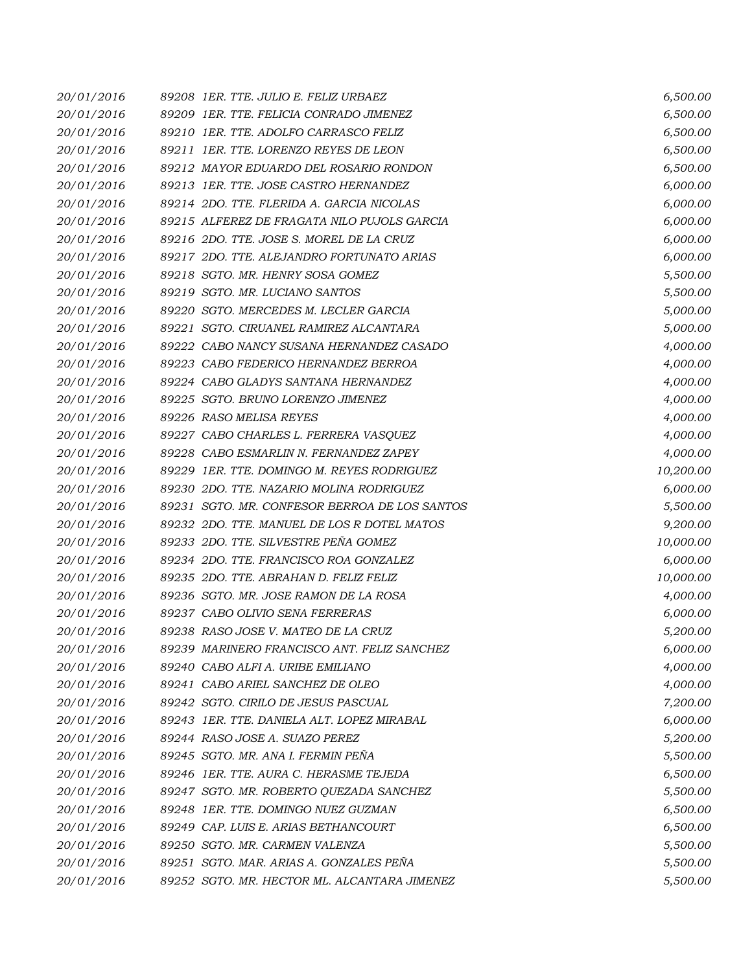| 20/01/2016 | 89208 1ER. TTE. JULIO E. FELIZ URBAEZ         | 6,500.00  |
|------------|-----------------------------------------------|-----------|
| 20/01/2016 | 89209 1ER. TTE. FELICIA CONRADO JIMENEZ       | 6,500.00  |
| 20/01/2016 | 89210 1ER. TTE. ADOLFO CARRASCO FELIZ         | 6,500.00  |
| 20/01/2016 | 89211 1ER. TTE. LORENZO REYES DE LEON         | 6,500.00  |
| 20/01/2016 | 89212 MAYOR EDUARDO DEL ROSARIO RONDON        | 6,500.00  |
| 20/01/2016 | 89213 IER. TTE. JOSE CASTRO HERNANDEZ         | 6,000.00  |
| 20/01/2016 | 89214 2DO. TTE. FLERIDA A. GARCIA NICOLAS     | 6,000.00  |
| 20/01/2016 | 89215 ALFEREZ DE FRAGATA NILO PUJOLS GARCIA   | 6,000.00  |
| 20/01/2016 | 89216 2DO. TTE. JOSE S. MOREL DE LA CRUZ      | 6,000.00  |
| 20/01/2016 | 89217 2DO. TTE. ALEJANDRO FORTUNATO ARIAS     | 6,000.00  |
| 20/01/2016 | 89218 SGTO. MR. HENRY SOSA GOMEZ              | 5,500.00  |
| 20/01/2016 | 89219 SGTO. MR. LUCIANO SANTOS                | 5,500.00  |
| 20/01/2016 | 89220 SGTO. MERCEDES M. LECLER GARCIA         | 5,000.00  |
| 20/01/2016 | 89221 SGTO. CIRUANEL RAMIREZ ALCANTARA        | 5,000.00  |
| 20/01/2016 | 89222 CABO NANCY SUSANA HERNANDEZ CASADO      | 4,000.00  |
| 20/01/2016 | 89223 CABO FEDERICO HERNANDEZ BERROA          | 4,000.00  |
| 20/01/2016 | 89224 CABO GLADYS SANTANA HERNANDEZ           | 4,000.00  |
| 20/01/2016 | 89225 SGTO. BRUNO LORENZO JIMENEZ             | 4,000.00  |
| 20/01/2016 | 89226 RASO MELISA REYES                       | 4,000.00  |
| 20/01/2016 | 89227 CABO CHARLES L. FERRERA VASQUEZ         | 4,000.00  |
| 20/01/2016 | 89228 CABO ESMARLIN N. FERNANDEZ ZAPEY        | 4,000.00  |
| 20/01/2016 | 89229 1ER. TTE. DOMINGO M. REYES RODRIGUEZ    | 10,200.00 |
| 20/01/2016 | 89230 2DO. TTE, NAZARIO MOLINA RODRIGUEZ      | 6,000.00  |
| 20/01/2016 | 89231 SGTO. MR. CONFESOR BERROA DE LOS SANTOS | 5,500.00  |
| 20/01/2016 | 89232 2DO. TTE, MANUEL DE LOS R DOTEL MATOS   | 9,200.00  |
| 20/01/2016 | 89233 2DO. TTE. SILVESTRE PEÑA GOMEZ          | 10,000.00 |
| 20/01/2016 | 89234 2DO. TTE. FRANCISCO ROA GONZALEZ        | 6,000.00  |
| 20/01/2016 | 89235 2DO. TTE, ABRAHAN D. FELIZ FELIZ        | 10,000.00 |
| 20/01/2016 | 89236 SGTO. MR. JOSE RAMON DE LA ROSA         | 4,000.00  |
| 20/01/2016 | 89237 CABO OLIVIO SENA FERRERAS               | 6,000.00  |
| 20/01/2016 | 89238 RASO JOSE V. MATEO DE LA CRUZ           | 5,200.00  |
| 20/01/2016 | 89239 MARINERO FRANCISCO ANT. FELIZ SANCHEZ   | 6,000.00  |
| 20/01/2016 | 89240 CABO ALFI A. URIBE EMILIANO             | 4,000.00  |
| 20/01/2016 | 89241 CABO ARIEL SANCHEZ DE OLEO              | 4,000.00  |
| 20/01/2016 | 89242 SGTO. CIRILO DE JESUS PASCUAL           | 7,200.00  |
| 20/01/2016 | 89243 IER. TTE. DANIELA ALT. LOPEZ MIRABAL    | 6,000.00  |
| 20/01/2016 | 89244 RASO JOSE A. SUAZO PEREZ                | 5,200.00  |
| 20/01/2016 | 89245 SGTO. MR. ANA I. FERMIN PEÑA            | 5,500.00  |
| 20/01/2016 | 89246 1ER. TTE, AURA C. HERASME TEJEDA        | 6,500.00  |
| 20/01/2016 | 89247 SGTO. MR. ROBERTO QUEZADA SANCHEZ       | 5,500.00  |
| 20/01/2016 | 89248 1ER. TTE. DOMINGO NUEZ GUZMAN           | 6,500.00  |
| 20/01/2016 | 89249 CAP. LUIS E. ARIAS BETHANCOURT          | 6,500.00  |
| 20/01/2016 | 89250 SGTO. MR. CARMEN VALENZA                | 5,500.00  |
| 20/01/2016 | 89251 SGTO, MAR, ARIAS A, GONZALES PEÑA       | 5,500.00  |
| 20/01/2016 | 89252 SGTO. MR. HECTOR ML. ALCANTARA JIMENEZ  | 5,500.00  |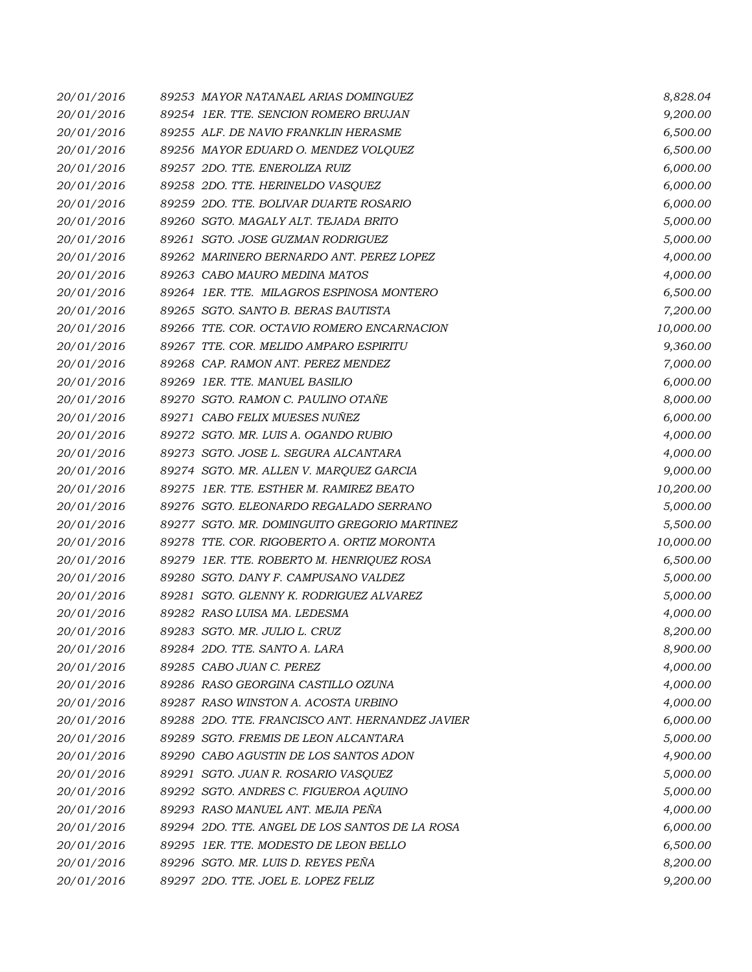| 20/01/2016 | 89253 MAYOR NATANAEL ARIAS DOMINGUEZ            | 8,828.04  |
|------------|-------------------------------------------------|-----------|
| 20/01/2016 | 89254 1ER. TTE. SENCION ROMERO BRUJAN           | 9,200.00  |
| 20/01/2016 | 89255 ALF. DE NAVIO FRANKLIN HERASME            | 6,500.00  |
| 20/01/2016 | 89256 MAYOR EDUARD O. MENDEZ VOLQUEZ            | 6,500.00  |
| 20/01/2016 | 89257 2DO. TTE. ENEROLIZA RUIZ                  | 6,000.00  |
| 20/01/2016 | 89258 2DO. TTE. HERINELDO VASQUEZ               | 6,000.00  |
| 20/01/2016 | 89259 2DO. TTE. BOLIVAR DUARTE ROSARIO          | 6,000.00  |
| 20/01/2016 | 89260 SGTO. MAGALY ALT. TEJADA BRITO            | 5,000.00  |
| 20/01/2016 | 89261 SGTO. JOSE GUZMAN RODRIGUEZ               | 5,000.00  |
| 20/01/2016 | 89262 MARINERO BERNARDO ANT. PEREZ LOPEZ        | 4,000.00  |
| 20/01/2016 | 89263 CABO MAURO MEDINA MATOS                   | 4,000.00  |
| 20/01/2016 | 89264 1ER. TTE. MILAGROS ESPINOSA MONTERO       | 6,500.00  |
| 20/01/2016 | 89265 SGTO. SANTO B. BERAS BAUTISTA             | 7,200.00  |
| 20/01/2016 | 89266 TTE. COR. OCTAVIO ROMERO ENCARNACION      | 10,000.00 |
| 20/01/2016 | 89267 TTE. COR. MELIDO AMPARO ESPIRITU          | 9,360.00  |
| 20/01/2016 | 89268 CAP. RAMON ANT. PEREZ MENDEZ              | 7,000.00  |
| 20/01/2016 | 89269 1ER. TTE. MANUEL BASILIO                  | 6,000.00  |
| 20/01/2016 | 89270 SGTO. RAMON C. PAULINO OTAÑE              | 8,000.00  |
| 20/01/2016 | 89271 CABO FELIX MUESES NUÑEZ                   | 6,000.00  |
| 20/01/2016 | 89272 SGTO. MR. LUIS A. OGANDO RUBIO            | 4,000.00  |
| 20/01/2016 | 89273 SGTO. JOSE L. SEGURA ALCANTARA            | 4,000.00  |
| 20/01/2016 | 89274 SGTO. MR. ALLEN V. MARQUEZ GARCIA         | 9,000.00  |
| 20/01/2016 | 89275 1ER. TTE, ESTHER M. RAMIREZ BEATO         | 10,200.00 |
| 20/01/2016 | 89276 SGTO. ELEONARDO REGALADO SERRANO          | 5,000.00  |
| 20/01/2016 | 89277 SGTO. MR. DOMINGUITO GREGORIO MARTINEZ    | 5,500.00  |
| 20/01/2016 | 89278 TTE. COR. RIGOBERTO A. ORTIZ MORONTA      | 10,000.00 |
| 20/01/2016 | 89279 IER. TTE. ROBERTO M. HENRIQUEZ ROSA       | 6,500.00  |
| 20/01/2016 | 89280 SGTO, DANY F. CAMPUSANO VALDEZ            | 5,000.00  |
| 20/01/2016 | 89281 SGTO. GLENNY K. RODRIGUEZ ALVAREZ         | 5,000.00  |
| 20/01/2016 | 89282 RASO LUISA MA. LEDESMA                    | 4,000.00  |
| 20/01/2016 | 89283 SGTO. MR. JULIO L. CRUZ                   | 8,200.00  |
| 20/01/2016 | 89284 2DO. TTE. SANTO A. LARA                   | 8,900.00  |
| 20/01/2016 | 89285 CABO JUAN C. PEREZ                        | 4,000.00  |
| 20/01/2016 | 89286 RASO GEORGINA CASTILLO OZUNA              | 4,000.00  |
| 20/01/2016 | 89287 RASO WINSTON A. ACOSTA URBINO             | 4,000.00  |
| 20/01/2016 | 89288 2DO. TTE. FRANCISCO ANT. HERNANDEZ JAVIER | 6,000.00  |
| 20/01/2016 | 89289 SGTO. FREMIS DE LEON ALCANTARA            | 5,000.00  |
| 20/01/2016 | 89290 CABO AGUSTIN DE LOS SANTOS ADON           | 4,900.00  |
| 20/01/2016 | 89291 SGTO. JUAN R. ROSARIO VASQUEZ             | 5,000.00  |
| 20/01/2016 | 89292 SGTO. ANDRES C. FIGUEROA AQUINO           | 5,000.00  |
| 20/01/2016 | 89293 RASO MANUEL ANT. MEJIA PEÑA               | 4,000.00  |
| 20/01/2016 | 89294 2DO. TTE, ANGEL DE LOS SANTOS DE LA ROSA  | 6,000.00  |
| 20/01/2016 | 89295 1ER. TTE. MODESTO DE LEON BELLO           | 6,500.00  |
| 20/01/2016 | 89296 SGTO. MR. LUIS D. REYES PEÑA              | 8,200.00  |
| 20/01/2016 | 89297 2DO. TTE. JOEL E. LOPEZ FELIZ             | 9,200.00  |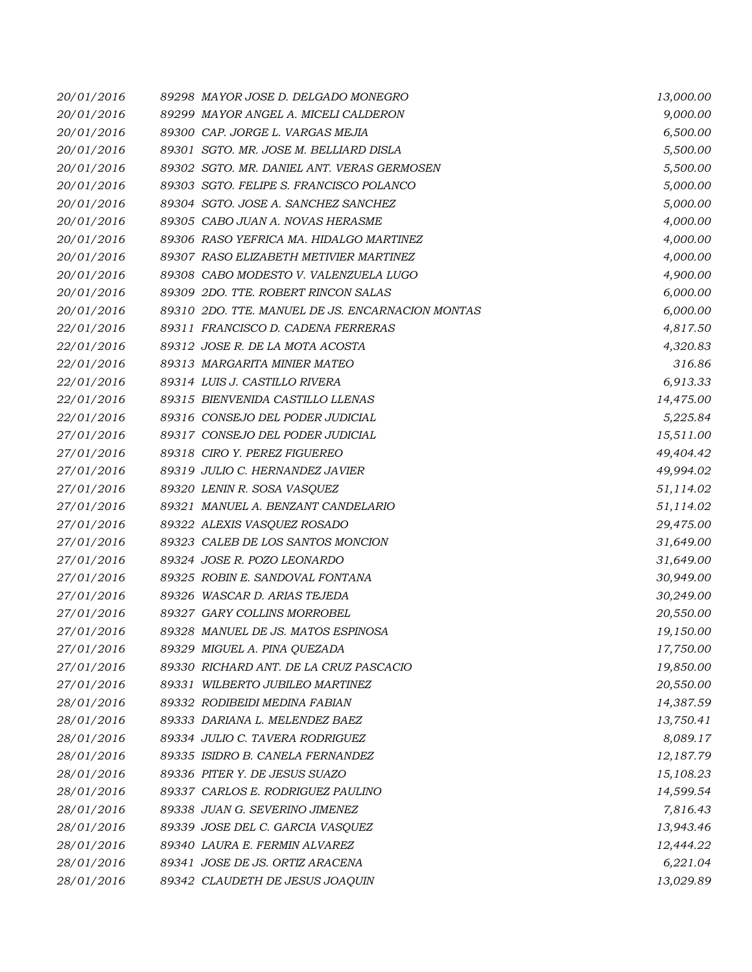| 20/01/2016 | 89298 MAYOR JOSE D. DELGADO MONEGRO              | 13,000.00 |
|------------|--------------------------------------------------|-----------|
| 20/01/2016 | 89299 MAYOR ANGEL A. MICELI CALDERON             | 9,000.00  |
| 20/01/2016 | 89300 CAP. JORGE L. VARGAS MEJIA                 | 6,500.00  |
| 20/01/2016 | 89301 SGTO. MR. JOSE M. BELLIARD DISLA           | 5,500.00  |
| 20/01/2016 | 89302 SGTO. MR. DANIEL ANT. VERAS GERMOSEN       | 5,500.00  |
| 20/01/2016 | 89303 SGTO. FELIPE S. FRANCISCO POLANCO          | 5,000.00  |
| 20/01/2016 | 89304 SGTO. JOSE A. SANCHEZ SANCHEZ              | 5,000.00  |
| 20/01/2016 | 89305 CABO JUAN A. NOVAS HERASME                 | 4,000.00  |
| 20/01/2016 | 89306 RASO YEFRICA MA. HIDALGO MARTINEZ          | 4,000.00  |
| 20/01/2016 | 89307 RASO ELIZABETH METIVIER MARTINEZ           | 4,000.00  |
| 20/01/2016 | 89308 CABO MODESTO V. VALENZUELA LUGO            | 4,900.00  |
| 20/01/2016 | 89309 2DO. TTE. ROBERT RINCON SALAS              | 6,000.00  |
| 20/01/2016 | 89310 2DO. TTE. MANUEL DE JS. ENCARNACION MONTAS | 6,000.00  |
| 22/01/2016 | 89311 FRANCISCO D. CADENA FERRERAS               | 4,817.50  |
| 22/01/2016 | 89312 JOSE R. DE LA MOTA ACOSTA                  | 4,320.83  |
| 22/01/2016 | 89313 MARGARITA MINIER MATEO                     | 316.86    |
| 22/01/2016 | 89314 LUIS J. CASTILLO RIVERA                    | 6,913.33  |
| 22/01/2016 | 89315 BIENVENIDA CASTILLO LLENAS                 | 14,475.00 |
| 22/01/2016 | 89316 CONSEJO DEL PODER JUDICIAL                 | 5,225.84  |
| 27/01/2016 | 89317 CONSEJO DEL PODER JUDICIAL                 | 15,511.00 |
| 27/01/2016 | 89318 CIRO Y. PEREZ FIGUEREO                     | 49,404.42 |
| 27/01/2016 | 89319 JULIO C. HERNANDEZ JAVIER                  | 49,994.02 |
| 27/01/2016 | 89320 LENIN R. SOSA VASQUEZ                      | 51,114.02 |
| 27/01/2016 | 89321 MANUEL A. BENZANT CANDELARIO               | 51,114.02 |
| 27/01/2016 | 89322 ALEXIS VASQUEZ ROSADO                      | 29,475.00 |
| 27/01/2016 | 89323 CALEB DE LOS SANTOS MONCION                | 31,649.00 |
| 27/01/2016 | 89324 JOSE R. POZO LEONARDO                      | 31,649.00 |
| 27/01/2016 | 89325 ROBIN E. SANDOVAL FONTANA                  | 30,949.00 |
| 27/01/2016 | 89326 WASCAR D. ARIAS TEJEDA                     | 30,249.00 |
| 27/01/2016 | 89327 GARY COLLINS MORROBEL                      | 20,550.00 |
| 27/01/2016 | 89328 MANUEL DE JS. MATOS ESPINOSA               | 19,150.00 |
| 27/01/2016 | 89329 MIGUEL A. PINA QUEZADA                     | 17,750.00 |
| 27/01/2016 | 89330 RICHARD ANT. DE LA CRUZ PASCACIO           | 19,850.00 |
| 27/01/2016 | 89331 WILBERTO JUBILEO MARTINEZ                  | 20,550.00 |
| 28/01/2016 | 89332 RODIBEIDI MEDINA FABIAN                    | 14,387.59 |
| 28/01/2016 | 89333 DARIANA L. MELENDEZ BAEZ                   | 13,750.41 |
| 28/01/2016 | 89334 JULIO C. TAVERA RODRIGUEZ                  | 8,089.17  |
| 28/01/2016 | 89335 ISIDRO B. CANELA FERNANDEZ                 | 12,187.79 |
| 28/01/2016 | 89336 PITER Y. DE JESUS SUAZO                    | 15,108.23 |
| 28/01/2016 | 89337 CARLOS E. RODRIGUEZ PAULINO                | 14,599.54 |
| 28/01/2016 | 89338 JUAN G. SEVERINO JIMENEZ                   | 7,816.43  |
| 28/01/2016 | 89339 JOSE DEL C. GARCIA VASQUEZ                 | 13,943.46 |
| 28/01/2016 | 89340 LAURA E. FERMIN ALVAREZ                    | 12,444.22 |
| 28/01/2016 | 89341 JOSE DE JS. ORTIZ ARACENA                  | 6,221.04  |
| 28/01/2016 | 89342 CLAUDETH DE JESUS JOAQUIN                  | 13,029.89 |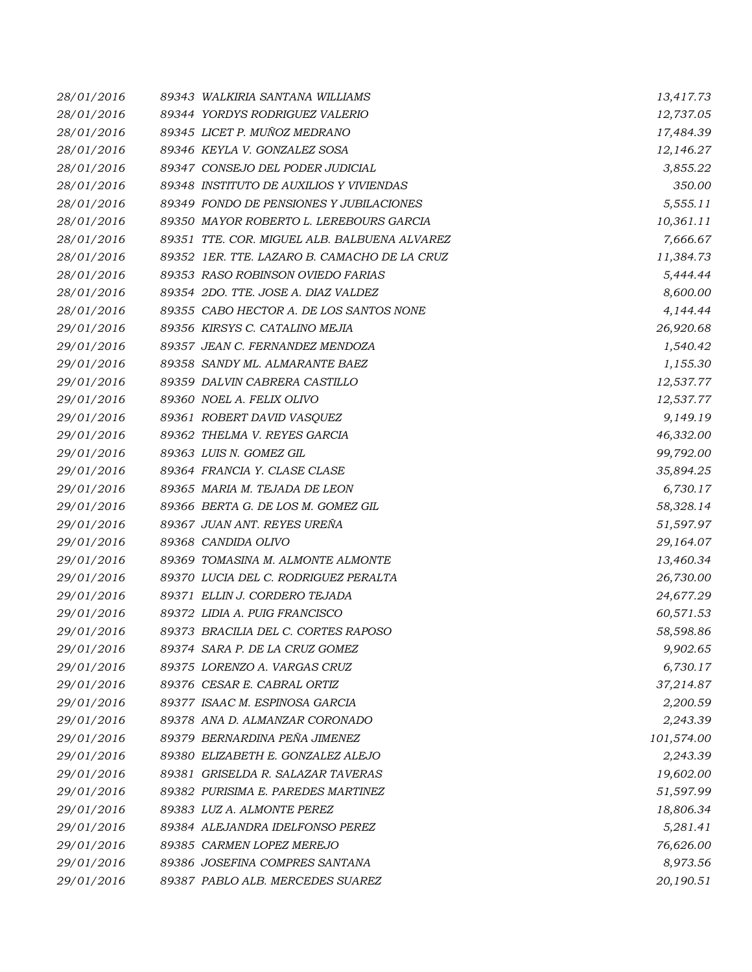| 28/01/2016 | 89343 WALKIRIA SANTANA WILLIAMS              | 13,417.73  |
|------------|----------------------------------------------|------------|
| 28/01/2016 | 89344 YORDYS RODRIGUEZ VALERIO               | 12,737.05  |
| 28/01/2016 | 89345 LICET P. MUÑOZ MEDRANO                 | 17,484.39  |
| 28/01/2016 | 89346 KEYLA V. GONZALEZ SOSA                 | 12,146.27  |
| 28/01/2016 | 89347 CONSEJO DEL PODER JUDICIAL             | 3,855.22   |
| 28/01/2016 | 89348 INSTITUTO DE AUXILIOS Y VIVIENDAS      | 350.00     |
| 28/01/2016 | 89349 FONDO DE PENSIONES Y JUBILACIONES      | 5,555.11   |
| 28/01/2016 | 89350 MAYOR ROBERTO L. LEREBOURS GARCIA      | 10,361.11  |
| 28/01/2016 | 89351 TTE. COR. MIGUEL ALB. BALBUENA ALVAREZ | 7,666.67   |
| 28/01/2016 | 89352 IER. TTE. LAZARO B. CAMACHO DE LA CRUZ | 11,384.73  |
| 28/01/2016 | 89353 RASO ROBINSON OVIEDO FARIAS            | 5,444.44   |
| 28/01/2016 | 89354 2DO. TTE. JOSE A. DIAZ VALDEZ          | 8,600.00   |
| 28/01/2016 | 89355 CABO HECTOR A. DE LOS SANTOS NONE      | 4,144.44   |
| 29/01/2016 | 89356 KIRSYS C. CATALINO MEJIA               | 26,920.68  |
| 29/01/2016 | 89357 JEAN C. FERNANDEZ MENDOZA              | 1,540.42   |
| 29/01/2016 | 89358 SANDY ML. ALMARANTE BAEZ               | 1,155.30   |
| 29/01/2016 | 89359 DALVIN CABRERA CASTILLO                | 12,537.77  |
| 29/01/2016 | 89360 NOEL A. FELIX OLIVO                    | 12,537.77  |
| 29/01/2016 | 89361 ROBERT DAVID VASQUEZ                   | 9,149.19   |
| 29/01/2016 | 89362 THELMA V. REYES GARCIA                 | 46,332.00  |
| 29/01/2016 | 89363 LUIS N. GOMEZ GIL                      | 99,792.00  |
| 29/01/2016 | 89364 FRANCIA Y. CLASE CLASE                 | 35,894.25  |
| 29/01/2016 | 89365 MARIA M. TEJADA DE LEON                | 6,730.17   |
| 29/01/2016 | 89366 BERTA G. DE LOS M. GOMEZ GIL           | 58,328.14  |
| 29/01/2016 | 89367 JUAN ANT. REYES UREÑA                  | 51,597.97  |
| 29/01/2016 | 89368 CANDIDA OLIVO                          | 29,164.07  |
| 29/01/2016 | 89369 TOMASINA M. ALMONTE ALMONTE            | 13,460.34  |
| 29/01/2016 | 89370 LUCIA DEL C. RODRIGUEZ PERALTA         | 26,730.00  |
| 29/01/2016 | 89371 ELLIN J. CORDERO TEJADA                | 24,677.29  |
| 29/01/2016 | 89372 LIDIA A. PUIG FRANCISCO                | 60,571.53  |
| 29/01/2016 | 89373 BRACILIA DEL C. CORTES RAPOSO          | 58,598.86  |
| 29/01/2016 | 89374 SARA P. DE LA CRUZ GOMEZ               | 9,902.65   |
| 29/01/2016 | 89375 LORENZO A. VARGAS CRUZ                 | 6,730.17   |
| 29/01/2016 | 89376 CESAR E. CABRAL ORTIZ                  | 37,214.87  |
| 29/01/2016 | 89377 ISAAC M. ESPINOSA GARCIA               | 2,200.59   |
| 29/01/2016 | 89378 ANA D. ALMANZAR CORONADO               | 2,243.39   |
| 29/01/2016 | 89379 BERNARDINA PEÑA JIMENEZ                | 101,574.00 |
| 29/01/2016 | 89380 ELIZABETH E. GONZALEZ ALEJO            | 2,243.39   |
| 29/01/2016 | 89381 GRISELDA R. SALAZAR TAVERAS            | 19,602.00  |
| 29/01/2016 | 89382 PURISIMA E. PAREDES MARTINEZ           | 51,597.99  |
| 29/01/2016 | 89383 LUZ A. ALMONTE PEREZ                   | 18,806.34  |
| 29/01/2016 | 89384 ALEJANDRA IDELFONSO PEREZ              | 5,281.41   |
| 29/01/2016 | 89385 CARMEN LOPEZ MEREJO                    | 76,626.00  |
| 29/01/2016 | 89386 JOSEFINA COMPRES SANTANA               | 8,973.56   |
| 29/01/2016 | 89387 PABLO ALB. MERCEDES SUAREZ             | 20,190.51  |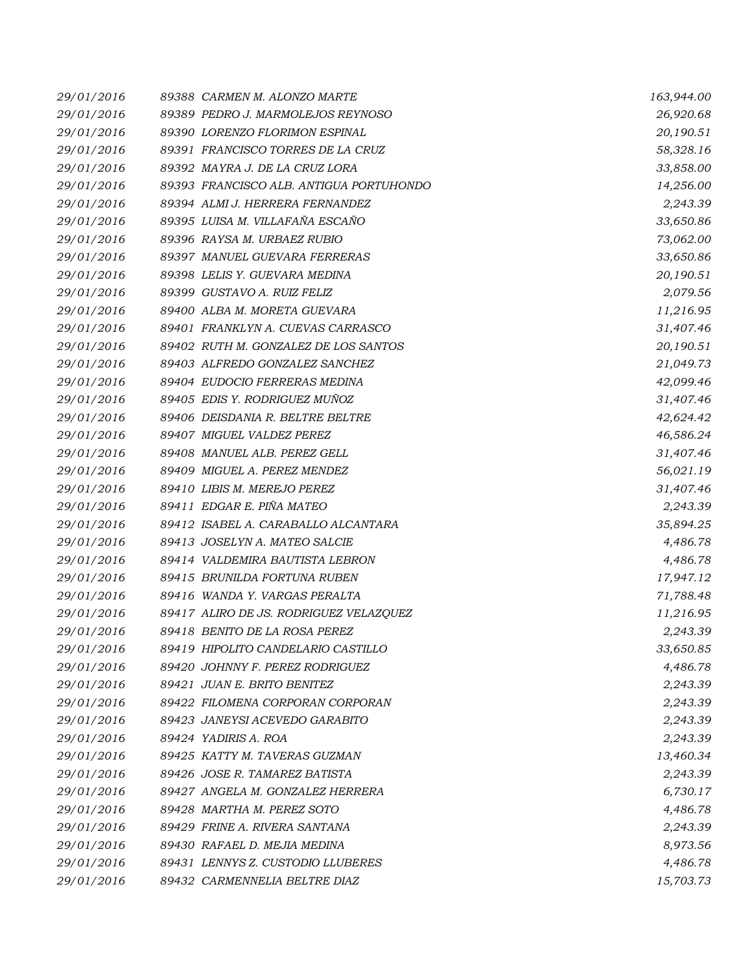| 29/01/2016 | 89388 CARMEN M. ALONZO MARTE            | 163,944.00 |
|------------|-----------------------------------------|------------|
| 29/01/2016 | 89389 PEDRO J. MARMOLEJOS REYNOSO       | 26,920.68  |
| 29/01/2016 | 89390 LORENZO FLORIMON ESPINAL          | 20,190.51  |
| 29/01/2016 | 89391 FRANCISCO TORRES DE LA CRUZ       | 58,328.16  |
| 29/01/2016 | 89392 MAYRA J. DE LA CRUZ LORA          | 33,858.00  |
| 29/01/2016 | 89393 FRANCISCO ALB. ANTIGUA PORTUHONDO | 14,256.00  |
| 29/01/2016 | 89394 ALMI J. HERRERA FERNANDEZ         | 2,243.39   |
| 29/01/2016 | 89395 LUISA M. VILLAFAÑA ESCAÑO         | 33,650.86  |
| 29/01/2016 | 89396 RAYSA M. URBAEZ RUBIO             | 73,062.00  |
| 29/01/2016 | 89397 MANUEL GUEVARA FERRERAS           | 33,650.86  |
| 29/01/2016 | 89398 LELIS Y. GUEVARA MEDINA           | 20,190.51  |
| 29/01/2016 | 89399 GUSTAVO A. RUIZ FELIZ             | 2,079.56   |
| 29/01/2016 | 89400 ALBA M. MORETA GUEVARA            | 11,216.95  |
| 29/01/2016 | 89401 FRANKLYN A. CUEVAS CARRASCO       | 31,407.46  |
| 29/01/2016 | 89402 RUTH M. GONZALEZ DE LOS SANTOS    | 20,190.51  |
| 29/01/2016 | 89403 ALFREDO GONZALEZ SANCHEZ          | 21,049.73  |
| 29/01/2016 | 89404 EUDOCIO FERRERAS MEDINA           | 42,099.46  |
| 29/01/2016 | 89405 EDIS Y. RODRIGUEZ MUÑOZ           | 31,407.46  |
| 29/01/2016 | 89406 DEISDANIA R. BELTRE BELTRE        | 42,624.42  |
| 29/01/2016 | 89407 MIGUEL VALDEZ PEREZ               | 46,586.24  |
| 29/01/2016 | 89408 MANUEL ALB. PEREZ GELL            | 31,407.46  |
| 29/01/2016 | 89409 MIGUEL A. PEREZ MENDEZ            | 56,021.19  |
| 29/01/2016 | 89410 LIBIS M. MEREJO PEREZ             | 31,407.46  |
| 29/01/2016 | 89411 EDGAR E. PIÑA MATEO               | 2,243.39   |
| 29/01/2016 | 89412 ISABEL A. CARABALLO ALCANTARA     | 35,894.25  |
| 29/01/2016 | 89413 JOSELYN A. MATEO SALCIE           | 4,486.78   |
| 29/01/2016 | 89414 VALDEMIRA BAUTISTA LEBRON         | 4,486.78   |
| 29/01/2016 | 89415 BRUNILDA FORTUNA RUBEN            | 17,947.12  |
| 29/01/2016 | 89416 WANDA Y. VARGAS PERALTA           | 71,788.48  |
| 29/01/2016 | 89417 ALIRO DE JS. RODRIGUEZ VELAZQUEZ  | 11,216.95  |
| 29/01/2016 | 89418 BENITO DE LA ROSA PEREZ           | 2,243.39   |
| 29/01/2016 | 89419 HIPOLITO CANDELARIO CASTILLO      | 33,650.85  |
| 29/01/2016 | 89420 JOHNNY F. PEREZ RODRIGUEZ         | 4,486.78   |
| 29/01/2016 | 89421 JUAN E. BRITO BENITEZ             | 2,243.39   |
| 29/01/2016 | 89422 FILOMENA CORPORAN CORPORAN        | 2,243.39   |
| 29/01/2016 | 89423 JANEYSI ACEVEDO GARABITO          | 2,243.39   |
| 29/01/2016 | 89424 YADIRIS A. ROA                    | 2,243.39   |
| 29/01/2016 | 89425 KATTY M. TAVERAS GUZMAN           | 13,460.34  |
| 29/01/2016 | 89426 JOSE R. TAMAREZ BATISTA           | 2,243.39   |
| 29/01/2016 | 89427 ANGELA M. GONZALEZ HERRERA        | 6,730.17   |
| 29/01/2016 | 89428 MARTHA M. PEREZ SOTO              | 4,486.78   |
| 29/01/2016 | 89429 FRINE A. RIVERA SANTANA           | 2,243.39   |
| 29/01/2016 | 89430 RAFAEL D. MEJIA MEDINA            | 8,973.56   |
| 29/01/2016 | 89431 LENNYS Z. CUSTODIO LLUBERES       | 4,486.78   |
| 29/01/2016 | 89432 CARMENNELIA BELTRE DIAZ           | 15,703.73  |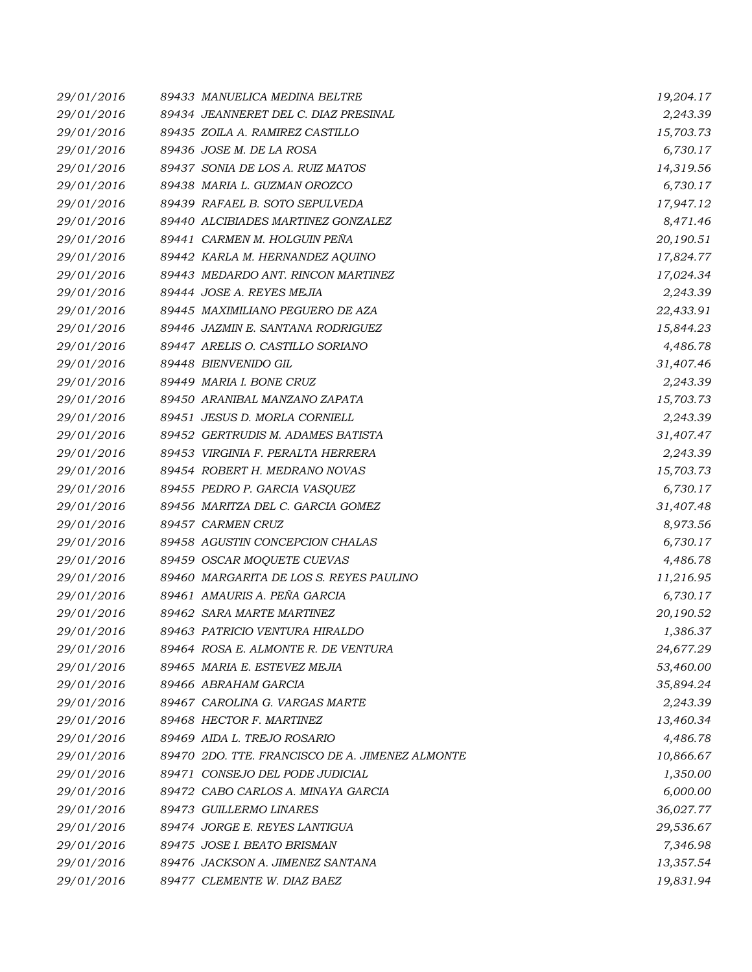| 29/01/2016 | 89433 MANUELICA MEDINA BELTRE                   | 19,204.17 |
|------------|-------------------------------------------------|-----------|
| 29/01/2016 | 89434 JEANNERET DEL C. DIAZ PRESINAL            | 2,243.39  |
| 29/01/2016 | 89435 ZOILA A. RAMIREZ CASTILLO                 | 15,703.73 |
| 29/01/2016 | 89436 JOSE M. DE LA ROSA                        | 6,730.17  |
| 29/01/2016 | 89437 SONIA DE LOS A. RUIZ MATOS                | 14,319.56 |
| 29/01/2016 | 89438 MARIA L. GUZMAN OROZCO                    | 6,730.17  |
| 29/01/2016 | 89439 RAFAEL B. SOTO SEPULVEDA                  | 17,947.12 |
| 29/01/2016 | 89440 ALCIBIADES MARTINEZ GONZALEZ              | 8,471.46  |
| 29/01/2016 | 89441 CARMEN M. HOLGUIN PEÑA                    | 20,190.51 |
| 29/01/2016 | 89442 KARLA M. HERNANDEZ AQUINO                 | 17,824.77 |
| 29/01/2016 | 89443 MEDARDO ANT. RINCON MARTINEZ              | 17,024.34 |
| 29/01/2016 | 89444 JOSE A. REYES MEJIA                       | 2,243.39  |
| 29/01/2016 | 89445 MAXIMILIANO PEGUERO DE AZA                | 22,433.91 |
| 29/01/2016 | 89446 JAZMIN E. SANTANA RODRIGUEZ               | 15,844.23 |
| 29/01/2016 | 89447 ARELIS O. CASTILLO SORIANO                | 4,486.78  |
| 29/01/2016 | 89448 BIENVENIDO GIL                            | 31,407.46 |
| 29/01/2016 | 89449 MARIA I. BONE CRUZ                        | 2,243.39  |
| 29/01/2016 | 89450 ARANIBAL MANZANO ZAPATA                   | 15,703.73 |
| 29/01/2016 | 89451 JESUS D. MORLA CORNIELL                   | 2,243.39  |
| 29/01/2016 | 89452 GERTRUDIS M. ADAMES BATISTA               | 31,407.47 |
| 29/01/2016 | 89453 VIRGINIA F. PERALTA HERRERA               | 2,243.39  |
| 29/01/2016 | 89454 ROBERT H. MEDRANO NOVAS                   | 15,703.73 |
| 29/01/2016 | 89455 PEDRO P. GARCIA VASQUEZ                   | 6,730.17  |
| 29/01/2016 | 89456 MARITZA DEL C. GARCIA GOMEZ               | 31,407.48 |
| 29/01/2016 | 89457 CARMEN CRUZ                               | 8,973.56  |
| 29/01/2016 | 89458 AGUSTIN CONCEPCION CHALAS                 | 6,730.17  |
| 29/01/2016 | 89459 OSCAR MOQUETE CUEVAS                      | 4,486.78  |
| 29/01/2016 | 89460 MARGARITA DE LOS S. REYES PAULINO         | 11,216.95 |
| 29/01/2016 | 89461 AMAURIS A. PEÑA GARCIA                    | 6,730.17  |
| 29/01/2016 | 89462 SARA MARTE MARTINEZ                       | 20,190.52 |
| 29/01/2016 | 89463 PATRICIO VENTURA HIRALDO                  | 1,386.37  |
| 29/01/2016 | 89464 ROSA E. ALMONTE R. DE VENTURA             | 24,677.29 |
| 29/01/2016 | 89465 MARIA E. ESTEVEZ MEJIA                    | 53,460.00 |
| 29/01/2016 | 89466 ABRAHAM GARCIA                            | 35,894.24 |
| 29/01/2016 | 89467 CAROLINA G. VARGAS MARTE                  | 2,243.39  |
| 29/01/2016 | 89468 HECTOR F. MARTINEZ                        | 13,460.34 |
| 29/01/2016 | 89469 AIDA L. TREJO ROSARIO                     | 4,486.78  |
| 29/01/2016 | 89470 2DO. TTE. FRANCISCO DE A. JIMENEZ ALMONTE | 10,866.67 |
| 29/01/2016 | 89471 CONSEJO DEL PODE JUDICIAL                 | 1,350.00  |
| 29/01/2016 | 89472 CABO CARLOS A. MINAYA GARCIA              | 6,000.00  |
| 29/01/2016 | 89473 GUILLERMO LINARES                         | 36,027.77 |
| 29/01/2016 | 89474 JORGE E. REYES LANTIGUA                   | 29,536.67 |
| 29/01/2016 | 89475 JOSE I. BEATO BRISMAN                     | 7,346.98  |
| 29/01/2016 | 89476 JACKSON A. JIMENEZ SANTANA                | 13,357.54 |
| 29/01/2016 | 89477 CLEMENTE W. DIAZ BAEZ                     | 19,831.94 |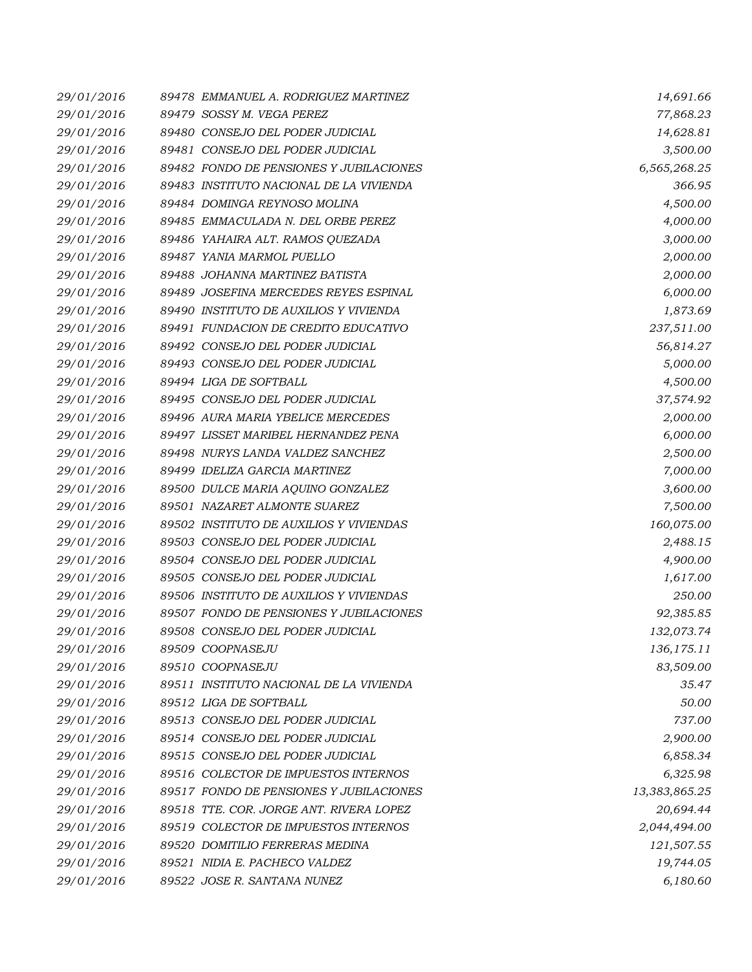| 29/01/2016 | 89478 EMMANUEL A. RODRIGUEZ MARTINEZ    | 14,691.66     |
|------------|-----------------------------------------|---------------|
| 29/01/2016 | 89479 SOSSY M. VEGA PEREZ               | 77,868.23     |
| 29/01/2016 | 89480 CONSEJO DEL PODER JUDICIAL        | 14,628.81     |
| 29/01/2016 | 89481 CONSEJO DEL PODER JUDICIAL        | 3,500.00      |
| 29/01/2016 | 89482 FONDO DE PENSIONES Y JUBILACIONES | 6,565,268.25  |
| 29/01/2016 | 89483 INSTITUTO NACIONAL DE LA VIVIENDA | 366.95        |
| 29/01/2016 | 89484 DOMINGA REYNOSO MOLINA            | 4,500.00      |
| 29/01/2016 | 89485 EMMACULADA N. DEL ORBE PEREZ      | 4,000.00      |
| 29/01/2016 | 89486 YAHAIRA ALT. RAMOS QUEZADA        | 3,000.00      |
| 29/01/2016 | 89487 YANIA MARMOL PUELLO               | 2,000.00      |
| 29/01/2016 | 89488 JOHANNA MARTINEZ BATISTA          | 2,000.00      |
| 29/01/2016 | 89489 JOSEFINA MERCEDES REYES ESPINAL   | 6,000.00      |
| 29/01/2016 | 89490 INSTITUTO DE AUXILIOS Y VIVIENDA  | 1,873.69      |
| 29/01/2016 | 89491 FUNDACION DE CREDITO EDUCATIVO    | 237,511.00    |
| 29/01/2016 | 89492 CONSEJO DEL PODER JUDICIAL        | 56,814.27     |
| 29/01/2016 | 89493 CONSEJO DEL PODER JUDICIAL        | 5,000.00      |
| 29/01/2016 | 89494 LIGA DE SOFTBALL                  | 4,500.00      |
| 29/01/2016 | 89495 CONSEJO DEL PODER JUDICIAL        | 37,574.92     |
| 29/01/2016 | 89496 AURA MARIA YBELICE MERCEDES       | 2,000.00      |
| 29/01/2016 | 89497 LISSET MARIBEL HERNANDEZ PENA     | 6,000.00      |
| 29/01/2016 | 89498 NURYS LANDA VALDEZ SANCHEZ        | 2,500.00      |
| 29/01/2016 | 89499 IDELIZA GARCIA MARTINEZ           | 7,000.00      |
| 29/01/2016 | 89500 DULCE MARIA AQUINO GONZALEZ       | 3,600.00      |
| 29/01/2016 | 89501 NAZARET ALMONTE SUAREZ            | 7,500.00      |
| 29/01/2016 | 89502 INSTITUTO DE AUXILIOS Y VIVIENDAS | 160,075.00    |
| 29/01/2016 | 89503 CONSEJO DEL PODER JUDICIAL        | 2,488.15      |
| 29/01/2016 | 89504 CONSEJO DEL PODER JUDICIAL        | 4,900.00      |
| 29/01/2016 | 89505 CONSEJO DEL PODER JUDICIAL        | 1,617.00      |
| 29/01/2016 | 89506 INSTITUTO DE AUXILIOS Y VIVIENDAS | 250.00        |
| 29/01/2016 | 89507 FONDO DE PENSIONES Y JUBILACIONES | 92,385.85     |
| 29/01/2016 | 89508 CONSEJO DEL PODER JUDICIAL        | 132,073.74    |
| 29/01/2016 | 89509 COOPNASEJU                        | 136, 175. 11  |
| 29/01/2016 | 89510 COOPNASEJU                        | 83,509.00     |
| 29/01/2016 | 89511 INSTITUTO NACIONAL DE LA VIVIENDA | 35.47         |
| 29/01/2016 | 89512 LIGA DE SOFTBALL                  | 50.00         |
| 29/01/2016 | 89513 CONSEJO DEL PODER JUDICIAL        | 737.00        |
| 29/01/2016 | 89514 CONSEJO DEL PODER JUDICIAL        | 2,900.00      |
| 29/01/2016 | 89515 CONSEJO DEL PODER JUDICIAL        | 6,858.34      |
| 29/01/2016 | 89516 COLECTOR DE IMPUESTOS INTERNOS    | 6,325.98      |
| 29/01/2016 | 89517 FONDO DE PENSIONES Y JUBILACIONES | 13,383,865.25 |
| 29/01/2016 | 89518 TTE. COR. JORGE ANT. RIVERA LOPEZ | 20,694.44     |
| 29/01/2016 | 89519 COLECTOR DE IMPUESTOS INTERNOS    | 2,044,494.00  |
| 29/01/2016 | 89520 DOMITILIO FERRERAS MEDINA         | 121,507.55    |
| 29/01/2016 | 89521 NIDIA E. PACHECO VALDEZ           | 19,744.05     |
| 29/01/2016 | 89522 JOSE R. SANTANA NUNEZ             | 6,180.60      |